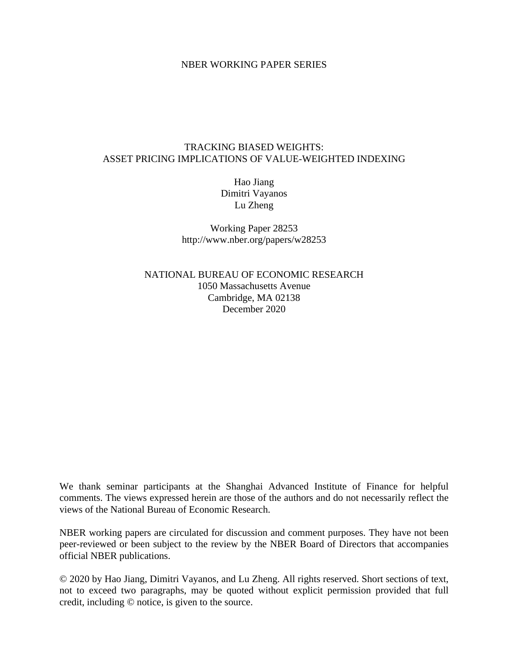## NBER WORKING PAPER SERIES

## TRACKING BIASED WEIGHTS: ASSET PRICING IMPLICATIONS OF VALUE-WEIGHTED INDEXING

Hao Jiang Dimitri Vayanos Lu Zheng

Working Paper 28253 http://www.nber.org/papers/w28253

NATIONAL BUREAU OF ECONOMIC RESEARCH 1050 Massachusetts Avenue Cambridge, MA 02138 December 2020

We thank seminar participants at the Shanghai Advanced Institute of Finance for helpful comments. The views expressed herein are those of the authors and do not necessarily reflect the views of the National Bureau of Economic Research.

NBER working papers are circulated for discussion and comment purposes. They have not been peer-reviewed or been subject to the review by the NBER Board of Directors that accompanies official NBER publications.

© 2020 by Hao Jiang, Dimitri Vayanos, and Lu Zheng. All rights reserved. Short sections of text, not to exceed two paragraphs, may be quoted without explicit permission provided that full credit, including © notice, is given to the source.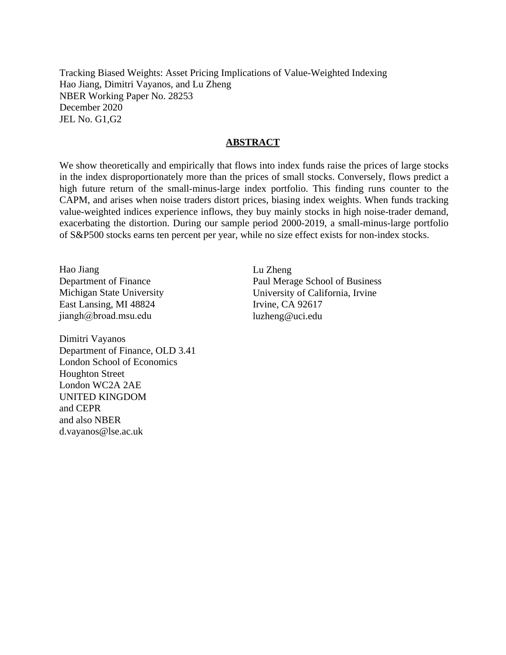Tracking Biased Weights: Asset Pricing Implications of Value-Weighted Indexing Hao Jiang, Dimitri Vayanos, and Lu Zheng NBER Working Paper No. 28253 December 2020 JEL No. G1,G2

### **ABSTRACT**

We show theoretically and empirically that flows into index funds raise the prices of large stocks in the index disproportionately more than the prices of small stocks. Conversely, flows predict a high future return of the small-minus-large index portfolio. This finding runs counter to the CAPM, and arises when noise traders distort prices, biasing index weights. When funds tracking value-weighted indices experience inflows, they buy mainly stocks in high noise-trader demand, exacerbating the distortion. During our sample period 2000-2019, a small-minus-large portfolio of S&P500 stocks earns ten percent per year, while no size effect exists for non-index stocks.

Hao Jiang Department of Finance Michigan State University East Lansing, MI 48824 jiangh@broad.msu.edu

Dimitri Vayanos Department of Finance, OLD 3.41 London School of Economics Houghton Street London WC2A 2AE UNITED KINGDOM and CEPR and also NBER d.vayanos@lse.ac.uk

Lu Zheng Paul Merage School of Business University of California, Irvine Irvine, CA 92617 luzheng@uci.edu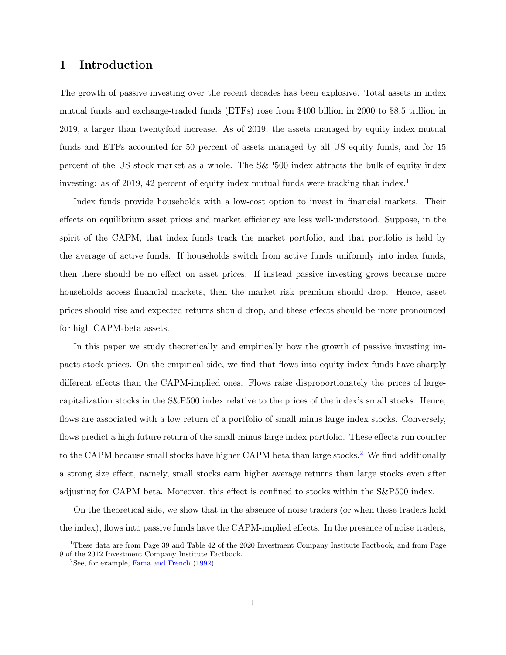## 1 Introduction

The growth of passive investing over the recent decades has been explosive. Total assets in index mutual funds and exchange-traded funds (ETFs) rose from \$400 billion in 2000 to \$8.5 trillion in 2019, a larger than twentyfold increase. As of 2019, the assets managed by equity index mutual funds and ETFs accounted for 50 percent of assets managed by all US equity funds, and for 15 percent of the US stock market as a whole. The S&P500 index attracts the bulk of equity index investing: as of 20[1](#page-2-0)9, 42 percent of equity index mutual funds were tracking that index.<sup>1</sup>

Index funds provide households with a low-cost option to invest in financial markets. Their effects on equilibrium asset prices and market efficiency are less well-understood. Suppose, in the spirit of the CAPM, that index funds track the market portfolio, and that portfolio is held by the average of active funds. If households switch from active funds uniformly into index funds, then there should be no effect on asset prices. If instead passive investing grows because more households access financial markets, then the market risk premium should drop. Hence, asset prices should rise and expected returns should drop, and these effects should be more pronounced for high CAPM-beta assets.

In this paper we study theoretically and empirically how the growth of passive investing impacts stock prices. On the empirical side, we find that flows into equity index funds have sharply different effects than the CAPM-implied ones. Flows raise disproportionately the prices of largecapitalization stocks in the S&P500 index relative to the prices of the index's small stocks. Hence, flows are associated with a low return of a portfolio of small minus large index stocks. Conversely, flows predict a high future return of the small-minus-large index portfolio. These effects run counter to the CAPM because small stocks have higher CAPM beta than large stocks.<sup>[2](#page-2-1)</sup> We find additionally a strong size effect, namely, small stocks earn higher average returns than large stocks even after adjusting for CAPM beta. Moreover, this effect is confined to stocks within the S&P500 index.

On the theoretical side, we show that in the absence of noise traders (or when these traders hold the index), flows into passive funds have the CAPM-implied effects. In the presence of noise traders,

<span id="page-2-0"></span><sup>&</sup>lt;sup>1</sup>These data are from Page 39 and Table 42 of the 2020 Investment Company Institute Factbook, and from Page 9 of the 2012 Investment Company Institute Factbook.

<span id="page-2-1"></span> $2$ See, for example, [Fama and French](#page-31-0) [\(1992\)](#page-31-0).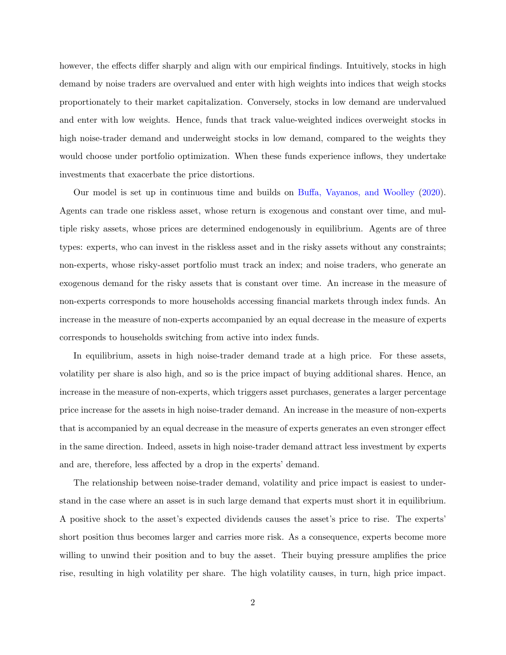however, the effects differ sharply and align with our empirical findings. Intuitively, stocks in high demand by noise traders are overvalued and enter with high weights into indices that weigh stocks proportionately to their market capitalization. Conversely, stocks in low demand are undervalued and enter with low weights. Hence, funds that track value-weighted indices overweight stocks in high noise-trader demand and underweight stocks in low demand, compared to the weights they would choose under portfolio optimization. When these funds experience inflows, they undertake investments that exacerbate the price distortions.

Our model is set up in continuous time and builds on [Buffa, Vayanos, and Woolley](#page-30-0) [\(2020\)](#page-30-0). Agents can trade one riskless asset, whose return is exogenous and constant over time, and multiple risky assets, whose prices are determined endogenously in equilibrium. Agents are of three types: experts, who can invest in the riskless asset and in the risky assets without any constraints; non-experts, whose risky-asset portfolio must track an index; and noise traders, who generate an exogenous demand for the risky assets that is constant over time. An increase in the measure of non-experts corresponds to more households accessing financial markets through index funds. An increase in the measure of non-experts accompanied by an equal decrease in the measure of experts corresponds to households switching from active into index funds.

In equilibrium, assets in high noise-trader demand trade at a high price. For these assets, volatility per share is also high, and so is the price impact of buying additional shares. Hence, an increase in the measure of non-experts, which triggers asset purchases, generates a larger percentage price increase for the assets in high noise-trader demand. An increase in the measure of non-experts that is accompanied by an equal decrease in the measure of experts generates an even stronger effect in the same direction. Indeed, assets in high noise-trader demand attract less investment by experts and are, therefore, less affected by a drop in the experts' demand.

The relationship between noise-trader demand, volatility and price impact is easiest to understand in the case where an asset is in such large demand that experts must short it in equilibrium. A positive shock to the asset's expected dividends causes the asset's price to rise. The experts' short position thus becomes larger and carries more risk. As a consequence, experts become more willing to unwind their position and to buy the asset. Their buying pressure amplifies the price rise, resulting in high volatility per share. The high volatility causes, in turn, high price impact.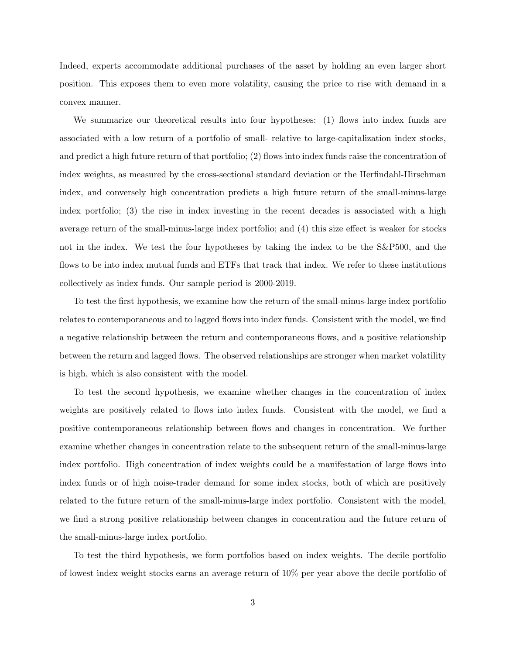Indeed, experts accommodate additional purchases of the asset by holding an even larger short position. This exposes them to even more volatility, causing the price to rise with demand in a convex manner.

We summarize our theoretical results into four hypotheses: (1) flows into index funds are associated with a low return of a portfolio of small- relative to large-capitalization index stocks, and predict a high future return of that portfolio; (2) flows into index funds raise the concentration of index weights, as measured by the cross-sectional standard deviation or the Herfindahl-Hirschman index, and conversely high concentration predicts a high future return of the small-minus-large index portfolio; (3) the rise in index investing in the recent decades is associated with a high average return of the small-minus-large index portfolio; and (4) this size effect is weaker for stocks not in the index. We test the four hypotheses by taking the index to be the S&P500, and the flows to be into index mutual funds and ETFs that track that index. We refer to these institutions collectively as index funds. Our sample period is 2000-2019.

To test the first hypothesis, we examine how the return of the small-minus-large index portfolio relates to contemporaneous and to lagged flows into index funds. Consistent with the model, we find a negative relationship between the return and contemporaneous flows, and a positive relationship between the return and lagged flows. The observed relationships are stronger when market volatility is high, which is also consistent with the model.

To test the second hypothesis, we examine whether changes in the concentration of index weights are positively related to flows into index funds. Consistent with the model, we find a positive contemporaneous relationship between flows and changes in concentration. We further examine whether changes in concentration relate to the subsequent return of the small-minus-large index portfolio. High concentration of index weights could be a manifestation of large flows into index funds or of high noise-trader demand for some index stocks, both of which are positively related to the future return of the small-minus-large index portfolio. Consistent with the model, we find a strong positive relationship between changes in concentration and the future return of the small-minus-large index portfolio.

To test the third hypothesis, we form portfolios based on index weights. The decile portfolio of lowest index weight stocks earns an average return of 10% per year above the decile portfolio of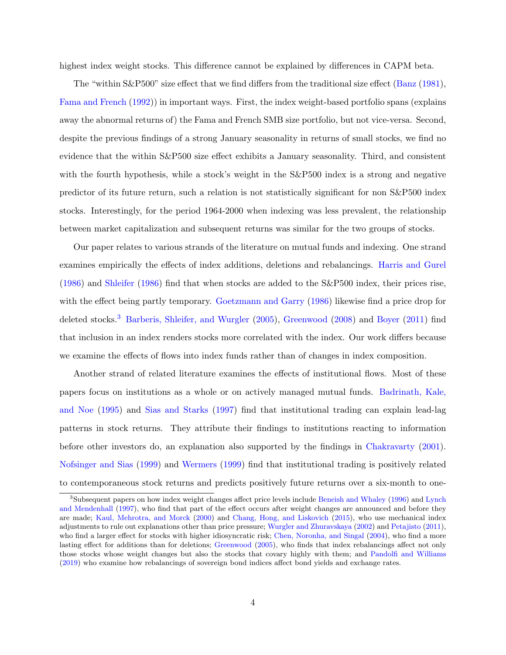highest index weight stocks. This difference cannot be explained by differences in CAPM beta.

The "within S&P500" size effect that we find differs from the traditional size effect [\(Banz](#page-30-1) [\(1981\)](#page-30-1), [Fama and French](#page-31-0) [\(1992\)](#page-31-0)) in important ways. First, the index weight-based portfolio spans (explains away the abnormal returns of) the Fama and French SMB size portfolio, but not vice-versa. Second, despite the previous findings of a strong January seasonality in returns of small stocks, we find no evidence that the within S&P500 size effect exhibits a January seasonality. Third, and consistent with the fourth hypothesis, while a stock's weight in the  $S\&P500$  index is a strong and negative predictor of its future return, such a relation is not statistically significant for non S&P500 index stocks. Interestingly, for the period 1964-2000 when indexing was less prevalent, the relationship between market capitalization and subsequent returns was similar for the two groups of stocks.

Our paper relates to various strands of the literature on mutual funds and indexing. One strand examines empirically the effects of index additions, deletions and rebalancings. [Harris and Gurel](#page-32-0) [\(1986\)](#page-32-0) and [Shleifer](#page-33-0) [\(1986\)](#page-33-0) find that when stocks are added to the S&P500 index, their prices rise, with the effect being partly temporary. [Goetzmann and Garry](#page-31-1) [\(1986\)](#page-31-1) likewise find a price drop for deleted stocks.<sup>[3](#page-5-0)</sup> [Barberis, Shleifer, and Wurgler](#page-30-2) [\(2005\)](#page-30-2), [Greenwood](#page-32-1) [\(2008\)](#page-32-1) and [Boyer](#page-30-3) [\(2011\)](#page-30-3) find that inclusion in an index renders stocks more correlated with the index. Our work differs because we examine the effects of flows into index funds rather than of changes in index composition.

Another strand of related literature examines the effects of institutional flows. Most of these papers focus on institutions as a whole or on actively managed mutual funds. [Badrinath, Kale,](#page-30-4) [and Noe](#page-30-4) [\(1995\)](#page-30-4) and [Sias and Starks](#page-33-1) [\(1997\)](#page-33-1) find that institutional trading can explain lead-lag patterns in stock returns. They attribute their findings to institutions reacting to information before other investors do, an explanation also supported by the findings in [Chakravarty](#page-30-5) [\(2001\)](#page-30-5). [Nofsinger and Sias](#page-33-2) [\(1999\)](#page-33-2) and [Wermers](#page-33-3) [\(1999\)](#page-33-3) find that institutional trading is positively related to contemporaneous stock returns and predicts positively future returns over a six-month to one-

<span id="page-5-0"></span><sup>3</sup>Subsequent papers on how index weight changes affect price levels include [Beneish and Whaley](#page-30-6) [\(1996\)](#page-30-6) and [Lynch](#page-32-2) [and Mendenhall](#page-32-2) [\(1997\)](#page-32-2), who find that part of the effect occurs after weight changes are announced and before they are made; [Kaul, Mehrotra, and Morck](#page-32-3) [\(2000\)](#page-32-3) and [Chang, Hong, and Liskovich](#page-31-2) [\(2015\)](#page-31-2), who use mechanical index adjustments to rule out explanations other than price pressure; [Wurgler and Zhuravskaya](#page-33-4) [\(2002\)](#page-33-4) and [Petajisto](#page-33-5) [\(2011\)](#page-33-5), who find a larger effect for stocks with higher idiosyncratic risk; [Chen, Noronha, and Singal](#page-31-3) [\(2004\)](#page-31-3), who find a more lasting effect for additions than for deletions; [Greenwood](#page-32-4) [\(2005\)](#page-32-4), who finds that index rebalancings affect not only those stocks whose weight changes but also the stocks that covary highly with them; and [Pandolfi and Williams](#page-33-6) [\(2019\)](#page-33-6) who examine how rebalancings of sovereign bond indices affect bond yields and exchange rates.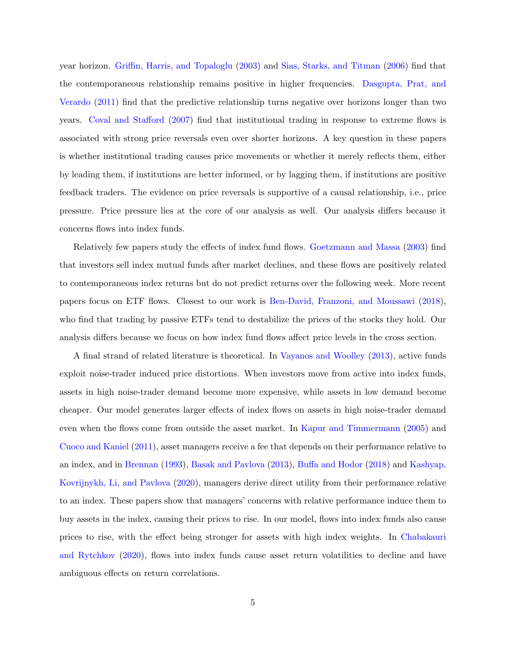year horizon. [Griffin, Harris, and Topaloglu](#page-32-5) [\(2003\)](#page-32-5) and [Sias, Starks, and Titman](#page-33-7) [\(2006\)](#page-33-7) find that the contemporaneous relationship remains positive in higher frequencies. [Dasgupta, Prat, and](#page-31-4) [Verardo](#page-31-4) [\(2011\)](#page-31-4) find that the predictive relationship turns negative over horizons longer than two years. [Coval and Stafford](#page-31-5) [\(2007\)](#page-31-5) find that institutional trading in response to extreme flows is associated with strong price reversals even over shorter horizons. A key question in these papers is whether institutional trading causes price movements or whether it merely reflects them, either by leading them, if institutions are better informed, or by lagging them, if institutions are positive feedback traders. The evidence on price reversals is supportive of a causal relationship, i.e., price pressure. Price pressure lies at the core of our analysis as well. Our analysis differs because it concerns flows into index funds.

Relatively few papers study the effects of index fund flows. [Goetzmann and Massa](#page-31-6) [\(2003\)](#page-31-6) find that investors sell index mutual funds after market declines, and these flows are positively related to contemporaneous index returns but do not predict returns over the following week. More recent papers focus on ETF flows. Closest to our work is [Ben-David, Franzoni, and Moussawi](#page-30-7) [\(2018\)](#page-30-7), who find that trading by passive ETFs tend to destabilize the prices of the stocks they hold. Our analysis differs because we focus on how index fund flows affect price levels in the cross section.

A final strand of related literature is theoretical. In [Vayanos and Woolley](#page-33-8) [\(2013\)](#page-33-8), active funds exploit noise-trader induced price distortions. When investors move from active into index funds, assets in high noise-trader demand become more expensive, while assets in low demand become cheaper. Our model generates larger effects of index flows on assets in high noise-trader demand even when the flows come from outside the asset market. In [Kapur and Timmermann](#page-32-6) [\(2005\)](#page-32-6) and [Cuoco and Kaniel](#page-31-7) [\(2011\)](#page-31-7), asset managers receive a fee that depends on their performance relative to an index, and in [Brennan](#page-30-8) [\(1993\)](#page-30-8), [Basak and Pavlova](#page-30-9) [\(2013\)](#page-30-9), [Buffa and Hodor](#page-30-10) [\(2018\)](#page-30-10) and [Kashyap,](#page-32-7) [Kovrijnykh, Li, and Pavlova](#page-32-7) [\(2020\)](#page-32-7), managers derive direct utility from their performance relative to an index. These papers show that managers' concerns with relative performance induce them to buy assets in the index, causing their prices to rise. In our model, flows into index funds also cause prices to rise, with the effect being stronger for assets with high index weights. In [Chabakauri](#page-30-11) [and Rytchkov](#page-30-11) [\(2020\)](#page-30-11), flows into index funds cause asset return volatilities to decline and have ambiguous effects on return correlations.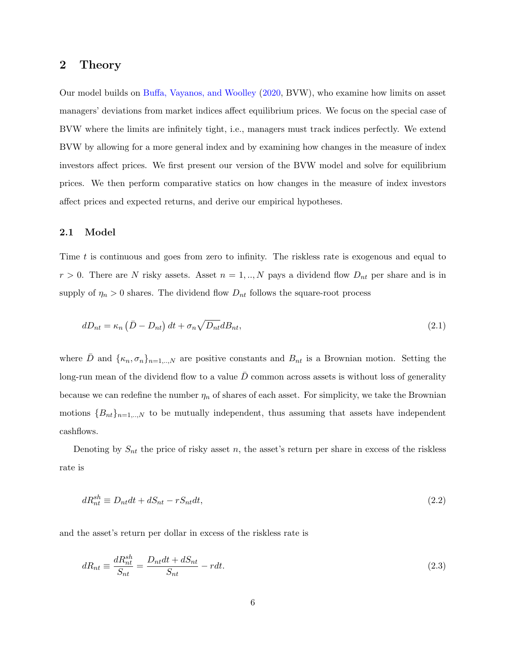## 2 Theory

Our model builds on [Buffa, Vayanos, and Woolley](#page-30-0) [\(2020,](#page-30-0) BVW), who examine how limits on asset managers' deviations from market indices affect equilibrium prices. We focus on the special case of BVW where the limits are infinitely tight, i.e., managers must track indices perfectly. We extend BVW by allowing for a more general index and by examining how changes in the measure of index investors affect prices. We first present our version of the BVW model and solve for equilibrium prices. We then perform comparative statics on how changes in the measure of index investors affect prices and expected returns, and derive our empirical hypotheses.

#### 2.1 Model

Time t is continuous and goes from zero to infinity. The riskless rate is exogenous and equal to  $r > 0$ . There are N risky assets. Asset  $n = 1, ..., N$  pays a dividend flow  $D_{nt}$  per share and is in supply of  $\eta_n > 0$  shares. The dividend flow  $D_{nt}$  follows the square-root process

<span id="page-7-0"></span>
$$
dD_{nt} = \kappa_n \left(\bar{D} - D_{nt}\right)dt + \sigma_n \sqrt{D_{nt}}dB_{nt},\tag{2.1}
$$

where D and  $\{\kappa_n, \sigma_n\}_{n=1,\dots,N}$  are positive constants and  $B_{nt}$  is a Brownian motion. Setting the long-run mean of the dividend flow to a value  $\bar{D}$  common across assets is without loss of generality because we can redefine the number  $\eta_n$  of shares of each asset. For simplicity, we take the Brownian motions  ${B_{nt}}_{n=1,...,N}$  to be mutually independent, thus assuming that assets have independent cashflows.

Denoting by  $S_{nt}$  the price of risky asset n, the asset's return per share in excess of the riskless rate is

$$
dR_{nt}^{sh} \equiv D_{nt}dt + dS_{nt} - rS_{nt}dt,\tag{2.2}
$$

and the asset's return per dollar in excess of the riskless rate is

$$
dR_{nt} \equiv \frac{dR_{nt}^{sh}}{S_{nt}} = \frac{D_{nt}dt + dS_{nt}}{S_{nt}} - rdt.
$$
\n(2.3)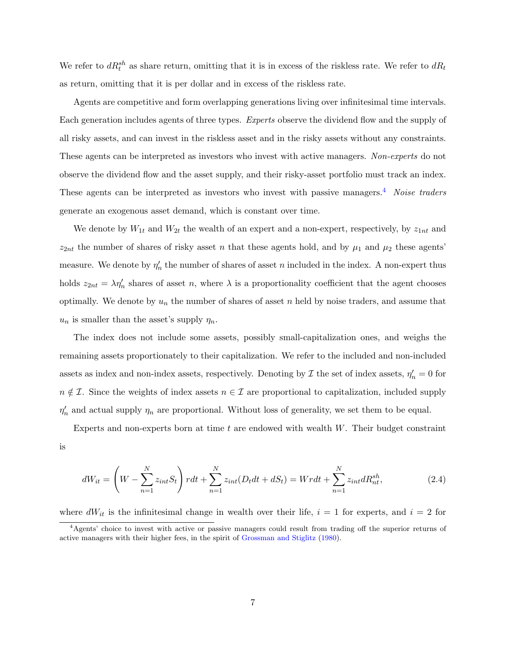We refer to  $dR_t^{sh}$  as share return, omitting that it is in excess of the riskless rate. We refer to  $dR_t$ as return, omitting that it is per dollar and in excess of the riskless rate.

Agents are competitive and form overlapping generations living over infinitesimal time intervals. Each generation includes agents of three types. Experts observe the dividend flow and the supply of all risky assets, and can invest in the riskless asset and in the risky assets without any constraints. These agents can be interpreted as investors who invest with active managers. Non-experts do not observe the dividend flow and the asset supply, and their risky-asset portfolio must track an index. These agents can be interpreted as investors who invest with passive managers.<sup>[4](#page-8-0)</sup> Noise traders generate an exogenous asset demand, which is constant over time.

We denote by  $W_{1t}$  and  $W_{2t}$  the wealth of an expert and a non-expert, respectively, by  $z_{1nt}$  and  $z_{2nt}$  the number of shares of risky asset n that these agents hold, and by  $\mu_1$  and  $\mu_2$  these agents' measure. We denote by  $\eta'_n$  the number of shares of asset n included in the index. A non-expert thus holds  $z_{2nt} = \lambda \eta_n'$  shares of asset n, where  $\lambda$  is a proportionality coefficient that the agent chooses optimally. We denote by  $u_n$  the number of shares of asset n held by noise traders, and assume that  $u_n$  is smaller than the asset's supply  $\eta_n$ .

The index does not include some assets, possibly small-capitalization ones, and weighs the remaining assets proportionately to their capitalization. We refer to the included and non-included assets as index and non-index assets, respectively. Denoting by  $\mathcal I$  the set of index assets,  $\eta'_n = 0$  for  $n \notin \mathcal{I}$ . Since the weights of index assets  $n \in \mathcal{I}$  are proportional to capitalization, included supply  $\eta'_n$  and actual supply  $\eta_n$  are proportional. Without loss of generality, we set them to be equal.

<span id="page-8-1"></span>Experts and non-experts born at time  $t$  are endowed with wealth  $W$ . Their budget constraint is

$$
dW_{it} = \left(W - \sum_{n=1}^{N} z_{int} S_t\right) r dt + \sum_{n=1}^{N} z_{int} (D_t dt + dS_t) = W r dt + \sum_{n=1}^{N} z_{int} dR_{nt}^{sh},\tag{2.4}
$$

where  $dW_{it}$  is the infinitesimal change in wealth over their life,  $i = 1$  for experts, and  $i = 2$  for

<span id="page-8-0"></span><sup>4</sup>Agents' choice to invest with active or passive managers could result from trading off the superior returns of active managers with their higher fees, in the spirit of [Grossman and Stiglitz](#page-32-8) [\(1980\)](#page-32-8).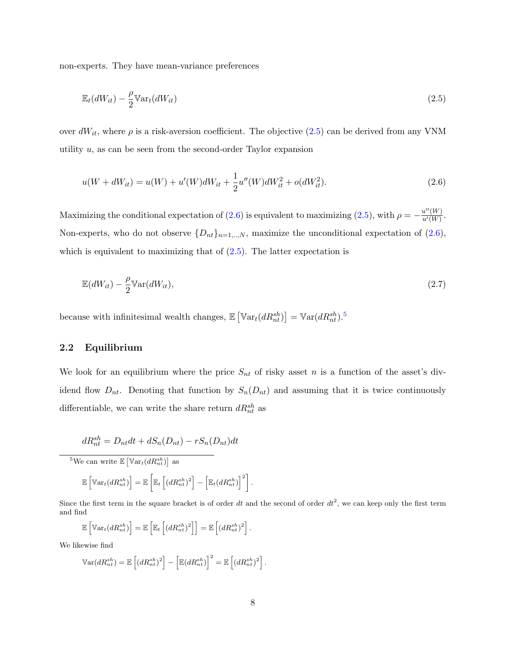non-experts. They have mean-variance preferences

<span id="page-9-0"></span>
$$
\mathbb{E}_t(dW_{it}) - \frac{\rho}{2} \mathbb{V}\mathrm{ar}_t(dW_{it})\tag{2.5}
$$

over  $dW_{it}$ , where  $\rho$  is a risk-aversion coefficient. The objective [\(2.5\)](#page-9-0) can be derived from any VNM utility  $u$ , as can be seen from the second-order Taylor expansion

<span id="page-9-1"></span>
$$
u(W + dW_{it}) = u(W) + u'(W)dW_{it} + \frac{1}{2}u''(W)dW_{it}^{2} + o(dW_{it}^{2}).
$$
\n(2.6)

Maximizing the conditional expectation of [\(2.6\)](#page-9-1) is equivalent to maximizing [\(2.5\)](#page-9-0), with  $\rho = -\frac{u''(W)}{u'(W)}$  $\frac{u^{\alpha}(W)}{u'(W)}$ . Non-experts, who do not observe  $\{D_{nt}\}_{n=1,\dots,N}$ , maximize the unconditional expectation of  $(2.6)$ , which is equivalent to maximizing that of  $(2.5)$ . The latter expectation is

<span id="page-9-3"></span>
$$
\mathbb{E}(dW_{it}) - \frac{\rho}{2} \mathbb{V}\text{ar}(dW_{it}),\tag{2.7}
$$

because with infinitesimal wealth changes,  $\mathbb{E}\left[\mathbb{V}\text{ar}_t(dR_{nt}^{sh})\right] = \mathbb{V}\text{ar}(dR_{nt}^{sh})$ .<sup>[5](#page-9-2)</sup>

### 2.2 Equilibrium

We look for an equilibrium where the price  $S_{nt}$  of risky asset n is a function of the asset's dividend flow  $D_{nt}$ . Denoting that function by  $S_n(D_{nt})$  and assuming that it is twice continuously differentiable, we can write the share return  $dR_{nt}^{sh}$  as

$$
dR_{nt}^{sh} = D_{nt}dt + dS_n(D_{nt}) - rS_n(D_{nt})dt
$$

<span id="page-9-2"></span><sup>5</sup>We can write  $\mathbb{E}\left[\mathbb{V}\mathrm{ar}_t(dR_{nt}^{sh})\right]$  as

$$
\mathbb{E}\left[\mathbb{V}\mathrm{ar}_t(dR_{nt}^{sh})\right] = \mathbb{E}\left[\mathbb{E}_t\left[(dR_{nt}^{sh})^2\right] - \left[\mathbb{E}_t(dR_{nt}^{sh})\right]^2\right].
$$

Since the first term in the square bracket is of order dt and the second of order  $dt^2$ , we can keep only the first term and find

$$
\mathbb{E}\left[\mathbb{V}\mathrm{ar}_t(dR_{nt}^{sh})\right] = \mathbb{E}\left[\mathbb{E}_t\left[(dR_{nt}^{sh})^2\right]\right] = \mathbb{E}\left[(dR_{nt}^{sh})^2\right].
$$

We likewise find

$$
\mathbb{V}\text{ar}(dR_{nt}^{sh}) = \mathbb{E}\left[\left(dR_{nt}^{sh}\right)^2\right] - \left[\mathbb{E}(dR_{nt}^{sh})\right]^2 = \mathbb{E}\left[\left(dR_{nt}^{sh}\right)^2\right].
$$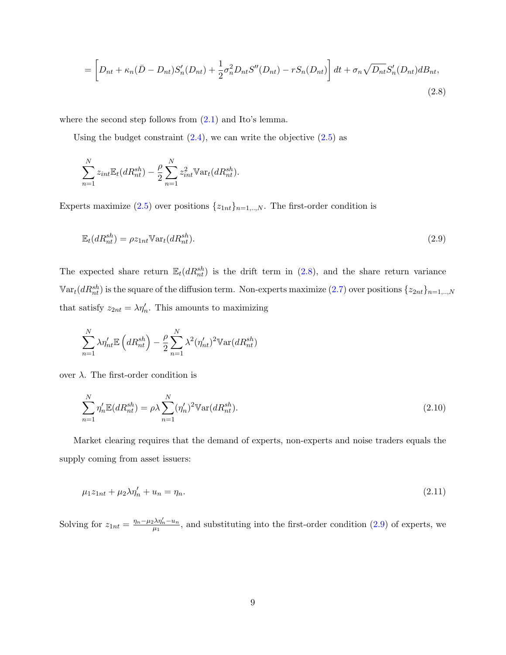<span id="page-10-0"></span>
$$
= \left[ D_{nt} + \kappa_n (\bar{D} - D_{nt}) S_n'(D_{nt}) + \frac{1}{2} \sigma_n^2 D_{nt} S''(D_{nt}) - r S_n(D_{nt}) \right] dt + \sigma_n \sqrt{D_{nt}} S_n'(D_{nt}) d B_{nt},
$$
\n(2.8)

where the second step follows from  $(2.1)$  and Ito's lemma.

Using the budget constraint  $(2.4)$ , we can write the objective  $(2.5)$  as

<span id="page-10-1"></span>
$$
\sum_{n=1}^{N} z_{int} \mathbb{E}_t(dR_{nt}^{sh}) - \frac{\rho}{2} \sum_{n=1}^{N} z_{int}^2 \mathbb{V}ar_t(dR_{nt}^{sh}).
$$

Experts maximize [\(2.5\)](#page-9-0) over positions  $\{z_{1nt}\}_{n=1,..,N}$ . The first-order condition is

$$
\mathbb{E}_t(dR_{nt}^{sh}) = \rho z_{1nt} \mathbb{V}ar_t(dR_{nt}^{sh}).\tag{2.9}
$$

The expected share return  $\mathbb{E}_{t}(dR_{nt}^{sh})$  is the drift term in [\(2.8\)](#page-10-0), and the share return variance  $\mathbb{V}\text{ar}_t(dR^{sh}_{nt})$  is the square of the diffusion term. Non-experts maximize  $(2.7)$  over positions  $\{z_{2nt}\}_{n=1,..,N}$ that satisfy  $z_{2nt} = \lambda \eta'_n$ . This amounts to maximizing

<span id="page-10-2"></span>
$$
\sum_{n=1}^{N} \lambda \eta'_{nt} \mathbb{E}\left(dR_{nt}^{sh}\right) - \frac{\rho}{2} \sum_{n=1}^{N} \lambda^2 (\eta'_{nt})^2 \mathbb{V}\text{ar}(dR_{nt}^{sh})
$$

over  $λ$ . The first-order condition is

$$
\sum_{n=1}^{N} \eta'_n \mathbb{E}(dR_{nt}^{sh}) = \rho \lambda \sum_{n=1}^{N} (\eta'_n)^2 \mathbb{V} \text{ar}(dR_{nt}^{sh}).
$$
\n(2.10)

Market clearing requires that the demand of experts, non-experts and noise traders equals the supply coming from asset issuers:

$$
\mu_1 z_{1nt} + \mu_2 \lambda \eta'_n + u_n = \eta_n. \tag{2.11}
$$

Solving for  $z_{1nt} = \frac{\eta_n - \mu_2 \lambda \eta'_n - u_n}{\mu_1}$  $\frac{\partial \mathcal{M}_n - u_n}{\partial \mu_1}$ , and substituting into the first-order condition [\(2.9\)](#page-10-1) of experts, we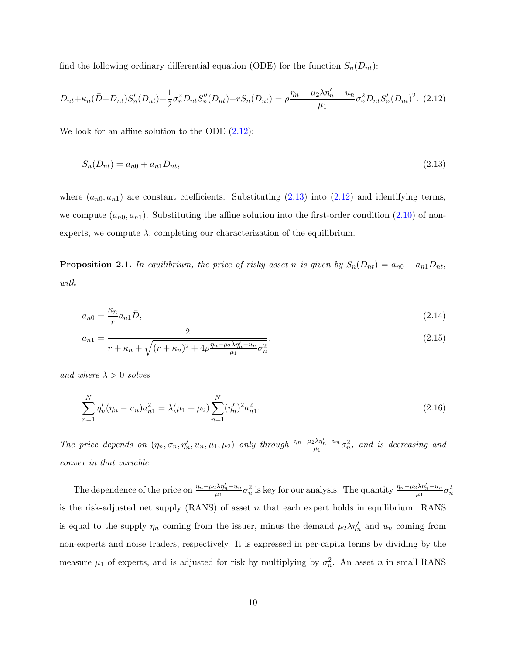find the following ordinary differential equation (ODE) for the function  $S_n(D_{nt})$ :

$$
D_{nt} + \kappa_n (\bar{D} - D_{nt}) S_n'(D_{nt}) + \frac{1}{2} \sigma_n^2 D_{nt} S_n''(D_{nt}) - r S_n(D_{nt}) = \rho \frac{\eta_n - \mu_2 \lambda \eta_n' - u_n}{\mu_1} \sigma_n^2 D_{nt} S_n'(D_{nt})^2. (2.12)
$$

We look for an affine solution to the ODE  $(2.12)$ :

<span id="page-11-1"></span><span id="page-11-0"></span>
$$
S_n(D_{nt}) = a_{n0} + a_{n1}D_{nt},\tag{2.13}
$$

where  $(a_{n0}, a_{n1})$  are constant coefficients. Substituting  $(2.13)$  into  $(2.12)$  and identifying terms, we compute  $(a_{n0}, a_{n1})$ . Substituting the affine solution into the first-order condition  $(2.10)$  of nonexperts, we compute  $\lambda$ , completing our characterization of the equilibrium.

<span id="page-11-2"></span>**Proposition 2.1.** In equilibrium, the price of risky asset n is given by  $S_n(D_{nt}) = a_{n0} + a_{n1}D_{nt}$ , with

<span id="page-11-4"></span>
$$
a_{n0} = \frac{\kappa_n}{r} a_{n1} \bar{D},\tag{2.14}
$$

<span id="page-11-5"></span><span id="page-11-3"></span>
$$
a_{n1} = \frac{2}{r + \kappa_n + \sqrt{(r + \kappa_n)^2 + 4\rho \frac{\eta_n - \mu_2 \lambda \eta_n' - u_n}{\mu_1} \sigma_n^2}},\tag{2.15}
$$

and where  $\lambda > 0$  solves

$$
\sum_{n=1}^{N} \eta'_n (\eta_n - u_n) a_{n1}^2 = \lambda(\mu_1 + \mu_2) \sum_{n=1}^{N} (\eta'_n)^2 a_{n1}^2.
$$
\n(2.16)

The price depends on  $(\eta_n, \sigma_n, \eta'_n, u_n, \mu_1, \mu_2)$  only through  $\frac{\eta_n - \mu_2 \lambda \eta'_n - u_n}{\mu_1}$  $\frac{1}{\mu_1}\lambda\eta_n'-u_n\sigma_n^2,$  and is decreasing and convex in that variable.

The dependence of the price on  $\frac{\eta_n-\mu_2\lambda\eta'_n-u_n}{\mu_1}$  $\frac{\partial \lambda \eta'_n - u_n}{\partial \mu_1} \sigma_n^2$  is key for our analysis. The quantity  $\frac{\eta_n - \mu_2 \lambda \eta'_n - u_n}{\mu_1}$  $\frac{1}{2} \frac{\lambda \eta_n' - u_n}{\mu_1} \sigma_n^2$ is the risk-adjusted net supply  $(RANS)$  of asset n that each expert holds in equilibrium. RANS is equal to the supply  $\eta_n$  coming from the issuer, minus the demand  $\mu_2 \lambda \eta_n'$  and  $u_n$  coming from non-experts and noise traders, respectively. It is expressed in per-capita terms by dividing by the measure  $\mu_1$  of experts, and is adjusted for risk by multiplying by  $\sigma_n^2$ . An asset n in small RANS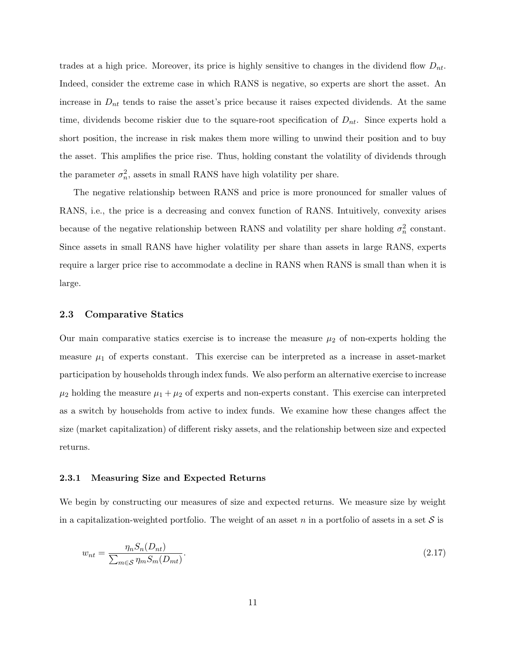trades at a high price. Moreover, its price is highly sensitive to changes in the dividend flow  $D_{nt}$ . Indeed, consider the extreme case in which RANS is negative, so experts are short the asset. An increase in  $D_{nt}$  tends to raise the asset's price because it raises expected dividends. At the same time, dividends become riskier due to the square-root specification of  $D_{nt}$ . Since experts hold a short position, the increase in risk makes them more willing to unwind their position and to buy the asset. This amplifies the price rise. Thus, holding constant the volatility of dividends through the parameter  $\sigma_n^2$ , assets in small RANS have high volatility per share.

The negative relationship between RANS and price is more pronounced for smaller values of RANS, i.e., the price is a decreasing and convex function of RANS. Intuitively, convexity arises because of the negative relationship between RANS and volatility per share holding  $\sigma_n^2$  constant. Since assets in small RANS have higher volatility per share than assets in large RANS, experts require a larger price rise to accommodate a decline in RANS when RANS is small than when it is large.

#### 2.3 Comparative Statics

Our main comparative statics exercise is to increase the measure  $\mu_2$  of non-experts holding the measure  $\mu_1$  of experts constant. This exercise can be interpreted as a increase in asset-market participation by households through index funds. We also perform an alternative exercise to increase  $\mu_2$  holding the measure  $\mu_1 + \mu_2$  of experts and non-experts constant. This exercise can interpreted as a switch by households from active to index funds. We examine how these changes affect the size (market capitalization) of different risky assets, and the relationship between size and expected returns.

#### 2.3.1 Measuring Size and Expected Returns

We begin by constructing our measures of size and expected returns. We measure size by weight in a capitalization-weighted portfolio. The weight of an asset n in a portfolio of assets in a set  $S$  is

<span id="page-12-0"></span>
$$
w_{nt} = \frac{\eta_n S_n(D_{nt})}{\sum_{m \in \mathcal{S}} \eta_m S_m(D_{mt})}.
$$
\n(2.17)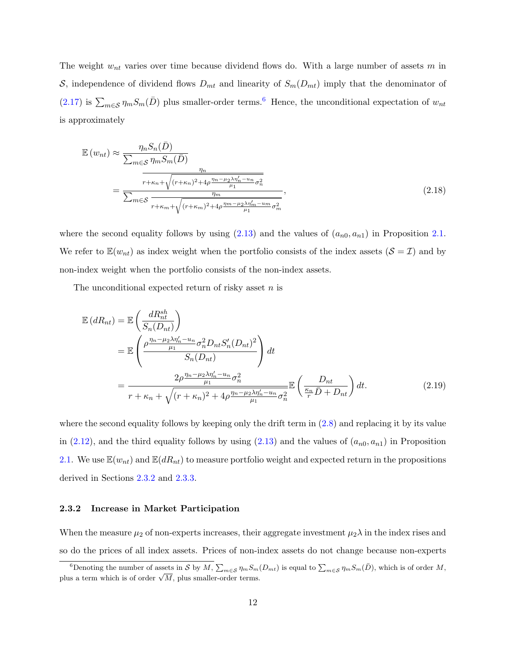The weight  $w_{nt}$  varies over time because dividend flows do. With a large number of assets m in S, independence of dividend flows  $D_{mt}$  and linearity of  $S_m(D_{mt})$  imply that the denominator of [\(2.17\)](#page-12-0) is  $\sum_{m\in\mathcal{S}} \eta_m S_m(\bar{D})$  plus smaller-order terms.<sup>[6](#page-13-0)</sup> Hence, the unconditional expectation of  $w_{nt}$ is approximately

<span id="page-13-3"></span>
$$
\mathbb{E}(w_{nt}) \approx \frac{\eta_n S_n(\bar{D})}{\sum_{m \in \mathcal{S}} \eta_m S_m(\bar{D})}
$$
\n
$$
= \frac{\frac{\eta_n}{r + \kappa_n + \sqrt{(r + \kappa_n)^2 + 4\rho \frac{\eta_n - \mu_2 \lambda \eta_n' - u_n}{\mu_1} \sigma_n^2}}}{\sum_{m \in \mathcal{S}} \frac{\eta_m}{r + \kappa_m + \sqrt{(r + \kappa_m)^2 + 4\rho \frac{\eta_m - \mu_2 \lambda \eta_m' - u_m}{\mu_1} \sigma_m^2}}},
$$
\n(2.18)

where the second equality follows by using  $(2.13)$  and the values of  $(a_{n0}, a_{n1})$  in Proposition [2.1.](#page-11-2) We refer to  $\mathbb{E}(w_{nt})$  as index weight when the portfolio consists of the index assets  $(\mathcal{S} = \mathcal{I})$  and by non-index weight when the portfolio consists of the non-index assets.

The unconditional expected return of risky asset  $n$  is

<span id="page-13-2"></span>
$$
\mathbb{E}\left(dR_{nt}\right) = \mathbb{E}\left(\frac{dR_{nt}^{sh}}{S_n(D_{nt})}\right)
$$
\n
$$
= \mathbb{E}\left(\frac{\rho \frac{\eta_n - \mu_2 \lambda \eta_n' - u_n}{\mu_1} \sigma_n^2 D_{nt} S_n'(D_{nt})^2}{S_n(D_{nt})}\right) dt
$$
\n
$$
= \frac{2\rho \frac{\eta_n - \mu_2 \lambda \eta_n' - u_n}{\mu_1} \sigma_n^2}{r + \kappa_n + \sqrt{(r + \kappa_n)^2 + 4\rho \frac{\eta_n - \mu_2 \lambda \eta_n' - u_n}{\mu_1} \sigma_n^2}} \mathbb{E}\left(\frac{D_{nt}}{\frac{\kappa_n}{r}\bar{D} + D_{nt}}\right) dt. \tag{2.19}
$$

where the second equality follows by keeping only the drift term in [\(2.8\)](#page-10-0) and replacing it by its value in [\(2.12\)](#page-11-0), and the third equality follows by using [\(2.13\)](#page-11-1) and the values of  $(a_{n0}, a_{n1})$  in Proposition [2.1.](#page-11-2) We use  $\mathbb{E}(w_{nt})$  and  $\mathbb{E}(dR_{nt})$  to measure portfolio weight and expected return in the propositions derived in Sections [2.3.2](#page-13-1) and [2.3.3.](#page-16-0)

#### <span id="page-13-1"></span>2.3.2 Increase in Market Participation

When the measure  $\mu_2$  of non-experts increases, their aggregate investment  $\mu_2 \lambda$  in the index rises and so do the prices of all index assets. Prices of non-index assets do not change because non-experts

<span id="page-13-0"></span><sup>&</sup>lt;sup>6</sup>Denoting the number of assets in S by M,  $\sum_{m\in\mathcal{S}} \eta_m S_m(D_{mt})$  is equal to  $\sum_{m\in\mathcal{S}} \eta_m S_m(\bar{D})$ , which is of order M, plus a term which is of order  $\sqrt{M}$ , plus smaller-order terms.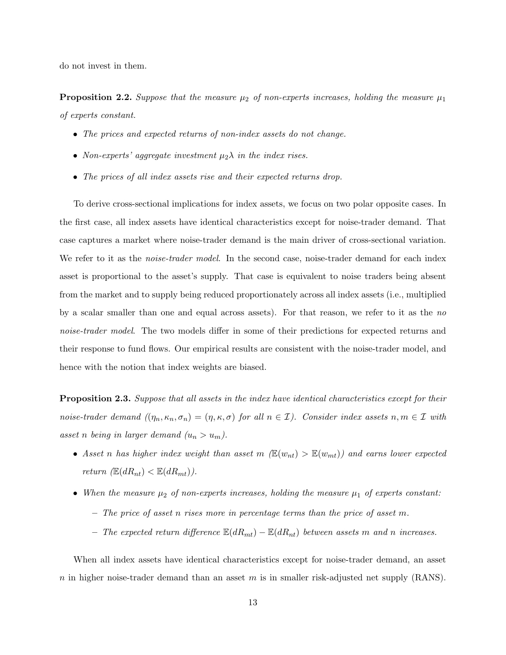do not invest in them.

<span id="page-14-1"></span>**Proposition 2.2.** Suppose that the measure  $\mu_2$  of non-experts increases, holding the measure  $\mu_1$ of experts constant.

- The prices and expected returns of non-index assets do not change.
- Non-experts' aggregate investment  $\mu_2 \lambda$  in the index rises.
- The prices of all index assets rise and their expected returns drop.

To derive cross-sectional implications for index assets, we focus on two polar opposite cases. In the first case, all index assets have identical characteristics except for noise-trader demand. That case captures a market where noise-trader demand is the main driver of cross-sectional variation. We refer to it as the *noise-trader model*. In the second case, noise-trader demand for each index asset is proportional to the asset's supply. That case is equivalent to noise traders being absent from the market and to supply being reduced proportionately across all index assets (i.e., multiplied by a scalar smaller than one and equal across assets). For that reason, we refer to it as the no noise-trader model. The two models differ in some of their predictions for expected returns and their response to fund flows. Our empirical results are consistent with the noise-trader model, and hence with the notion that index weights are biased.

<span id="page-14-0"></span>Proposition 2.3. Suppose that all assets in the index have identical characteristics except for their noise-trader demand  $((\eta_n, \kappa_n, \sigma_n) = (\eta, \kappa, \sigma)$  for all  $n \in \mathcal{I})$ . Consider index assets  $n, m \in \mathcal{I}$  with asset n being in larger demand  $(u_n > u_m)$ .

- Asset n has higher index weight than asset m  $(\mathbb{E}(w_{nt}) > \mathbb{E}(w_{mt}))$  and earns lower expected return  $(\mathbb{E}(dR_{nt}) < \mathbb{E}(dR_{mt}))$ .
- When the measure  $\mu_2$  of non-experts increases, holding the measure  $\mu_1$  of experts constant:  $-$  The price of asset n rises more in percentage terms than the price of asset m.
	- The expected return difference  $\mathbb{E}(dR_{mt}) \mathbb{E}(dR_{nt})$  between assets m and n increases.

When all index assets have identical characteristics except for noise-trader demand, an asset n in higher noise-trader demand than an asset m is in smaller risk-adjusted net supply  $(RANS)$ .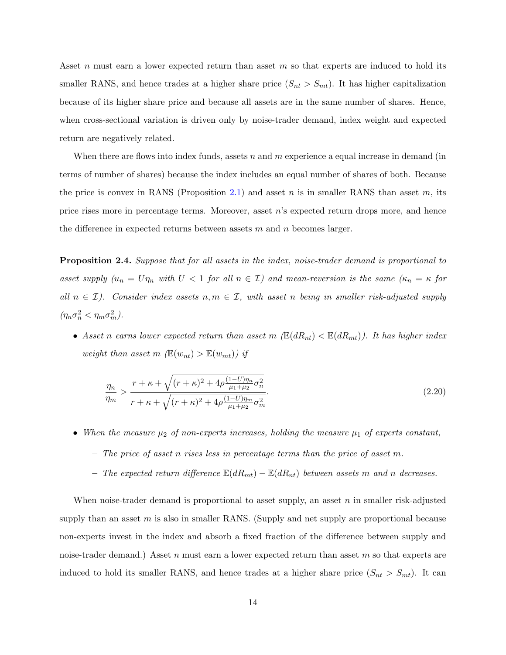Asset n must earn a lower expected return than asset  $m$  so that experts are induced to hold its smaller RANS, and hence trades at a higher share price  $(S_{nt} > S_{mt})$ . It has higher capitalization because of its higher share price and because all assets are in the same number of shares. Hence, when cross-sectional variation is driven only by noise-trader demand, index weight and expected return are negatively related.

When there are flows into index funds, assets n and m experience a equal increase in demand (in terms of number of shares) because the index includes an equal number of shares of both. Because the price is convex in RANS (Proposition [2.1\)](#page-11-2) and asset n is in smaller RANS than asset m, its price rises more in percentage terms. Moreover, asset  $n$ 's expected return drops more, and hence the difference in expected returns between assets  $m$  and  $n$  becomes larger.

<span id="page-15-0"></span>**Proposition 2.4.** Suppose that for all assets in the index, noise-trader demand is proportional to asset supply  $(u_n = U\eta_n$  with  $U < 1$  for all  $n \in \mathcal{I}$ ) and mean-reversion is the same  $(\kappa_n = \kappa)$  for all  $n \in \mathcal{I}$ ). Consider index assets  $n, m \in \mathcal{I}$ , with asset n being in smaller risk-adjusted supply  $(\eta_n \sigma_n^2 < \eta_m \sigma_m^2).$ 

• Asset n earns lower expected return than asset m  $(\mathbb{E}(dR_{nt}) < \mathbb{E}(dR_{mt}))$ . It has higher index weight than asset m  $(\mathbb{E}(w_{nt}) > \mathbb{E}(w_{mt}))$  if

<span id="page-15-1"></span>
$$
\frac{\eta_n}{\eta_m} > \frac{r + \kappa + \sqrt{(r + \kappa)^2 + 4\rho \frac{(1 - U)\eta_n}{\mu_1 + \mu_2} \sigma_n^2}}{r + \kappa + \sqrt{(r + \kappa)^2 + 4\rho \frac{(1 - U)\eta_m}{\mu_1 + \mu_2} \sigma_m^2}}.
$$
\n(2.20)

- When the measure  $\mu_2$  of non-experts increases, holding the measure  $\mu_1$  of experts constant,
	- $-$  The price of asset n rises less in percentage terms than the price of asset m.
	- The expected return difference  $\mathbb{E}(dR_{mt}) \mathbb{E}(dR_{nt})$  between assets m and n decreases.

When noise-trader demand is proportional to asset supply, an asset  $n$  in smaller risk-adjusted supply than an asset  $m$  is also in smaller RANS. (Supply and net supply are proportional because non-experts invest in the index and absorb a fixed fraction of the difference between supply and noise-trader demand.) Asset  $n$  must earn a lower expected return than asset  $m$  so that experts are induced to hold its smaller RANS, and hence trades at a higher share price  $(S_{nt} > S_{mt})$ . It can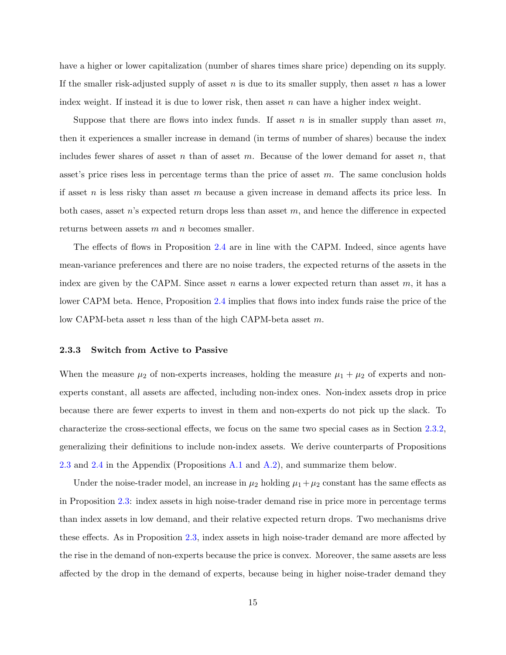have a higher or lower capitalization (number of shares times share price) depending on its supply. If the smaller risk-adjusted supply of asset n is due to its smaller supply, then asset n has a lower index weight. If instead it is due to lower risk, then asset  $n$  can have a higher index weight.

Suppose that there are flows into index funds. If asset n is in smaller supply than asset  $m$ , then it experiences a smaller increase in demand (in terms of number of shares) because the index includes fewer shares of asset n than of asset m. Because of the lower demand for asset n, that asset's price rises less in percentage terms than the price of asset  $m$ . The same conclusion holds if asset n is less risky than asset m because a given increase in demand affects its price less. In both cases, asset  $n$ 's expected return drops less than asset  $m$ , and hence the difference in expected returns between assets  $m$  and  $n$  becomes smaller.

The effects of flows in Proposition [2.4](#page-15-0) are in line with the CAPM. Indeed, since agents have mean-variance preferences and there are no noise traders, the expected returns of the assets in the index are given by the CAPM. Since asset n earns a lower expected return than asset  $m$ , it has a lower CAPM beta. Hence, Proposition [2.4](#page-15-0) implies that flows into index funds raise the price of the low CAPM-beta asset n less than of the high CAPM-beta asset  $m$ .

#### <span id="page-16-0"></span>2.3.3 Switch from Active to Passive

When the measure  $\mu_2$  of non-experts increases, holding the measure  $\mu_1 + \mu_2$  of experts and nonexperts constant, all assets are affected, including non-index ones. Non-index assets drop in price because there are fewer experts to invest in them and non-experts do not pick up the slack. To characterize the cross-sectional effects, we focus on the same two special cases as in Section [2.3.2,](#page-13-1) generalizing their definitions to include non-index assets. We derive counterparts of Propositions [2.3](#page-14-0) and [2.4](#page-15-0) in the Appendix (Propositions [A.1](#page-11-2) and [A.2\)](#page-14-1), and summarize them below.

Under the noise-trader model, an increase in  $\mu_2$  holding  $\mu_1 + \mu_2$  constant has the same effects as in Proposition [2.3:](#page-14-0) index assets in high noise-trader demand rise in price more in percentage terms than index assets in low demand, and their relative expected return drops. Two mechanisms drive these effects. As in Proposition [2.3,](#page-14-0) index assets in high noise-trader demand are more affected by the rise in the demand of non-experts because the price is convex. Moreover, the same assets are less affected by the drop in the demand of experts, because being in higher noise-trader demand they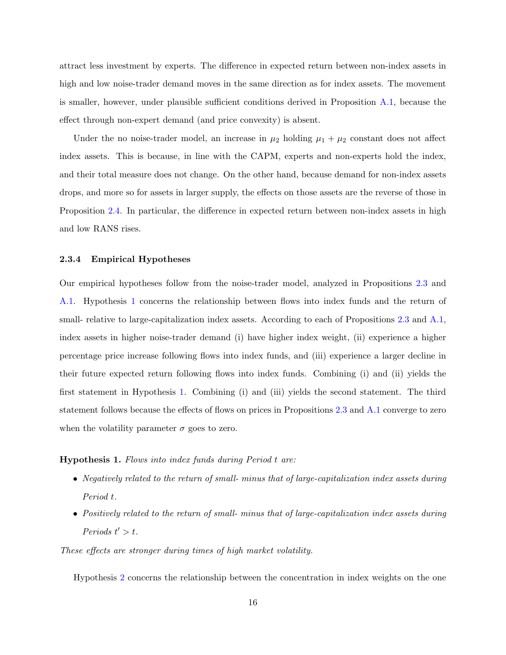attract less investment by experts. The difference in expected return between non-index assets in high and low noise-trader demand moves in the same direction as for index assets. The movement is smaller, however, under plausible sufficient conditions derived in Proposition [A.1,](#page-11-2) because the effect through non-expert demand (and price convexity) is absent.

Under the no noise-trader model, an increase in  $\mu_2$  holding  $\mu_1 + \mu_2$  constant does not affect index assets. This is because, in line with the CAPM, experts and non-experts hold the index, and their total measure does not change. On the other hand, because demand for non-index assets drops, and more so for assets in larger supply, the effects on those assets are the reverse of those in Proposition [2.4.](#page-15-0) In particular, the difference in expected return between non-index assets in high and low RANS rises.

#### 2.3.4 Empirical Hypotheses

Our empirical hypotheses follow from the noise-trader model, analyzed in Propositions [2.3](#page-14-0) and [A.1.](#page-11-2) Hypothesis [1](#page-17-0) concerns the relationship between flows into index funds and the return of small- relative to large-capitalization index assets. According to each of Propositions [2.3](#page-14-0) and [A.1,](#page-11-2) index assets in higher noise-trader demand (i) have higher index weight, (ii) experience a higher percentage price increase following flows into index funds, and (iii) experience a larger decline in their future expected return following flows into index funds. Combining (i) and (ii) yields the first statement in Hypothesis [1.](#page-17-0) Combining (i) and (iii) yields the second statement. The third statement follows because the effects of flows on prices in Propositions [2.3](#page-14-0) and [A.1](#page-11-2) converge to zero when the volatility parameter  $\sigma$  goes to zero.

#### <span id="page-17-0"></span>Hypothesis 1. Flows into index funds during Period t are:

- Negatively related to the return of small- minus that of large-capitalization index assets during Period t.
- Positively related to the return of small- minus that of large-capitalization index assets during Periods  $t' > t$ .

These effects are stronger during times of high market volatility.

Hypothesis [2](#page-18-0) concerns the relationship between the concentration in index weights on the one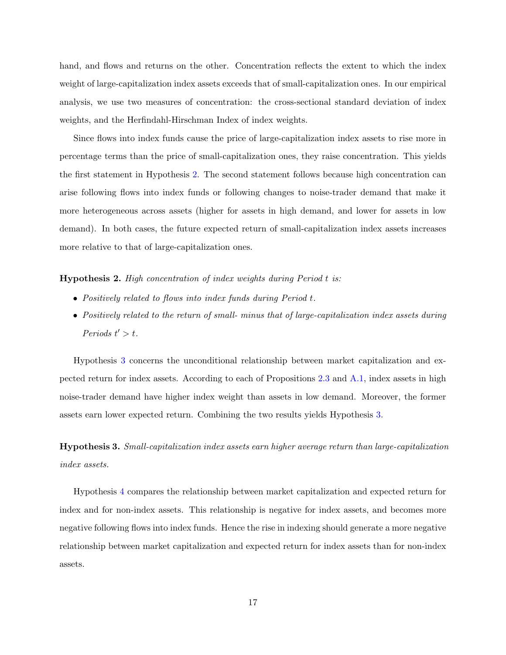hand, and flows and returns on the other. Concentration reflects the extent to which the index weight of large-capitalization index assets exceeds that of small-capitalization ones. In our empirical analysis, we use two measures of concentration: the cross-sectional standard deviation of index weights, and the Herfindahl-Hirschman Index of index weights.

Since flows into index funds cause the price of large-capitalization index assets to rise more in percentage terms than the price of small-capitalization ones, they raise concentration. This yields the first statement in Hypothesis [2.](#page-18-0) The second statement follows because high concentration can arise following flows into index funds or following changes to noise-trader demand that make it more heterogeneous across assets (higher for assets in high demand, and lower for assets in low demand). In both cases, the future expected return of small-capitalization index assets increases more relative to that of large-capitalization ones.

<span id="page-18-0"></span>Hypothesis 2. High concentration of index weights during Period t is:

- Positively related to flows into index funds during Period t.
- Positively related to the return of small- minus that of large-capitalization index assets during Periods  $t' > t$ .

Hypothesis [3](#page-18-1) concerns the unconditional relationship between market capitalization and expected return for index assets. According to each of Propositions [2.3](#page-14-0) and [A.1,](#page-11-2) index assets in high noise-trader demand have higher index weight than assets in low demand. Moreover, the former assets earn lower expected return. Combining the two results yields Hypothesis [3.](#page-18-1)

<span id="page-18-1"></span>Hypothesis 3. Small-capitalization index assets earn higher average return than large-capitalization index assets.

Hypothesis [4](#page-19-0) compares the relationship between market capitalization and expected return for index and for non-index assets. This relationship is negative for index assets, and becomes more negative following flows into index funds. Hence the rise in indexing should generate a more negative relationship between market capitalization and expected return for index assets than for non-index assets.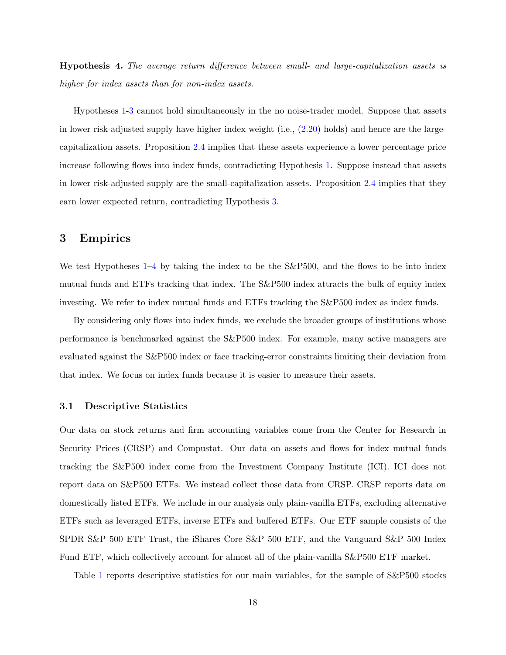<span id="page-19-0"></span>Hypothesis 4. The average return difference between small- and large-capitalization assets is higher for index assets than for non-index assets.

Hypotheses [1-](#page-17-0)[3](#page-18-1) cannot hold simultaneously in the no noise-trader model. Suppose that assets in lower risk-adjusted supply have higher index weight (i.e., [\(2.20\)](#page-15-1) holds) and hence are the largecapitalization assets. Proposition [2.4](#page-15-0) implies that these assets experience a lower percentage price increase following flows into index funds, contradicting Hypothesis [1.](#page-17-0) Suppose instead that assets in lower risk-adjusted supply are the small-capitalization assets. Proposition [2.4](#page-15-0) implies that they earn lower expected return, contradicting Hypothesis [3.](#page-18-1)

## 3 Empirics

We test Hypotheses  $1-4$  $1-4$  by taking the index to be the S&P500, and the flows to be into index mutual funds and ETFs tracking that index. The S&P500 index attracts the bulk of equity index investing. We refer to index mutual funds and ETFs tracking the S&P500 index as index funds.

By considering only flows into index funds, we exclude the broader groups of institutions whose performance is benchmarked against the S&P500 index. For example, many active managers are evaluated against the S&P500 index or face tracking-error constraints limiting their deviation from that index. We focus on index funds because it is easier to measure their assets.

#### 3.1 Descriptive Statistics

Our data on stock returns and firm accounting variables come from the Center for Research in Security Prices (CRSP) and Compustat. Our data on assets and flows for index mutual funds tracking the S&P500 index come from the Investment Company Institute (ICI). ICI does not report data on S&P500 ETFs. We instead collect those data from CRSP. CRSP reports data on domestically listed ETFs. We include in our analysis only plain-vanilla ETFs, excluding alternative ETFs such as leveraged ETFs, inverse ETFs and buffered ETFs. Our ETF sample consists of the SPDR S&P 500 ETF Trust, the iShares Core S&P 500 ETF, and the Vanguard S&P 500 Index Fund ETF, which collectively account for almost all of the plain-vanilla S&P500 ETF market.

Table [1](#page-36-0) reports descriptive statistics for our main variables, for the sample of S&P500 stocks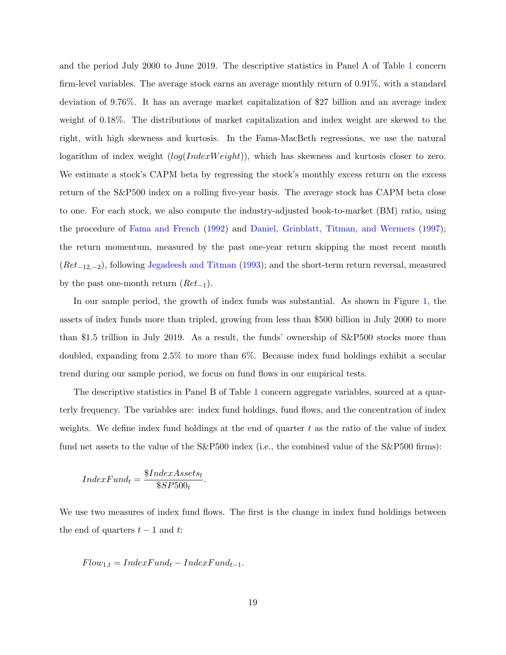and the period July 2000 to June 2019. The descriptive statistics in Panel A of Table [1](#page-36-0) concern firm-level variables. The average stock earns an average monthly return of 0.91%, with a standard deviation of 9.76%. It has an average market capitalization of \$27 billion and an average index weight of 0.18%. The distributions of market capitalization and index weight are skewed to the right, with high skewness and kurtosis. In the Fama-MacBeth regressions, we use the natural logarithm of index weight  $(log(IndexWeight))$ , which has skewness and kurtosis closer to zero. We estimate a stock's CAPM beta by regressing the stock's monthly excess return on the excess return of the S&P500 index on a rolling five-year basis. The average stock has CAPM beta close to one. For each stock, we also compute the industry-adjusted book-to-market (BM) ratio, using the procedure of [Fama and French](#page-31-0) [\(1992\)](#page-31-0) and [Daniel, Grinblatt, Titman, and Wermers](#page-31-8) [\(1997\)](#page-31-8); the return momentum, measured by the past one-year return skipping the most recent month  $(Ret_{-12,-2})$ , following [Jegadeesh and Titman](#page-32-9) [\(1993\)](#page-32-9); and the short-term return reversal, measured by the past one-month return  $(Ret_{-1})$ .

In our sample period, the growth of index funds was substantial. As shown in Figure [1,](#page-34-0) the assets of index funds more than tripled, growing from less than \$500 billion in July 2000 to more than \$1.5 trillion in July 2019. As a result, the funds' ownership of S&P500 stocks more than doubled, expanding from 2.5% to more than 6%. Because index fund holdings exhibit a secular trend during our sample period, we focus on fund flows in our empirical tests.

The descriptive statistics in Panel B of Table [1](#page-36-0) concern aggregate variables, sourced at a quarterly frequency. The variables are: index fund holdings, fund flows, and the concentration of index weights. We define index fund holdings at the end of quarter  $t$  as the ratio of the value of index fund net assets to the value of the S&P500 index (i.e., the combined value of the S&P500 firms):

$$
IndexFund_t = \frac{\$IndexAssets_t}{\$SP500_t}.
$$

We use two measures of index fund flows. The first is the change in index fund holdings between the end of quarters  $t - 1$  and t:

$$
Flow_{1,t} = IndexFund_t - IndexFund_{t-1}.
$$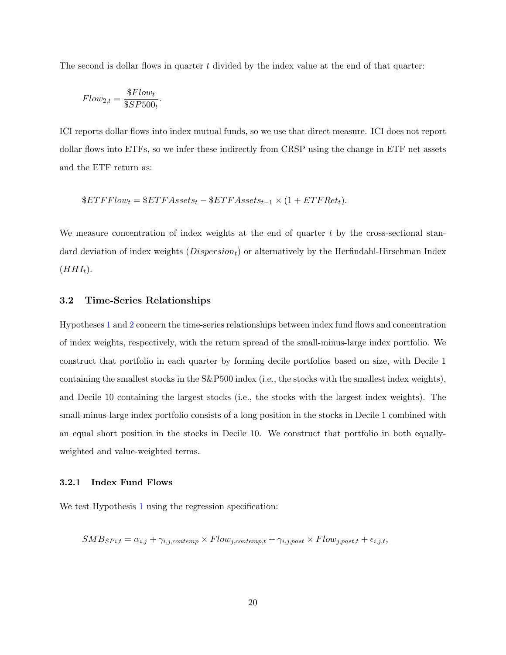The second is dollar flows in quarter  $t$  divided by the index value at the end of that quarter:

$$
Flow_{2,t} = \frac{\$Flow_t}{\$SP500_t}.
$$

ICI reports dollar flows into index mutual funds, so we use that direct measure. ICI does not report dollar flows into ETFs, so we infer these indirectly from CRSP using the change in ETF net assets and the ETF return as:

$$
&ETFFlow_t = $ETFAssets_t - $ETFAssets_{t-1} \times (1 + ETFRet_t).
$$

We measure concentration of index weights at the end of quarter  $t$  by the cross-sectional standard deviation of index weights  $(Disperson_t)$  or alternatively by the Herfindahl-Hirschman Index  $(HHI_t).$ 

### 3.2 Time-Series Relationships

Hypotheses [1](#page-17-0) and [2](#page-18-0) concern the time-series relationships between index fund flows and concentration of index weights, respectively, with the return spread of the small-minus-large index portfolio. We construct that portfolio in each quarter by forming decile portfolios based on size, with Decile 1 containing the smallest stocks in the S&P500 index (i.e., the stocks with the smallest index weights), and Decile 10 containing the largest stocks (i.e., the stocks with the largest index weights). The small-minus-large index portfolio consists of a long position in the stocks in Decile 1 combined with an equal short position in the stocks in Decile 10. We construct that portfolio in both equallyweighted and value-weighted terms.

#### 3.2.1 Index Fund Flows

We test Hypothesis [1](#page-17-0) using the regression specification:

 $SMB_{SPi,t} = \alpha_{i,j} + \gamma_{i,j,contemp} \times Flow_{j,contemp,t} + \gamma_{i,j,past} \times Flow_{j, past,t} + \epsilon_{i,j,t},$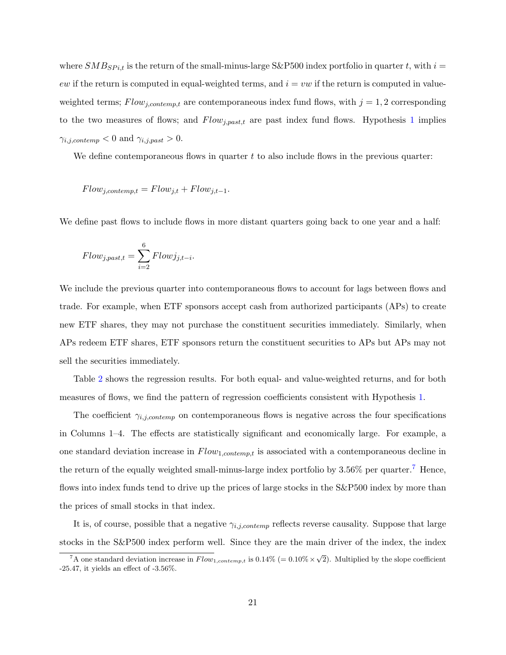where  $SMB_{SPi,t}$  is the return of the small-minus-large S&P500 index portfolio in quarter t, with  $i =$ ew if the return is computed in equal-weighted terms, and  $i = vw$  if the return is computed in valueweighted terms;  $Flow_{j,contemp, t}$  are contemporaneous index fund flows, with  $j = 1, 2$  corresponding to the two measures of flows; and  $Flow_{j,past,t}$  are past index fund flows. Hypothesis [1](#page-17-0) implies  $\gamma_{i,j,contemp} < 0$  and  $\gamma_{i,j,past} > 0$ .

We define contemporaneous flows in quarter  $t$  to also include flows in the previous quarter:

 $Flow_{j,contemp,t} = Flow_{j,t} + Flow_{j,t-1}.$ 

We define past flows to include flows in more distant quarters going back to one year and a half:

$$
Flow_{j, past,t} = \sum_{i=2}^{6} Flow_{j,t-i}.
$$

We include the previous quarter into contemporaneous flows to account for lags between flows and trade. For example, when ETF sponsors accept cash from authorized participants (APs) to create new ETF shares, they may not purchase the constituent securities immediately. Similarly, when APs redeem ETF shares, ETF sponsors return the constituent securities to APs but APs may not sell the securities immediately.

Table [2](#page-37-0) shows the regression results. For both equal- and value-weighted returns, and for both measures of flows, we find the pattern of regression coefficients consistent with Hypothesis [1.](#page-17-0)

The coefficient  $\gamma_{i,j,contemp}$  on contemporaneous flows is negative across the four specifications in Columns 1–4. The effects are statistically significant and economically large. For example, a one standard deviation increase in  $Flow_{1,contemp,t}$  is associated with a contemporaneous decline in the return of the equally weighted small-minus-large index portfolio by  $3.56\%$  per quarter.<sup>[7](#page-22-0)</sup> Hence, flows into index funds tend to drive up the prices of large stocks in the S&P500 index by more than the prices of small stocks in that index.

It is, of course, possible that a negative  $\gamma_{i,j,contemp}$  reflects reverse causality. Suppose that large stocks in the S&P500 index perform well. Since they are the main driver of the index, the index

<span id="page-22-0"></span><sup>&</sup>lt;sup>7</sup>A one standard deviation increase in  $Flow_{1,contemp,t}$  is 0.14% (= 0.10%  $\times \sqrt{2}$ ). Multiplied by the slope coefficient  $-25.47$ , it yields an effect of  $-3.56\%$ .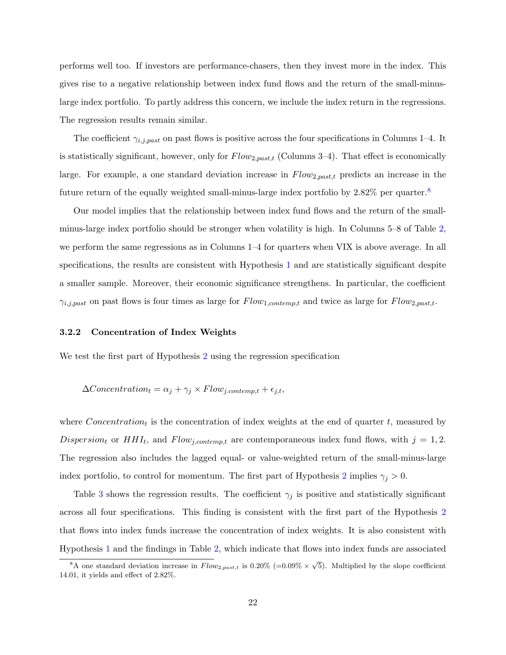performs well too. If investors are performance-chasers, then they invest more in the index. This gives rise to a negative relationship between index fund flows and the return of the small-minuslarge index portfolio. To partly address this concern, we include the index return in the regressions. The regression results remain similar.

The coefficient  $\gamma_{i,j,past}$  on past flows is positive across the four specifications in Columns 1–4. It is statistically significant, however, only for  $Flow_{2,past,t}$  (Columns 3–4). That effect is economically large. For example, a one standard deviation increase in  $Flow_{2,past,t}$  predicts an increase in the future return of the equally weighted small-minus-large index portfolio by 2.[8](#page-23-0)2% per quarter.<sup>8</sup>

Our model implies that the relationship between index fund flows and the return of the smallminus-large index portfolio should be stronger when volatility is high. In Columns 5–8 of Table [2,](#page-37-0) we perform the same regressions as in Columns 1–4 for quarters when VIX is above average. In all specifications, the results are consistent with Hypothesis [1](#page-17-0) and are statistically significant despite a smaller sample. Moreover, their economic significance strengthens. In particular, the coefficient  $\gamma_{i,j,past}$  on past flows is four times as large for  $Flow_{1,content,et}$  and twice as large for  $Flow_{2,past,t}$ .

#### 3.2.2 Concentration of Index Weights

We test the first part of Hypothesis [2](#page-18-0) using the regression specification

$$
\Delta Concentration_t = \alpha_j + \gamma_j \times Flow_{j.contemp,t} + \epsilon_{j,t},
$$

where  $Concentration_t$  is the concentration of index weights at the end of quarter t, measured by Dispersion<sub>t</sub> or  $HHI_t$ , and  $Flow_{j,contemp,t}$  are contemporaneous index fund flows, with  $j = 1, 2$ . The regression also includes the lagged equal- or value-weighted return of the small-minus-large index portfolio, to control for momentum. The first part of Hypothesis [2](#page-18-0) implies  $\gamma_j > 0$ .

Table [3](#page-38-0) shows the regression results. The coefficient  $\gamma_j$  is positive and statistically significant across all four specifications. This finding is consistent with the first part of the Hypothesis [2](#page-18-0) that flows into index funds increase the concentration of index weights. It is also consistent with Hypothesis [1](#page-17-0) and the findings in Table [2,](#page-37-0) which indicate that flows into index funds are associated

<span id="page-23-0"></span><sup>&</sup>lt;sup>8</sup>A one standard deviation increase in  $Flow_{2,past,t}$  is 0.20% (=0.09%  $\times \sqrt{5}$ ). Multiplied by the slope coefficient 14.01, it yields and effect of 2.82%.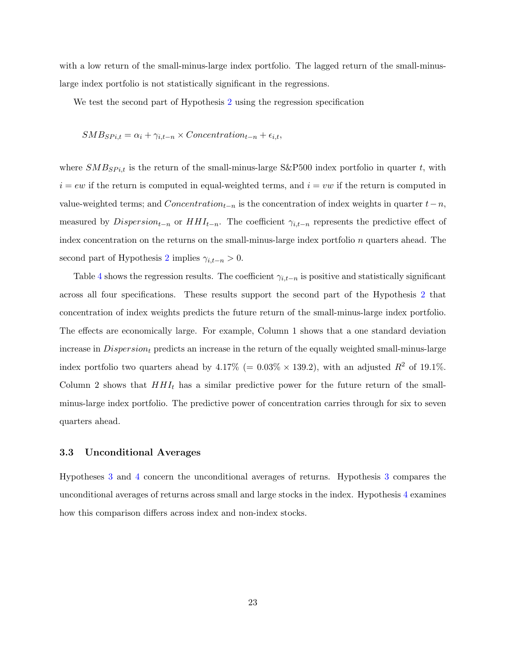with a low return of the small-minus-large index portfolio. The lagged return of the small-minuslarge index portfolio is not statistically significant in the regressions.

We test the second part of Hypothesis [2](#page-18-0) using the regression specification

$$
SMB_{SPi,t} = \alpha_i + \gamma_{i,t-n} \times Concentration_{t-n} + \epsilon_{i,t},
$$

where  $SMB_{SPi,t}$  is the return of the small-minus-large S&P500 index portfolio in quarter t, with  $i = ew$  if the return is computed in equal-weighted terms, and  $i = vw$  if the return is computed in value-weighted terms; and  $Concentration_{t-n}$  is the concentration of index weights in quarter  $t-n$ , measured by  $Disperson_{t-n}$  or  $HHI_{t-n}$ . The coefficient  $\gamma_{i,t-n}$  represents the predictive effect of index concentration on the returns on the small-minus-large index portfolio  $n$  quarters ahead. The second part of Hypothesis [2](#page-18-0) implies  $\gamma_{i,t-n} > 0$ .

Table [4](#page-39-0) shows the regression results. The coefficient  $\gamma_{i,t-n}$  is positive and statistically significant across all four specifications. These results support the second part of the Hypothesis [2](#page-18-0) that concentration of index weights predicts the future return of the small-minus-large index portfolio. The effects are economically large. For example, Column 1 shows that a one standard deviation increase in  $Dispersion<sub>t</sub>$  predicts an increase in the return of the equally weighted small-minus-large index portfolio two quarters ahead by  $4.17\%$  (= 0.03\% × 139.2), with an adjusted  $R^2$  of 19.1\%. Column 2 shows that  $HHI_t$  has a similar predictive power for the future return of the smallminus-large index portfolio. The predictive power of concentration carries through for six to seven quarters ahead.

### 3.3 Unconditional Averages

Hypotheses [3](#page-18-1) and [4](#page-19-0) concern the unconditional averages of returns. Hypothesis [3](#page-18-1) compares the unconditional averages of returns across small and large stocks in the index. Hypothesis [4](#page-19-0) examines how this comparison differs across index and non-index stocks.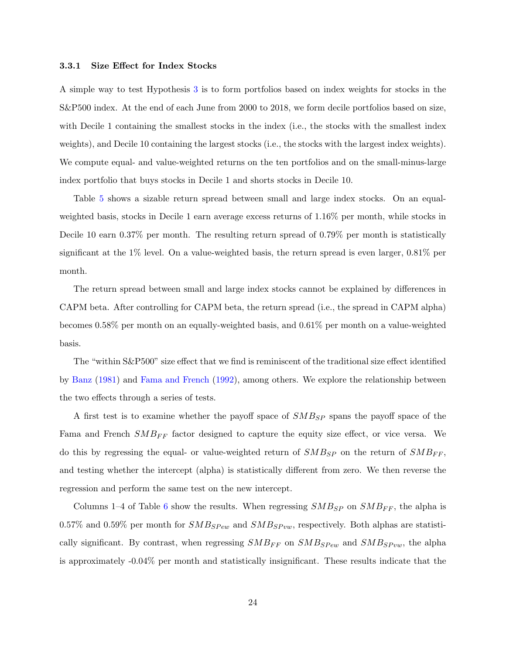#### <span id="page-25-0"></span>3.3.1 Size Effect for Index Stocks

A simple way to test Hypothesis [3](#page-18-1) is to form portfolios based on index weights for stocks in the S&P500 index. At the end of each June from 2000 to 2018, we form decile portfolios based on size, with Decile 1 containing the smallest stocks in the index (i.e., the stocks with the smallest index weights), and Decile 10 containing the largest stocks (i.e., the stocks with the largest index weights). We compute equal- and value-weighted returns on the ten portfolios and on the small-minus-large index portfolio that buys stocks in Decile 1 and shorts stocks in Decile 10.

Table [5](#page-40-0) shows a sizable return spread between small and large index stocks. On an equalweighted basis, stocks in Decile 1 earn average excess returns of 1.16% per month, while stocks in Decile 10 earn 0.37% per month. The resulting return spread of 0.79% per month is statistically significant at the 1% level. On a value-weighted basis, the return spread is even larger, 0.81% per month.

The return spread between small and large index stocks cannot be explained by differences in CAPM beta. After controlling for CAPM beta, the return spread (i.e., the spread in CAPM alpha) becomes 0.58% per month on an equally-weighted basis, and 0.61% per month on a value-weighted basis.

The "within S&P500" size effect that we find is reminiscent of the traditional size effect identified by [Banz](#page-30-1) [\(1981\)](#page-30-1) and [Fama and French](#page-31-0) [\(1992\)](#page-31-0), among others. We explore the relationship between the two effects through a series of tests.

A first test is to examine whether the payoff space of  $SMB_{SP}$  spans the payoff space of the Fama and French  $SMB_{FF}$  factor designed to capture the equity size effect, or vice versa. We do this by regressing the equal- or value-weighted return of  $SMB_{SP}$  on the return of  $SMB_{FF}$ , and testing whether the intercept (alpha) is statistically different from zero. We then reverse the regression and perform the same test on the new intercept.

Columns 1–4 of Table [6](#page-41-0) show the results. When regressing  $SMB_{SP}$  on  $SMB_{FF}$ , the alpha is 0.57% and 0.59% per month for  $SMB_{S Pew}$  and  $SMB_{S Pvw}$ , respectively. Both alphas are statistically significant. By contrast, when regressing  $SMB_{FF}$  on  $SMB_{SPew}$  and  $SMB_{SPvw}$ , the alpha is approximately -0.04% per month and statistically insignificant. These results indicate that the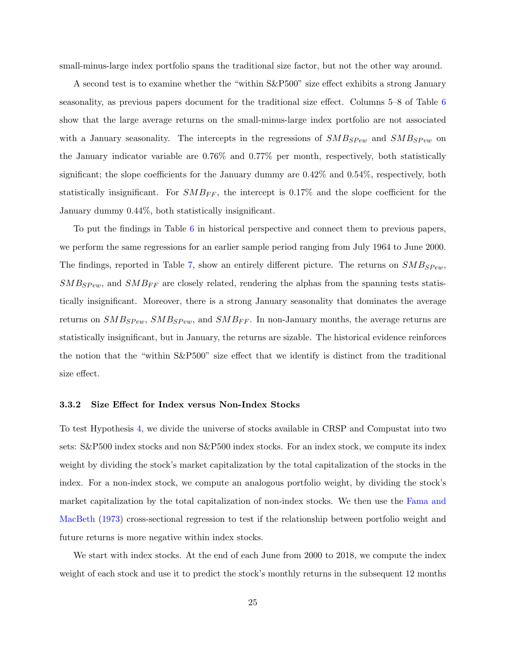small-minus-large index portfolio spans the traditional size factor, but not the other way around.

A second test is to examine whether the "within S&P500" size effect exhibits a strong January seasonality, as previous papers document for the traditional size effect. Columns 5–8 of Table [6](#page-41-0) show that the large average returns on the small-minus-large index portfolio are not associated with a January seasonality. The intercepts in the regressions of  $SMB_{SPew}$  and  $SMB_{SPvw}$  on the January indicator variable are 0.76% and 0.77% per month, respectively, both statistically significant; the slope coefficients for the January dummy are  $0.42\%$  and  $0.54\%$ , respectively, both statistically insignificant. For  $SMB_{FF}$ , the intercept is 0.17% and the slope coefficient for the January dummy 0.44%, both statistically insignificant.

To put the findings in Table [6](#page-41-0) in historical perspective and connect them to previous papers, we perform the same regressions for an earlier sample period ranging from July 1964 to June 2000. The findings, reported in Table [7,](#page-42-0) show an entirely different picture. The returns on  $SMB_{SPew}$ ,  $SMB_{SPvw}$ , and  $SMB_{FF}$  are closely related, rendering the alphas from the spanning tests statistically insignificant. Moreover, there is a strong January seasonality that dominates the average returns on  $SMB_{SPew}$ ,  $SMB_{SPvw}$ , and  $SMB_{FF}$ . In non-January months, the average returns are statistically insignificant, but in January, the returns are sizable. The historical evidence reinforces the notion that the "within S&P500" size effect that we identify is distinct from the traditional size effect.

#### 3.3.2 Size Effect for Index versus Non-Index Stocks

To test Hypothesis [4,](#page-19-0) we divide the universe of stocks available in CRSP and Compustat into two sets: S&P500 index stocks and non S&P500 index stocks. For an index stock, we compute its index weight by dividing the stock's market capitalization by the total capitalization of the stocks in the index. For a non-index stock, we compute an analogous portfolio weight, by dividing the stock's market capitalization by the total capitalization of non-index stocks. We then use the [Fama and](#page-31-9) [MacBeth](#page-31-9) [\(1973\)](#page-31-9) cross-sectional regression to test if the relationship between portfolio weight and future returns is more negative within index stocks.

We start with index stocks. At the end of each June from 2000 to 2018, we compute the index weight of each stock and use it to predict the stock's monthly returns in the subsequent 12 months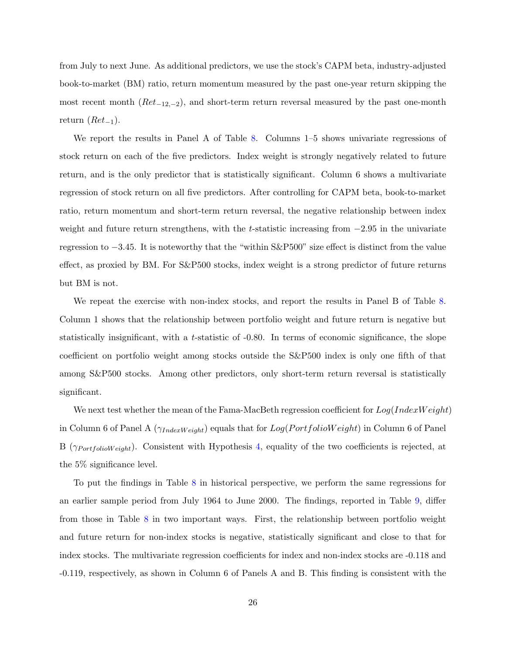from July to next June. As additional predictors, we use the stock's CAPM beta, industry-adjusted book-to-market (BM) ratio, return momentum measured by the past one-year return skipping the most recent month ( $Ret_{-12,-2}$ ), and short-term return reversal measured by the past one-month return  $(Ret_{-1})$ .

We report the results in Panel A of Table [8.](#page-43-0) Columns 1–5 shows univariate regressions of stock return on each of the five predictors. Index weight is strongly negatively related to future return, and is the only predictor that is statistically significant. Column 6 shows a multivariate regression of stock return on all five predictors. After controlling for CAPM beta, book-to-market ratio, return momentum and short-term return reversal, the negative relationship between index weight and future return strengthens, with the t-statistic increasing from  $-2.95$  in the univariate regression to −3.45. It is noteworthy that the "within S&P500" size effect is distinct from the value effect, as proxied by BM. For S&P500 stocks, index weight is a strong predictor of future returns but BM is not.

We repeat the exercise with non-index stocks, and report the results in Panel B of Table [8.](#page-43-0) Column 1 shows that the relationship between portfolio weight and future return is negative but statistically insignificant, with a t-statistic of -0.80. In terms of economic significance, the slope coefficient on portfolio weight among stocks outside the S&P500 index is only one fifth of that among S&P500 stocks. Among other predictors, only short-term return reversal is statistically significant.

We next test whether the mean of the Fama-MacBeth regression coefficient for  $Log(IndexWeight)$ in Column 6 of Panel A ( $\gamma_{IndexWeight}$ ) equals that for  $Log(Portfoliow\text{eight})$  in Column 6 of Panel B ( $\gamma_{PortfolioWeight}$ ). Consistent with Hypothesis [4,](#page-19-0) equality of the two coefficients is rejected, at the 5% significance level.

To put the findings in Table [8](#page-43-0) in historical perspective, we perform the same regressions for an earlier sample period from July 1964 to June 2000. The findings, reported in Table [9,](#page-44-0) differ from those in Table [8](#page-43-0) in two important ways. First, the relationship between portfolio weight and future return for non-index stocks is negative, statistically significant and close to that for index stocks. The multivariate regression coefficients for index and non-index stocks are -0.118 and -0.119, respectively, as shown in Column 6 of Panels A and B. This finding is consistent with the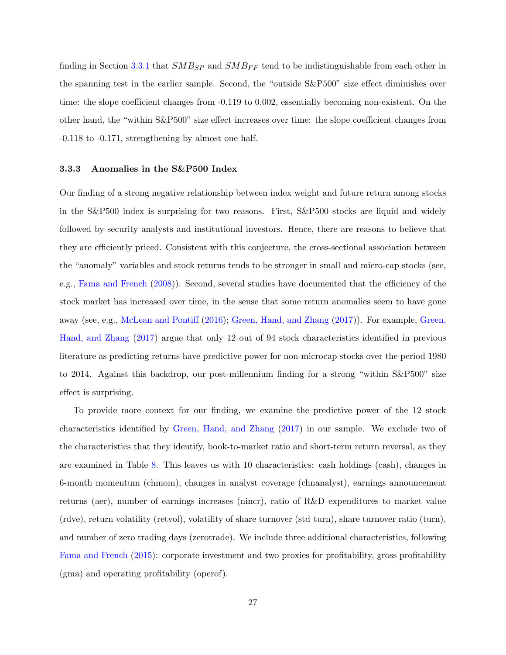finding in Section [3.3.1](#page-25-0) that  $SMB_{SP}$  and  $SMB_{FF}$  tend to be indistinguishable from each other in the spanning test in the earlier sample. Second, the "outside S&P500" size effect diminishes over time: the slope coefficient changes from -0.119 to 0.002, essentially becoming non-existent. On the other hand, the "within S&P500" size effect increases over time: the slope coefficient changes from -0.118 to -0.171, strengthening by almost one half.

#### 3.3.3 Anomalies in the S&P500 Index

Our finding of a strong negative relationship between index weight and future return among stocks in the S&P500 index is surprising for two reasons. First, S&P500 stocks are liquid and widely followed by security analysts and institutional investors. Hence, there are reasons to believe that they are efficiently priced. Consistent with this conjecture, the cross-sectional association between the "anomaly" variables and stock returns tends to be stronger in small and micro-cap stocks (see, e.g., [Fama and French](#page-31-10) [\(2008\)](#page-31-10)). Second, several studies have documented that the efficiency of the stock market has increased over time, in the sense that some return anomalies seem to have gone away (see, e.g., [McLean and Pontiff](#page-32-10) [\(2016\)](#page-32-10); [Green, Hand, and Zhang](#page-32-11) [\(2017\)](#page-32-11)). For example, [Green,](#page-32-11) [Hand, and Zhang](#page-32-11) [\(2017\)](#page-32-11) argue that only 12 out of 94 stock characteristics identified in previous literature as predicting returns have predictive power for non-microcap stocks over the period 1980 to 2014. Against this backdrop, our post-millennium finding for a strong "within S&P500" size effect is surprising.

To provide more context for our finding, we examine the predictive power of the 12 stock characteristics identified by [Green, Hand, and Zhang](#page-32-11) [\(2017\)](#page-32-11) in our sample. We exclude two of the characteristics that they identify, book-to-market ratio and short-term return reversal, as they are examined in Table [8.](#page-43-0) This leaves us with 10 characteristics: cash holdings (cash), changes in 6-month momentum (chmom), changes in analyst coverage (chnanalyst), earnings announcement returns (aer), number of earnings increases (nincr), ratio of R&D expenditures to market value (rdve), return volatility (retvol), volatility of share turnover (std turn), share turnover ratio (turn), and number of zero trading days (zerotrade). We include three additional characteristics, following [Fama and French](#page-31-11) [\(2015\)](#page-31-11): corporate investment and two proxies for profitability, gross profitability (gma) and operating profitability (operof).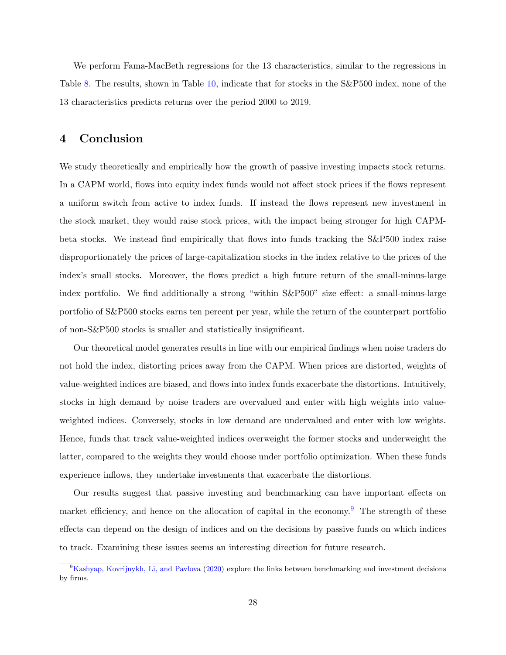We perform Fama-MacBeth regressions for the 13 characteristics, similar to the regressions in Table [8.](#page-43-0) The results, shown in Table [10,](#page-45-0) indicate that for stocks in the S&P500 index, none of the 13 characteristics predicts returns over the period 2000 to 2019.

## 4 Conclusion

We study theoretically and empirically how the growth of passive investing impacts stock returns. In a CAPM world, flows into equity index funds would not affect stock prices if the flows represent a uniform switch from active to index funds. If instead the flows represent new investment in the stock market, they would raise stock prices, with the impact being stronger for high CAPMbeta stocks. We instead find empirically that flows into funds tracking the S&P500 index raise disproportionately the prices of large-capitalization stocks in the index relative to the prices of the index's small stocks. Moreover, the flows predict a high future return of the small-minus-large index portfolio. We find additionally a strong "within S&P500" size effect: a small-minus-large portfolio of S&P500 stocks earns ten percent per year, while the return of the counterpart portfolio of non-S&P500 stocks is smaller and statistically insignificant.

Our theoretical model generates results in line with our empirical findings when noise traders do not hold the index, distorting prices away from the CAPM. When prices are distorted, weights of value-weighted indices are biased, and flows into index funds exacerbate the distortions. Intuitively, stocks in high demand by noise traders are overvalued and enter with high weights into valueweighted indices. Conversely, stocks in low demand are undervalued and enter with low weights. Hence, funds that track value-weighted indices overweight the former stocks and underweight the latter, compared to the weights they would choose under portfolio optimization. When these funds experience inflows, they undertake investments that exacerbate the distortions.

Our results suggest that passive investing and benchmarking can have important effects on market efficiency, and hence on the allocation of capital in the economy.<sup>[9](#page-29-0)</sup> The strength of these effects can depend on the design of indices and on the decisions by passive funds on which indices to track. Examining these issues seems an interesting direction for future research.

<span id="page-29-0"></span><sup>9</sup>[Kashyap, Kovrijnykh, Li, and Pavlova](#page-32-7) [\(2020\)](#page-32-7) explore the links between benchmarking and investment decisions by firms.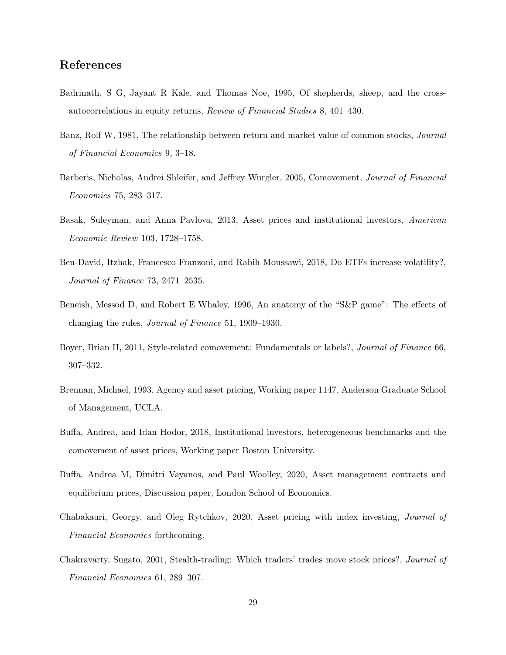# References

- <span id="page-30-4"></span>Badrinath, S G, Jayant R Kale, and Thomas Noe, 1995, Of shepherds, sheep, and the crossautocorrelations in equity returns, Review of Financial Studies 8, 401–430.
- <span id="page-30-1"></span>Banz, Rolf W, 1981, The relationship between return and market value of common stocks, Journal of Financial Economics 9, 3–18.
- <span id="page-30-2"></span>Barberis, Nicholas, Andrei Shleifer, and Jeffrey Wurgler, 2005, Comovement, Journal of Financial Economics 75, 283–317.
- <span id="page-30-9"></span>Basak, Suleyman, and Anna Pavlova, 2013, Asset prices and institutional investors, American Economic Review 103, 1728–1758.
- <span id="page-30-7"></span>Ben-David, Itzhak, Francesco Franzoni, and Rabih Moussawi, 2018, Do ETFs increase volatility?, Journal of Finance 73, 2471–2535.
- <span id="page-30-6"></span>Beneish, Messod D, and Robert E Whaley, 1996, An anatomy of the "S&P game": The effects of changing the rules, Journal of Finance 51, 1909–1930.
- <span id="page-30-3"></span>Boyer, Brian H, 2011, Style-related comovement: Fundamentals or labels?, Journal of Finance 66, 307–332.
- <span id="page-30-8"></span>Brennan, Michael, 1993, Agency and asset pricing, Working paper 1147, Anderson Graduate School of Management, UCLA.
- <span id="page-30-10"></span>Buffa, Andrea, and Idan Hodor, 2018, Institutional investors, heterogeneous benchmarks and the comovement of asset prices, Working paper Boston University.
- <span id="page-30-0"></span>Buffa, Andrea M, Dimitri Vayanos, and Paul Woolley, 2020, Asset management contracts and equilibrium prices, Discussion paper, London School of Economics.
- <span id="page-30-11"></span>Chabakauri, Georgy, and Oleg Rytchkov, 2020, Asset pricing with index investing, Journal of Financial Economics forthcoming.
- <span id="page-30-5"></span>Chakravarty, Sugato, 2001, Stealth-trading: Which traders' trades move stock prices?, Journal of Financial Economics 61, 289–307.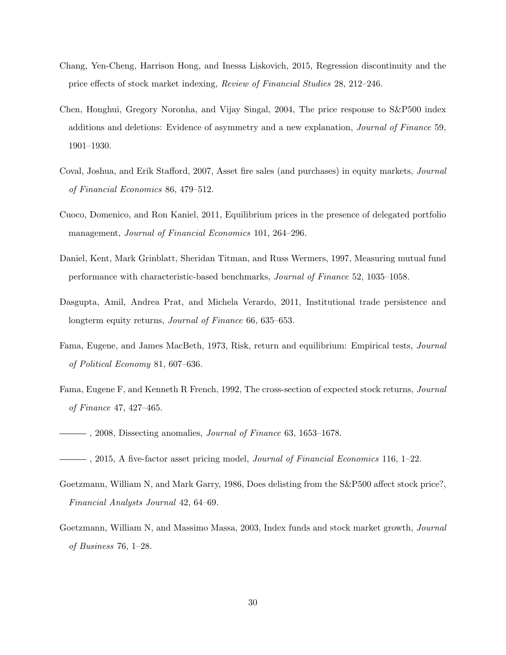- <span id="page-31-2"></span>Chang, Yen-Cheng, Harrison Hong, and Inessa Liskovich, 2015, Regression discontinuity and the price effects of stock market indexing, Review of Financial Studies 28, 212–246.
- <span id="page-31-3"></span>Chen, Honghui, Gregory Noronha, and Vijay Singal, 2004, The price response to S&P500 index additions and deletions: Evidence of asymmetry and a new explanation, Journal of Finance 59, 1901–1930.
- <span id="page-31-5"></span>Coval, Joshua, and Erik Stafford, 2007, Asset fire sales (and purchases) in equity markets, Journal of Financial Economics 86, 479–512.
- <span id="page-31-7"></span>Cuoco, Domenico, and Ron Kaniel, 2011, Equilibrium prices in the presence of delegated portfolio management, Journal of Financial Economics 101, 264–296.
- <span id="page-31-8"></span>Daniel, Kent, Mark Grinblatt, Sheridan Titman, and Russ Wermers, 1997, Measuring mutual fund performance with characteristic-based benchmarks, Journal of Finance 52, 1035–1058.
- <span id="page-31-4"></span>Dasgupta, Amil, Andrea Prat, and Michela Verardo, 2011, Institutional trade persistence and longterm equity returns, *Journal of Finance* 66, 635–653.
- <span id="page-31-9"></span>Fama, Eugene, and James MacBeth, 1973, Risk, return and equilibrium: Empirical tests, Journal of Political Economy 81, 607–636.
- <span id="page-31-0"></span>Fama, Eugene F, and Kenneth R French, 1992, The cross-section of expected stock returns, Journal of Finance 47, 427–465.
- <span id="page-31-10"></span> $\longrightarrow$ , 2008, Dissecting anomalies, *Journal of Finance* 63, 1653–1678.
- <span id="page-31-11"></span> $-$ , 2015, A five-factor asset pricing model, *Journal of Financial Economics* 116, 1–22.
- <span id="page-31-1"></span>Goetzmann, William N, and Mark Garry, 1986, Does delisting from the S&P500 affect stock price?, Financial Analysts Journal 42, 64–69.
- <span id="page-31-6"></span>Goetzmann, William N, and Massimo Massa, 2003, Index funds and stock market growth, Journal of Business 76, 1–28.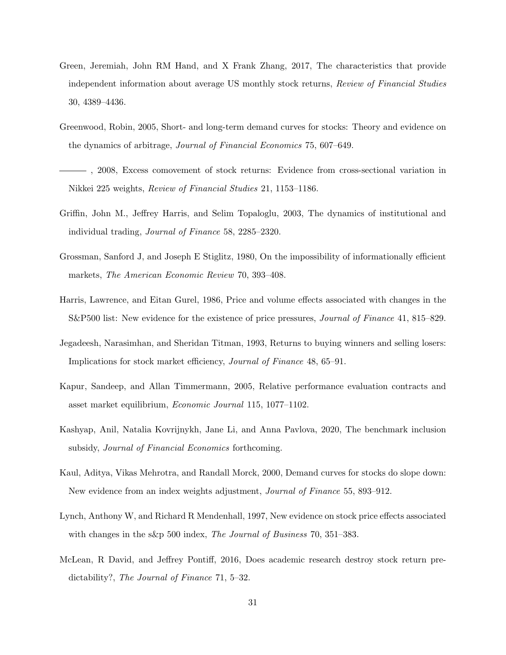- <span id="page-32-11"></span>Green, Jeremiah, John RM Hand, and X Frank Zhang, 2017, The characteristics that provide independent information about average US monthly stock returns, Review of Financial Studies 30, 4389–4436.
- <span id="page-32-4"></span>Greenwood, Robin, 2005, Short- and long-term demand curves for stocks: Theory and evidence on the dynamics of arbitrage, Journal of Financial Economics 75, 607–649.
- <span id="page-32-1"></span>, 2008, Excess comovement of stock returns: Evidence from cross-sectional variation in Nikkei 225 weights, Review of Financial Studies 21, 1153–1186.
- <span id="page-32-5"></span>Griffin, John M., Jeffrey Harris, and Selim Topaloglu, 2003, The dynamics of institutional and individual trading, Journal of Finance 58, 2285–2320.
- <span id="page-32-8"></span>Grossman, Sanford J, and Joseph E Stiglitz, 1980, On the impossibility of informationally efficient markets, The American Economic Review 70, 393–408.
- <span id="page-32-0"></span>Harris, Lawrence, and Eitan Gurel, 1986, Price and volume effects associated with changes in the S&P500 list: New evidence for the existence of price pressures, Journal of Finance 41, 815–829.
- <span id="page-32-9"></span>Jegadeesh, Narasimhan, and Sheridan Titman, 1993, Returns to buying winners and selling losers: Implications for stock market efficiency, Journal of Finance 48, 65–91.
- <span id="page-32-6"></span>Kapur, Sandeep, and Allan Timmermann, 2005, Relative performance evaluation contracts and asset market equilibrium, Economic Journal 115, 1077–1102.
- <span id="page-32-7"></span>Kashyap, Anil, Natalia Kovrijnykh, Jane Li, and Anna Pavlova, 2020, The benchmark inclusion subsidy, Journal of Financial Economics forthcoming.
- <span id="page-32-3"></span>Kaul, Aditya, Vikas Mehrotra, and Randall Morck, 2000, Demand curves for stocks do slope down: New evidence from an index weights adjustment, Journal of Finance 55, 893–912.
- <span id="page-32-2"></span>Lynch, Anthony W, and Richard R Mendenhall, 1997, New evidence on stock price effects associated with changes in the s&p 500 index, The Journal of Business 70, 351–383.
- <span id="page-32-10"></span>McLean, R David, and Jeffrey Pontiff, 2016, Does academic research destroy stock return predictability?, The Journal of Finance 71, 5–32.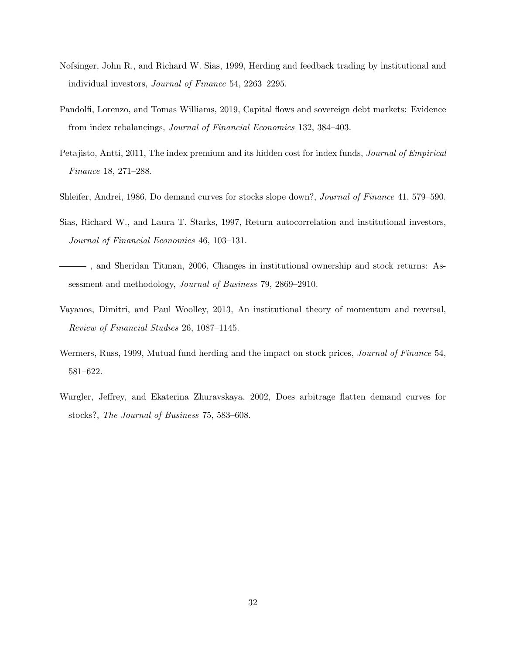- <span id="page-33-2"></span>Nofsinger, John R., and Richard W. Sias, 1999, Herding and feedback trading by institutional and individual investors, Journal of Finance 54, 2263–2295.
- <span id="page-33-6"></span>Pandolfi, Lorenzo, and Tomas Williams, 2019, Capital flows and sovereign debt markets: Evidence from index rebalancings, Journal of Financial Economics 132, 384–403.
- <span id="page-33-5"></span>Petajisto, Antti, 2011, The index premium and its hidden cost for index funds, Journal of Empirical Finance 18, 271–288.
- <span id="page-33-0"></span>Shleifer, Andrei, 1986, Do demand curves for stocks slope down?, Journal of Finance 41, 579–590.
- <span id="page-33-1"></span>Sias, Richard W., and Laura T. Starks, 1997, Return autocorrelation and institutional investors, Journal of Financial Economics 46, 103–131.
- <span id="page-33-7"></span>, and Sheridan Titman, 2006, Changes in institutional ownership and stock returns: Assessment and methodology, Journal of Business 79, 2869–2910.
- <span id="page-33-8"></span>Vayanos, Dimitri, and Paul Woolley, 2013, An institutional theory of momentum and reversal, Review of Financial Studies 26, 1087–1145.
- <span id="page-33-3"></span>Wermers, Russ, 1999, Mutual fund herding and the impact on stock prices, Journal of Finance 54, 581–622.
- <span id="page-33-4"></span>Wurgler, Jeffrey, and Ekaterina Zhuravskaya, 2002, Does arbitrage flatten demand curves for stocks?, The Journal of Business 75, 583–608.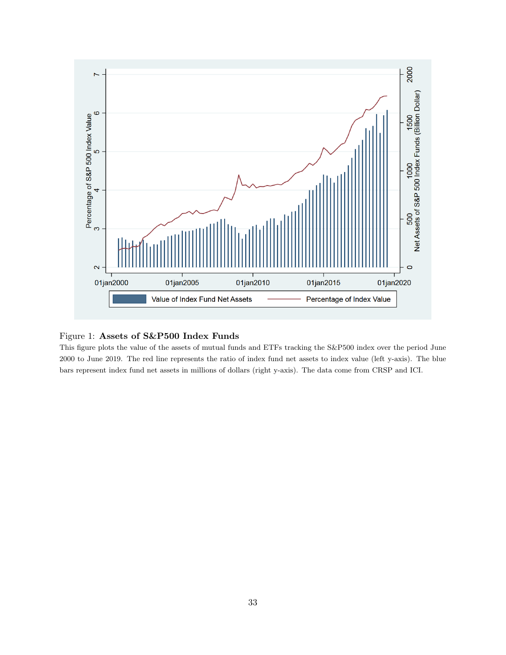<span id="page-34-0"></span>

### Figure 1: Assets of S&P500 Index Funds

This figure plots the value of the assets of mutual funds and ETFs tracking the S&P500 index over the period June 2000 to June 2019. The red line represents the ratio of index fund net assets to index value (left y-axis). The blue bars represent index fund net assets in millions of dollars (right y-axis). The data come from CRSP and ICI.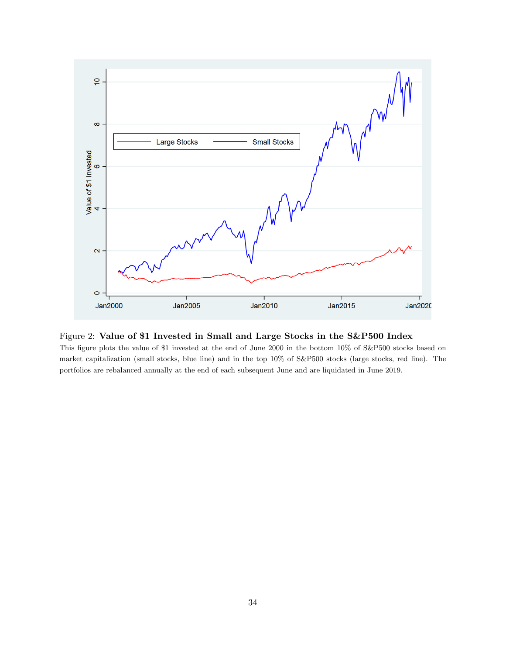

### Figure 2: Value of \$1 Invested in Small and Large Stocks in the S&P500 Index

This figure plots the value of \$1 invested at the end of June 2000 in the bottom 10% of S&P500 stocks based on market capitalization (small stocks, blue line) and in the top 10% of S&P500 stocks (large stocks, red line). The portfolios are rebalanced annually at the end of each subsequent June and are liquidated in June 2019.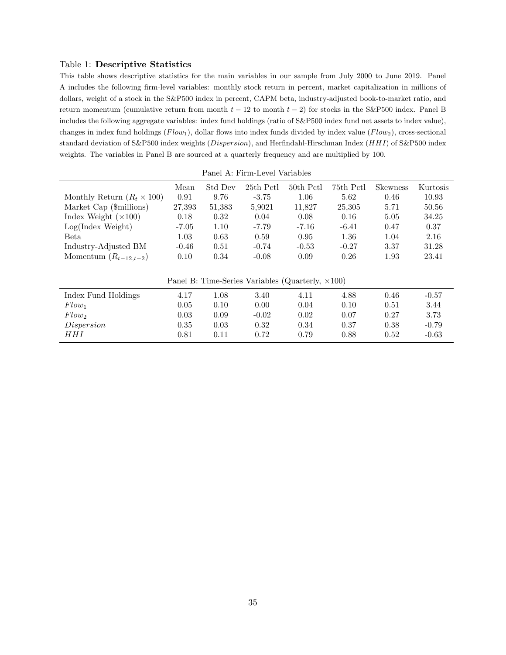#### <span id="page-36-0"></span>Table 1: Descriptive Statistics

This table shows descriptive statistics for the main variables in our sample from July 2000 to June 2019. Panel A includes the following firm-level variables: monthly stock return in percent, market capitalization in millions of dollars, weight of a stock in the S&P500 index in percent, CAPM beta, industry-adjusted book-to-market ratio, and return momentum (cumulative return from month  $t - 12$  to month  $t - 2$ ) for stocks in the S&P500 index. Panel B includes the following aggregate variables: index fund holdings (ratio of S&P500 index fund net assets to index value), changes in index fund holdings  $(Flow_1)$ , dollar flows into index funds divided by index value  $(Flow_2)$ , cross-sectional standard deviation of S&P500 index weights (Dispersion), and Herfindahl-Hirschman Index (HHI) of S&P500 index weights. The variables in Panel B are sourced at a quarterly frequency and are multiplied by 100.

|                                   |         |         | Panel A: Firm-Level Variables |                                                           |           |          |          |
|-----------------------------------|---------|---------|-------------------------------|-----------------------------------------------------------|-----------|----------|----------|
|                                   | Mean    | Std Dev | 25th Pctl                     | 50th Pctl                                                 | 75th Pctl | Skewness | Kurtosis |
| Monthly Return $(R_t \times 100)$ | 0.91    | 9.76    | $-3.75$                       | 1.06                                                      | 5.62      | 0.46     | 10.93    |
| Market Cap (\$millions)           | 27,393  | 51,383  | 5,9021                        | 11,827                                                    | 25,305    | 5.71     | 50.56    |
| Index Weight $(\times 100)$       | 0.18    | 0.32    | 0.04                          | 0.08                                                      | 0.16      | 5.05     | 34.25    |
| Log(Index Weight)                 | $-7.05$ | 1.10    | $-7.79$                       | $-7.16$                                                   | $-6.41$   | 0.47     | 0.37     |
| Beta                              | 1.03    | 0.63    | 0.59                          | 0.95                                                      | 1.36      | 1.04     | 2.16     |
| Industry-Adjusted BM              | $-0.46$ | 0.51    | $-0.74$                       | $-0.53$                                                   | $-0.27$   | 3.37     | 31.28    |
| Momentum $(R_{t-12,t-2})$         | 0.10    | 0.34    | $-0.08$                       | 0.09                                                      | 0.26      | 1.93     | 23.41    |
|                                   |         |         |                               |                                                           |           |          |          |
|                                   |         |         |                               | Panel B: Time-Series Variables (Quarterly, $\times 100$ ) |           |          |          |

| Index Fund Holdings | 4.17       | .08  | 3.40    | 4.11 | 4.88 | 0.46     | $-0.57$ |
|---------------------|------------|------|---------|------|------|----------|---------|
| $Flow_1$            | $\rm 0.05$ | 0.10 | 0.00    | 0.04 | 0.10 | 0.51     | 3.44    |
| $Flow_2$            | 0.03       | 0.09 | $-0.02$ | 0.02 | 0.07 | 0.27     | 3.73    |
| Dispersion          | $0.35\,$   | 0.03 | 0.32    | 0.34 | 0.37 | 0.38     | $-0.79$ |
| HHI                 | 0.81       | 0.11 | 0.72    | 0.79 | 0.88 | $0.52\,$ | $-0.63$ |

35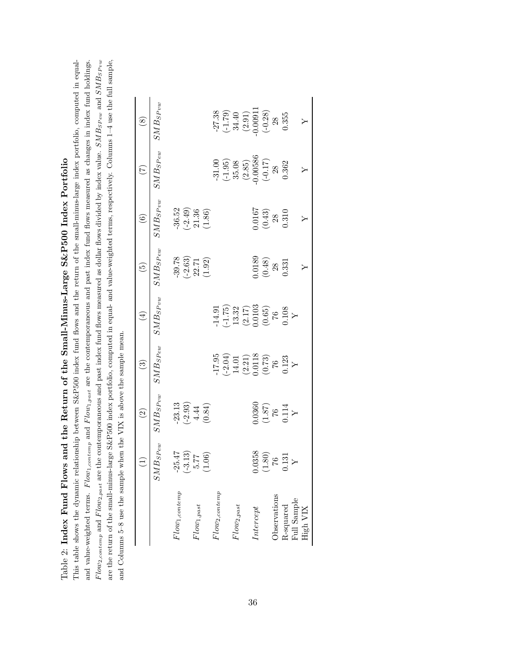<span id="page-37-0"></span>Table 2: Index Fund Flows and the Return of the Small-Minus-Large S&P500 Index Portfolio Table 2: Index Fund Flows and the Return of the Small-Minus-Large S&P500 Index Portfolio

 $Flow_{2,contemp}$  and  $Flow_{2,post}$  are the contemporaneous and past index fund flows measured as dollar flows divided by index value. SMB<sub>SPew</sub> and SMB<sub>SPvw</sub> are the return of the small-minus-large S&P500 index portfolio, computed in equal- and value-weighted terms, respectively. Columns 1-4 use the full sample, This table shows the dynamic relationship between S&P500 index fund flows and the return of the small-minus-large index portfolio, computed in equaland value-weighted terms. Flow<sub>1,contemp</sub> and Flow<sub>1,past</sub> are the contemporaneous and past index fund flows measured as changes in index fund holdings. This table shows the dynamic relationship between S&P500 index fund flows and the return of the small-minus-large index portfolio, computed in equaland value-weighted terms.  $Flow_{1,content}$  and  $Flow_{1,post}$  are the contemporaneous and past index fund flows measured as changes in index fund holdings. Flow2,contemp and Flow2,past are the contemporaneous and past index fund flows measured as dollar flows divided by index value. SMB<sub>SP ew</sub> and SMB<sub>SP</sub> vw are the return of the small-minus-large S&P500 index portfolio, computed in equal- and value-weighted terms, respectively. Columns 1–4 use the full sample, and Columns 5-8 use the sample when the VIX is above the sample mean. and Columns 5–8 use the sample when the VIX is above the sample mean.

|                    |                        | $\odot$                                                            | $\odot$                                                                                                       | $\bigoplus$                                                                                               | $\widetilde{\mathfrak{G}}$                                          | $\widehat{\mathfrak{S}}$                                       | E                                                                                               | $\circledast$                                                                                             |
|--------------------|------------------------|--------------------------------------------------------------------|---------------------------------------------------------------------------------------------------------------|-----------------------------------------------------------------------------------------------------------|---------------------------------------------------------------------|----------------------------------------------------------------|-------------------------------------------------------------------------------------------------|-----------------------------------------------------------------------------------------------------------|
|                    | $\mathcal{SMB}_{SPew}$ | $\mathcal{SMB}_{S\operatorname{\mathcal{P}vw}}$                    | $\mathcal{SMB}_{SPew}$                                                                                        | $\mathcal{S}MB_{SPvw}$                                                                                    | $\mathcal{S}MB_{SPew}$                                              | $\dot{M} B_S P_{vw}$                                           | $M_{SPew}$                                                                                      | $\mathcal{S}MB_{SPvw}$                                                                                    |
| $Flow_{1,contemp}$ | $-25.47$               | $\begin{array}{c} -23.13 \\ (-2.93) \\ 4.44 \\ (0.84) \end{array}$ |                                                                                                               |                                                                                                           | $\begin{array}{c} -39.78 \\ (-2.63) \\ 22.71 \\ (1.92) \end{array}$ | $\frac{-36.52}{(-2.49)}$<br>$\frac{21.36}{(1.86)}$             |                                                                                                 |                                                                                                           |
|                    | $(-3.13)$              |                                                                    |                                                                                                               |                                                                                                           |                                                                     |                                                                |                                                                                                 |                                                                                                           |
| $Flow_{1, past}$   | 5.77                   |                                                                    |                                                                                                               |                                                                                                           |                                                                     |                                                                |                                                                                                 |                                                                                                           |
|                    | (1.06)                 |                                                                    |                                                                                                               |                                                                                                           |                                                                     |                                                                |                                                                                                 |                                                                                                           |
| $Flow_{2,contemp}$ |                        |                                                                    |                                                                                                               |                                                                                                           |                                                                     |                                                                | $-31.00$                                                                                        |                                                                                                           |
|                    |                        |                                                                    |                                                                                                               |                                                                                                           |                                                                     |                                                                |                                                                                                 |                                                                                                           |
| $Flow_{2, past}$   |                        |                                                                    |                                                                                                               |                                                                                                           |                                                                     |                                                                |                                                                                                 |                                                                                                           |
|                    |                        |                                                                    |                                                                                                               |                                                                                                           |                                                                     |                                                                |                                                                                                 |                                                                                                           |
| Intercept          | 0.0358                 |                                                                    |                                                                                                               |                                                                                                           |                                                                     |                                                                |                                                                                                 |                                                                                                           |
|                    | (1.80)                 | $\begin{array}{c} (1.87) \ (1.87) \ 0.114 \ 0.114 \end{array}$     | $\begin{array}{l} -17.95 \\ (-2.04) \\ 14.01 \\ (2.21) \\ 0.0118 \\ (0.73) \\ (0.73) \\ 0.123 \\ \end{array}$ | $\begin{array}{l} -14.91 \\ (-1.75) \\ 13.32 \\ (2.17) \\ 0.0103 \\ (65) \\ 76 \\ 0.108 \\ Y \end{array}$ | $\begin{array}{c} 0.0189 \\ (0.48) \\ 28 \\ 0.331 \end{array}$      | $\begin{array}{c} 0.0167 \\ (0.43) \\ 28 \\ 0.310 \end{array}$ | $\begin{array}{c} (-1.95) \\ 35.08 \\ (2.85) \\ (0.00586 \\ (-0.17) \\ 28 \\ 0.362 \end{array}$ | $\begin{array}{c} -27.38 \\ (-1.79) \\ 34.40 \\ (2.91) \\ -0.00911 \\ (-0.28) \\ 28 \\ 0.355 \end{array}$ |
| Observations       | $\frac{9}{2}$          |                                                                    |                                                                                                               |                                                                                                           |                                                                     |                                                                |                                                                                                 |                                                                                                           |
| R-squared          | 1.31                   |                                                                    |                                                                                                               |                                                                                                           |                                                                     |                                                                |                                                                                                 |                                                                                                           |
| Full Sample        |                        |                                                                    |                                                                                                               |                                                                                                           |                                                                     |                                                                |                                                                                                 |                                                                                                           |
| High VIX           |                        |                                                                    |                                                                                                               |                                                                                                           |                                                                     |                                                                |                                                                                                 |                                                                                                           |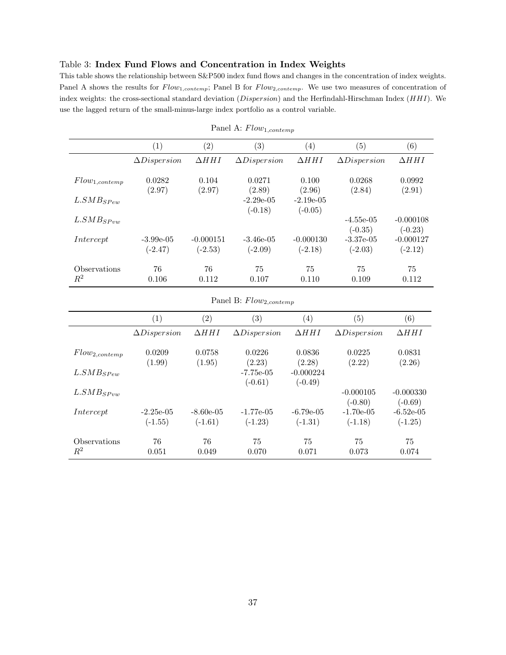### <span id="page-38-0"></span>Table 3: Index Fund Flows and Concentration in Index Weights

This table shows the relationship between S&P500 index fund flows and changes in the concentration of index weights. Panel A shows the results for  $Flow_{1,contemp}$ ; Panel B for  $Flow_{2,contemp}$ . We use two measures of concentration of index weights: the cross-sectional standard deviation (Dispersion) and the Herfindahl-Hirschman Index (HHI). We use the lagged return of the small-minus-large index portfolio as a control variable.

|                                | (1)                      | $\left( 2\right)$        | $\left( 3\right)$         | $\left( 4\right)$         | $\left( 5\right)$         | $\left( 6\right)$        |
|--------------------------------|--------------------------|--------------------------|---------------------------|---------------------------|---------------------------|--------------------------|
|                                | $\Delta Disperson$       | $\Delta HHI$             | $\Delta Disperson$        | $\Delta HHI$              | $\Delta Disperson$        | $\Delta HHI$             |
| $Flow_{1,contemp}$             | 0.0282<br>(2.97)         | 0.104<br>(2.97)          | 0.0271<br>(2.89)          | 0.100<br>(2.96)           | 0.0268<br>(2.84)          | 0.0992<br>(2.91)         |
| $L. SMB$ <sub>S</sub> $P_{ew}$ |                          |                          | $-2.29e-0.5$<br>$(-0.18)$ | $-2.19e-0.5$<br>$(-0.05)$ |                           |                          |
| $L. SMB_{SPvw}$                |                          |                          |                           |                           | $-4.55e-05$<br>$(-0.35)$  | $-0.000108$<br>$(-0.23)$ |
| Intercept                      | $-3.99e-05$<br>$(-2.47)$ | $-0.000151$<br>$(-2.53)$ | $-3.46e-05$<br>$(-2.09)$  | $-0.000130$<br>$(-2.18)$  | $-3.37e-0.5$<br>$(-2.03)$ | $-0.000127$<br>$(-2.12)$ |
| Observations<br>$\,R^2$        | 76<br>0.106              | 76<br>0.112              | 75<br>0.107               | 75<br>0.110               | 75<br>0.109               | 75<br>0.112              |

| Panel A: $Flow_{1,contemp}$ |  |
|-----------------------------|--|
|-----------------------------|--|

# Panel B:  $Flow_{2,contemp}$

|                          | $\left( 1\right)$         | $\left( 2\right)$        | $\left( 3\right)$        | $\left( 4\right)$        | $\left( 5\right)$         | (6)                       |
|--------------------------|---------------------------|--------------------------|--------------------------|--------------------------|---------------------------|---------------------------|
|                          | $\Delta Disperson$        | $\Delta HHI$             | $\Delta Disperson$       | $\Delta HHI$             | $\Delta Disperson$        | $\Delta HHI$              |
| $Flow_{2,contemp}$       | 0.0209<br>(1.99)          | 0.0758<br>(1.95)         | 0.0226<br>(2.23)         | 0.0836<br>(2.28)         | 0.0225<br>(2.22)          | 0.0831<br>(2.26)          |
| $L. SMB$ <sub>SPew</sub> |                           |                          | $-7.75e-05$<br>$(-0.61)$ | $-0.000224$<br>$(-0.49)$ |                           |                           |
| $L. SMB$ <sub>SPvw</sub> |                           |                          |                          |                          | $-0.000105$<br>$(-0.80)$  | $-0.000330$<br>$(-0.69)$  |
| Intercept                | $-2.25e-0.5$<br>$(-1.55)$ | $-8.60e-05$<br>$(-1.61)$ | $-1.77e-05$<br>$(-1.23)$ | $-6.79e-05$<br>$(-1.31)$ | $-1.70e-0.5$<br>$(-1.18)$ | $-6.52e-0.5$<br>$(-1.25)$ |
| Observations<br>$R^2$    | 76<br>0.051               | 76<br>0.049              | 75<br>0.070              | 75<br>0.071              | 75<br>0.073               | 75<br>0.074               |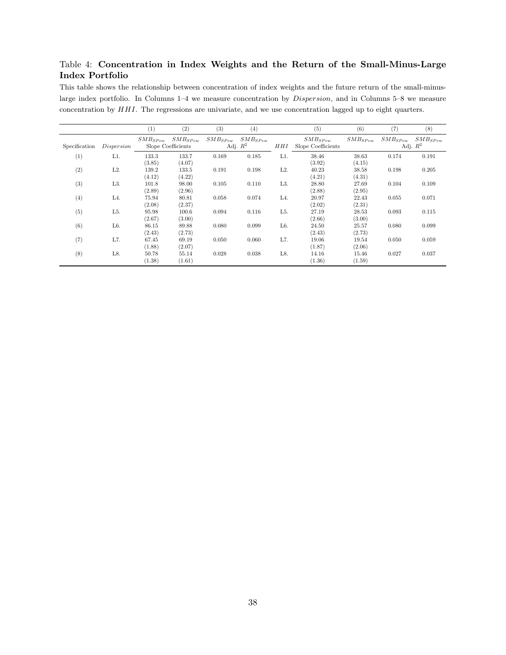## <span id="page-39-0"></span>Table 4: Concentration in Index Weights and the Return of the Small-Minus-Large Index Portfolio

This table shows the relationship between concentration of index weights and the future return of the small-minuslarge index portfolio. In Columns 1–4 we measure concentration by Dispersion, and in Columns 5–8 we measure concentration by HHI. The regressions are univariate, and we use concentration lagged up to eight quarters.

|               |                  | (1)             | (2)                                | (3)                                     | (4)   |                  | (5)                                | (6)             | (7)                        | (8)          |
|---------------|------------------|-----------------|------------------------------------|-----------------------------------------|-------|------------------|------------------------------------|-----------------|----------------------------|--------------|
| Specification | Dispersion       | $SMB_{SPer}$    | $SMB_{SPvw}$<br>Slope Coefficients | $SMB_{SPer}$ $SMB_{SPer}$<br>Adj. $R^2$ |       | HHI              | $SMB_{SPew}$<br>Slope Coefficients | $SMB_{SPvw}$    | $SMB_{SPew}$<br>Adj. $R^2$ | $SMB_{SPnw}$ |
| (1)           | L1.              | 133.3<br>(3.85) | 133.7<br>(4.07)                    | 0.169                                   | 0.185 | L1.              | 38.46<br>(3.92)                    | 38.63<br>(4.15) | 0.174                      | 0.191        |
| (2)           | $L2$ .           | 139.2<br>(4.12) | 133.5<br>(4.22)                    | 0.191                                   | 0.198 | L2.              | 40.23<br>(4.21)                    | 38.58<br>(4.31) | 0.198                      | 0.205        |
| (3)           | L <sub>3</sub> . | 101.8<br>(2.89) | 98.00<br>(2.96)                    | 0.105                                   | 0.110 | L <sub>3</sub> . | 28.80<br>(2.88)                    | 27.69<br>(2.95) | 0.104                      | 0.109        |
| (4)           | L4.              | 75.94<br>(2.08) | 80.81<br>(2.37)                    | 0.058                                   | 0.074 | L4.              | 20.97<br>(2.02)                    | 22.43<br>(2.31) | 0.055                      | 0.071        |
| (5)           | L <sub>5</sub> . | 95.98<br>(2.67) | 100.6<br>(3.00)                    | 0.094                                   | 0.116 | L5.              | 27.19<br>(2.66)                    | 28.53<br>(3.00) | 0.093                      | 0.115        |
| (6)           | L <sub>6</sub> . | 86.15<br>(2.43) | 89.88<br>(2.73)                    | 0.080                                   | 0.099 | L6.              | 24.50<br>(2.43)                    | 25.57<br>(2.73) | 0.080                      | 0.099        |
| (7)           | L7.              | 67.45<br>(1.88) | 69.19<br>(2.07)                    | 0.050                                   | 0.060 | L7.              | 19.06<br>(1.87)                    | 19.54<br>(2.06) | 0.050                      | 0.059        |
| (8)           | L8.              | 50.78<br>(1.38) | 55.14<br>(1.61)                    | 0.028                                   | 0.038 | L8.              | 14.16<br>(1.36)                    | 15.46<br>(1.59) | 0.027                      | 0.037        |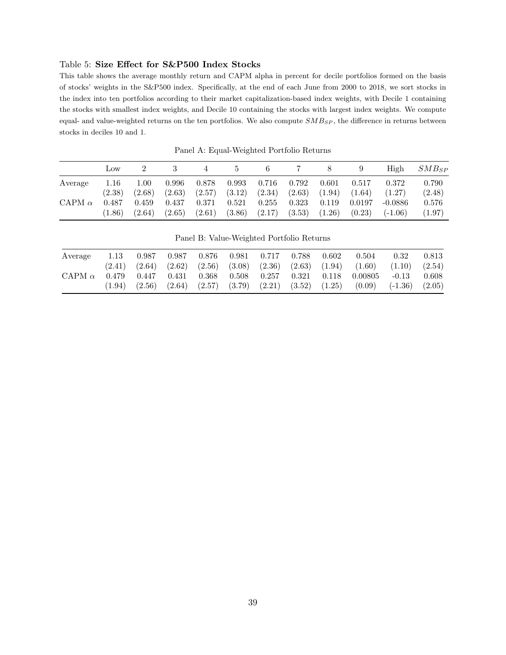#### <span id="page-40-0"></span>Table 5: Size Effect for S&P500 Index Stocks

This table shows the average monthly return and CAPM alpha in percent for decile portfolios formed on the basis of stocks' weights in the S&P500 index. Specifically, at the end of each June from 2000 to 2018, we sort stocks in the index into ten portfolios according to their market capitalization-based index weights, with Decile 1 containing the stocks with smallest index weights, and Decile 10 containing the stocks with largest index weights. We compute equal- and value-weighted returns on the ten portfolios. We also compute  $SMB_{SP}$ , the difference in returns between stocks in deciles 10 and 1.

|               | LOW    |        |        | 4      | 5                 | 6         | - 7                                 | 8      | 9      | High               | $SMB_{SP}$ |
|---------------|--------|--------|--------|--------|-------------------|-----------|-------------------------------------|--------|--------|--------------------|------------|
| Average       | 1.16   | 1.00   | 0.996  | 0.878  | ${0.993}$         | $0.716\,$ | 0.792                               | 0.601  | 0.517  | 0.372              | 0.790      |
|               | (2.38) | (2.68) | (2.63) |        | $(2.57)$ $(3.12)$ | (2.34)    | (2.63)                              | (1.94) | (1.64) | (1.27)             | (2.48)     |
| CAPM $\alpha$ | 0.487  | 0.459  | 0.437  | 0.371  | 0.521             | $0.255\,$ | $0.323\,$                           | 0.119  | 0.0197 | $-0.0886$          | 0.576      |
|               | (1.86) | (2.64) | (2.65) | (2.61) |                   |           | $(3.86)$ $(2.17)$ $(3.53)$ $(1.26)$ |        |        | $(0.23)$ $(-1.06)$ | (1.97)     |

Panel A: Equal-Weighted Portfolio Returns

Panel B: Value-Weighted Portfolio Returns

| Average       | 1.13  | 0.987 |                         | $0.987$ 0.876 | $0.981$ $0.717$ $0.788$                                                                                    | 0.602 | 0.504                                                                                               | 0.32                                  | 0.813 |
|---------------|-------|-------|-------------------------|---------------|------------------------------------------------------------------------------------------------------------|-------|-----------------------------------------------------------------------------------------------------|---------------------------------------|-------|
| CAPM $\alpha$ | 0.479 |       | $0.447$ $0.431$ $0.368$ |               | $(2.41)$ $(2.64)$ $(2.62)$ $(2.56)$ $(3.08)$ $(2.36)$ $(2.63)$ $(1.94)$<br>$0.508$ $0.257$ $0.321$ $0.118$ |       | 0.00805                                                                                             | $(1.60)$ $(1.10)$ $(2.54)$<br>$-0.13$ | 0.608 |
|               |       |       |                         |               |                                                                                                            |       | $(1.94)$ $(2.56)$ $(2.64)$ $(2.57)$ $(3.79)$ $(2.21)$ $(3.52)$ $(1.25)$ $(0.09)$ $(-1.36)$ $(2.05)$ |                                       |       |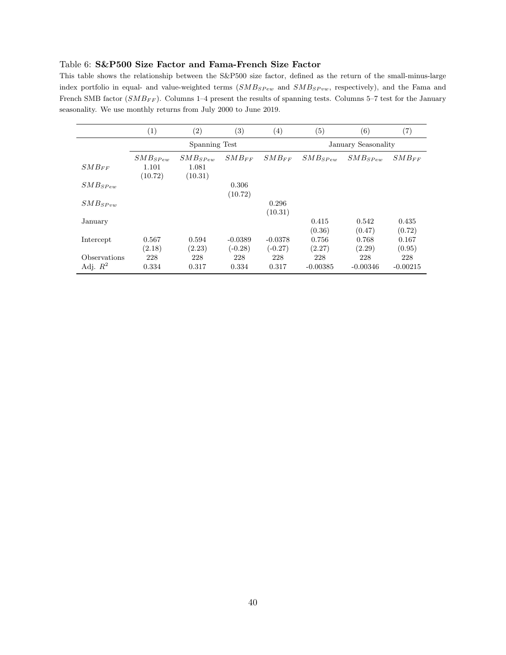#### <span id="page-41-0"></span>Table 6: S&P500 Size Factor and Fama-French Size Factor

This table shows the relationship between the S&P500 size factor, defined as the return of the small-minus-large index portfolio in equal- and value-weighted terms  $(SMB_{SPew}$  and  $SMB_{SPvw}$ , respectively), and the Fama and French SMB factor ( $SMB_{FF}$ ). Columns 1–4 present the results of spanning tests. Columns 5–7 test for the January seasonality. We use monthly returns from July 2000 to June 2019.

|              | (1)          | (2)           | $\left( 3\right)$ | (4)        | (5)          | (6)                 | (7)        |
|--------------|--------------|---------------|-------------------|------------|--------------|---------------------|------------|
|              |              | Spanning Test |                   |            |              | January Seasonality |            |
|              | $SMB_{SPew}$ | $SMB_{SPer}$  | $SMB_{FF}$        | $SMB_{FF}$ | $SMB_{SPer}$ | $SMB_{SPew}$        | $SMB_{FF}$ |
| $SMB_{FF}$   | 1.101        | 1.081         |                   |            |              |                     |            |
|              | (10.72)      | (10.31)       |                   |            |              |                     |            |
| $SMB_{SPer}$ |              |               | 0.306             |            |              |                     |            |
|              |              |               | (10.72)           |            |              |                     |            |
| $SMB_{SPvw}$ |              |               |                   | 0.296      |              |                     |            |
|              |              |               |                   | (10.31)    |              |                     |            |
| January      |              |               |                   |            | 0.415        | 0.542               | 0.435      |
|              |              |               |                   |            | (0.36)       | (0.47)              | (0.72)     |
| Intercept    | 0.567        | 0.594         | $-0.0389$         | $-0.0378$  | 0.756        | 0.768               | 0.167      |
|              | (2.18)       | (2.23)        | $(-0.28)$         | $(-0.27)$  | (2.27)       | (2.29)              | (0.95)     |
| Observations | 228          | 228           | 228               | 228        | 228          | 228                 | 228        |
| Adj. $R^2$   | 0.334        | 0.317         | 0.334             | 0.317      | $-0.00385$   | $-0.00346$          | $-0.00215$ |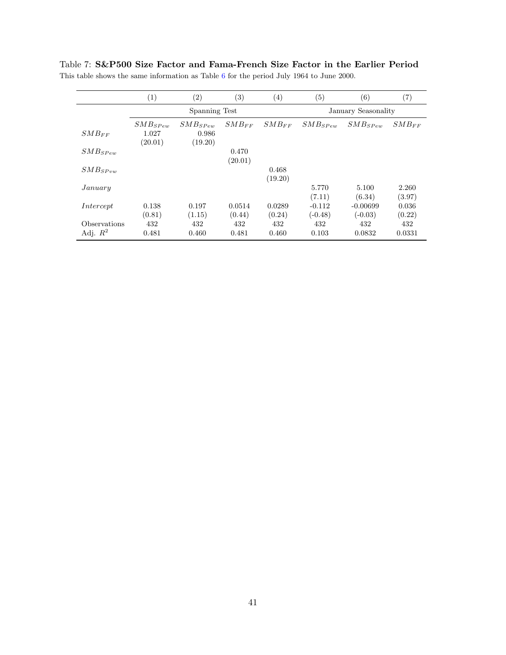|                       | $\left( 1\right)$ | $\left( 2\right)$ | $\left( 3\right)$ | $\left( 4\right)$ | (5)          | (6)                 | (7)        |
|-----------------------|-------------------|-------------------|-------------------|-------------------|--------------|---------------------|------------|
|                       |                   | Spanning Test     |                   |                   |              | January Seasonality |            |
|                       | $SMB_{SPew}$      | $SMB_{SPer}$      | $SMB_{FF}$        | $SMB_{FF}$        | $SMB_{SPer}$ | $SMB_{S\,Pew}$      | $SMB_{FF}$ |
| $SMB_{FF}$            | 1.027             | 0.986             |                   |                   |              |                     |            |
|                       | (20.01)           | (19.20)           |                   |                   |              |                     |            |
| $SMB_{S\textit{Pew}}$ |                   |                   | 0.470             |                   |              |                     |            |
|                       |                   |                   | (20.01)           |                   |              |                     |            |
| $SMB_{SPvw}$          |                   |                   |                   | 0.468             |              |                     |            |
|                       |                   |                   |                   | (19.20)           |              |                     |            |
| January               |                   |                   |                   |                   | 5.770        | 5.100               | 2.260      |
|                       |                   |                   |                   |                   | (7.11)       | (6.34)              | (3.97)     |
| Intercept             | 0.138             | 0.197             | 0.0514            | 0.0289            | $-0.112$     | $-0.00699$          | 0.036      |
|                       | (0.81)            | (1.15)            | (0.44)            | (0.24)            | $(-0.48)$    | $(-0.03)$           | (0.22)     |
| <b>Observations</b>   | 432               | 432               | 432               | 432               | 432          | 432                 | 432        |
| Adj. $R^2$            | 0.481             | 0.460             | 0.481             | 0.460             | 0.103        | 0.0832              | 0.0331     |

<span id="page-42-0"></span>Table 7: S&P500 Size Factor and Fama-French Size Factor in the Earlier Period This table shows the same information as Table [6](#page-41-0) for the period July 1964 to June 2000.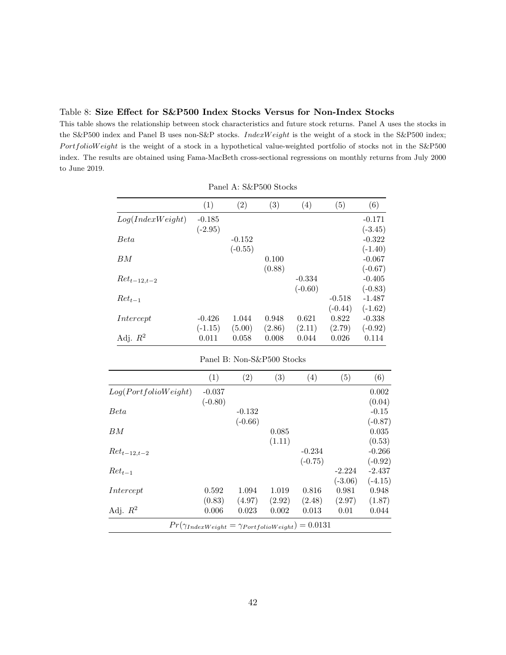<span id="page-43-0"></span>

This table shows the relationship between stock characteristics and future stock returns. Panel A uses the stocks in the S&P500 index and Panel B uses non-S&P stocks. IndexW eight is the weight of a stock in the S&P500 index;  $Portoliow eight$  is the weight of a stock in a hypothetical value-weighted portfolio of stocks not in the S&P500 index. The results are obtained using Fama-MacBeth cross-sectional regressions on monthly returns from July 2000 to June 2019.

|                      | (1)                | (2)                        | (3)             | (4)             | (5)             | (6)                |
|----------------------|--------------------|----------------------------|-----------------|-----------------|-----------------|--------------------|
| Log(IndexWeight)     | $-0.185$           |                            |                 |                 |                 | $-0.171$           |
|                      | $(-2.95)$          |                            |                 |                 |                 | $(-3.45)$          |
| <b>Beta</b>          |                    | $-0.152$                   |                 |                 |                 | $-0.322$           |
|                      |                    | $(-0.55)$                  |                 |                 |                 | $(-1.40)$          |
| BM                   |                    |                            | 0.100           |                 |                 | $-0.067$           |
|                      |                    |                            | (0.88)          |                 |                 | $(-0.67)$          |
| $Ret_{t-12,t-2}$     |                    |                            |                 | $-0.334$        |                 | $-0.405$           |
|                      |                    |                            |                 | $(-0.60)$       |                 | $(-0.83)$          |
| $Ret_{t-1}$          |                    |                            |                 |                 | $-0.518$        | $-1.487$           |
|                      |                    |                            |                 |                 | $(-0.44)$       | $(-1.62)$          |
| Intercept            | $-0.426$           | 1.044                      | 0.948           | 0.621           | 0.822           | $-0.338$           |
| Adj. $R^2$           | $(-1.15)$<br>0.011 | (5.00)<br>0.058            | (2.86)<br>0.008 | (2.11)<br>0.044 | (2.79)<br>0.026 | $(-0.92)$<br>0.114 |
|                      |                    | Panel B: Non-S&P500 Stocks |                 |                 |                 |                    |
|                      | (1)                | (2)                        | (3)             | (4)             | (5)             | (6)                |
| Log(PortfolioWeight) | $-0.037$           |                            |                 |                 |                 | 0.002              |
|                      | $(-0.80)$          |                            |                 |                 |                 | (0.04)             |
| Beta                 |                    | $-0.132$                   |                 |                 |                 | $-0.15$            |
|                      |                    | $(-0.66)$                  |                 |                 |                 | $(-0.87)$          |
| $_{BM}$              |                    |                            | 0.085           |                 |                 | 0.035              |
|                      |                    |                            | (1.11)          |                 |                 | (0.53)             |
| $Ret_{t-12,t-2}$     |                    |                            |                 | $-0.234$        |                 | $-0.266$           |
|                      |                    |                            |                 |                 |                 | $(-0.92)$          |
|                      |                    |                            |                 | $(-0.75)$       |                 |                    |
| $Ret_{t-1}$          |                    |                            |                 |                 | $-2.224$        | $-2.437$           |
|                      |                    |                            |                 |                 | $(-3.06)$       |                    |
| Intercept            | 0.592              | 1.094                      | 1.019           | 0.816           | 0.981           | $(-4.15)$<br>0.948 |
|                      | (0.83)             | (4.97)                     | (2.92)          | (2.48)          | (2.97)          | (1.87)             |

|  |  | Panel A: S&P500 Stocks |  |
|--|--|------------------------|--|
|--|--|------------------------|--|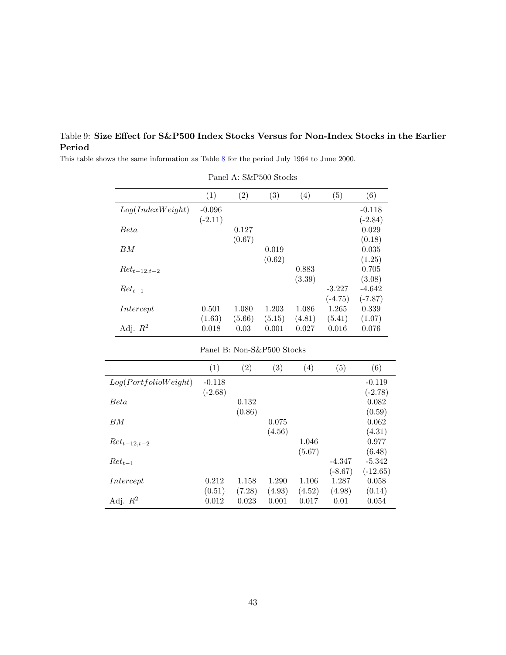## <span id="page-44-0"></span>Table 9: Size Effect for S&P500 Index Stocks Versus for Non-Index Stocks in the Earlier Period

Panel A: S&P500 Stocks  $(1)$   $(2)$   $(3)$   $(4)$   $(5)$   $(6)$  $Log(IndexWeight) \quad -0.096 \tag{0.118}$  $(-2.11)$   $(-2.84)$  $Beta$  0.127 0.029  $(0.67)$  (0.18)  $BM$  0.019 0.035  $(0.62)$   $(1.25)$  $Ret_{t-12,t-2}$  0.883 0.705 (3.39) (3.08)  $Ret_{t-1}$  -3.227 -4.642  $(-4.75)$   $(-7.87)$  $\emph{Intercept} \qquad \qquad 0.501 \quad \ 1.080 \quad \ 1.203 \quad \ 1.086 \quad \ 1.265 \quad \ 0.339$  $(1.63)$   $(5.66)$   $(5.15)$   $(4.81)$   $(5.41)$   $(1.07)$ Adj.  $R^2$  0.018 0.03 0.001 0.027 0.016 0.076

This table shows the same information as Table [8](#page-43-0) for the period July 1964 to June 2000.

| Panel B: Non-S&P500 Stocks |
|----------------------------|
|----------------------------|

|                      | (1)       | (2)    | $\left( 3\right)$ | $\left( 4\right)$ | $\left( 5\right)$ | (6)        |
|----------------------|-----------|--------|-------------------|-------------------|-------------------|------------|
| Log(PortfolioWeight) | $-0.118$  |        |                   |                   |                   | $-0.119$   |
|                      | $(-2.68)$ |        |                   |                   |                   | $(-2.78)$  |
| Beta                 |           | 0.132  |                   |                   |                   | 0.082      |
|                      |           | (0.86) |                   |                   |                   | (0.59)     |
| BМ                   |           |        | 0.075             |                   |                   | 0.062      |
|                      |           |        | (4.56)            |                   |                   | (4.31)     |
| $Ret_{t-12,t-2}$     |           |        |                   | 1.046             |                   | 0.977      |
|                      |           |        |                   | (5.67)            |                   | (6.48)     |
| $Ret_{t-1}$          |           |        |                   |                   | $-4.347$          | $-5.342$   |
|                      |           |        |                   |                   | $(-8.67)$         | $(-12.65)$ |
| Intercept            | 0.212     | 1.158  | 1.290             | 1.106             | 1.287             | 0.058      |
|                      | (0.51)    | (7.28) | (4.93)            | (4.52)            | (4.98)            | (0.14)     |
| Adj. $R^2$           | 0.012     | 0.023  | 0.001             | 0.017             | 0.01              | 0.054      |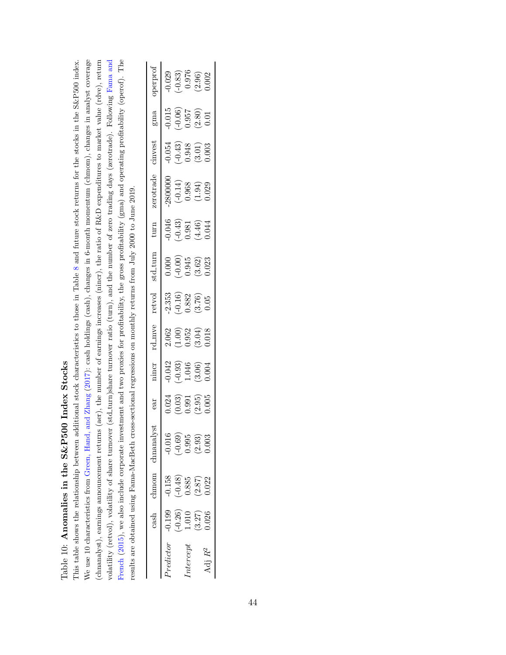<span id="page-45-0"></span>

| $\frac{1}{1}$<br>i<br>・・・・・・・<br>)<br>                                      |
|-----------------------------------------------------------------------------|
| a pena T.                                                                   |
| ) VV PV<br>ׇ֦֦֦֧֦֦֧֦֦֧֦֦֧֦֧֦֧֦֦֧֦֧֪֦֧֧֦֧֡֝֝֝֝֝֝֝֝֜֝֟֓֝֜֟֓֝<br>$\frac{0}{1}$ |
| $\mathbf{u}$                                                                |
| ם היה היה ה                                                                 |
| $\frac{1}{c}$                                                               |

We use 10 characteristics from Green, Hand, and Zhang (2017): cash holdings (cash), changes in 6-month momentum (chmom), changes in analyst coverage (chnanalyst), earnings announcement returns (aer), the number of earnings increases (nincr), the ratio of R&D expenditures to market value (rdve), return volatility (retvol), volatility of share turnover (std\_turn)share turnover ratio (turn), and the number of zero trading days (zerotrade). Following Fama and French (2015), we also include corporate investment and two proxies for profitability, the gross profitability (gma) and operating profitability (operof). The This table shows the relationship between additional stock characteristics to those in Table 8 and future stock returns for the stocks in the S&P500 index. We use 10 characteristics from [Green,](#page-32-11) Hand, and Zhang [\(2017\)](#page-32-11): cash holdings (cash), changes in 6-month momentum (chmom), changes in analyst coverage (chnanalyst), earnings announcement returns (aer), the number of earnings increases (nincr), the ratio of R&D expenditures to market value (rdve), return volatility (retvol), volatility of share turnover (std turn)share turnover ratio (turn), and the number of zero trading days (zerotrade). Following [Fama](#page-31-11) and [French](#page-31-11) [\(2015\)](#page-31-11), we also include corporate investment and two proxies for profitability, the gross profitability (gma) and operating profitability (operof). The This table shows the relationship between additional stock characteristics to those in Table [8](#page-43-0) and future stock returns for the stocks in the S&P500 index. results are obtained using Fama-MacBeth cross-sectional regressions on monthly returns from July 2000 to June 2019. results are obtained using Fama-MacBeth cross-sectional regressions on monthly returns from July 2000 to June 2019.

| perpro       |               |                                                         |                    | $-0.029$<br>$-0.83$ )<br>$0.976$<br>$0.002$<br>$0.002$                |                    |
|--------------|---------------|---------------------------------------------------------|--------------------|-----------------------------------------------------------------------|--------------------|
| $\rm gma$    |               |                                                         |                    | $\begin{array}{c} 0.015\ -0.06)\\ 0.957\ 0.2.80)\\ 0.01\ \end{array}$ |                    |
| invest       |               |                                                         |                    | $\begin{array}{c} -0.054 \ -0.43 \ 0.948 \ 0.01) \end{array}$         |                    |
| serotrade    |               |                                                         |                    | $2800000$<br>$(-0.14)$<br>$0.968$<br>$(1.94)$<br>$(1.94)$             |                    |
| turn         |               |                                                         |                    | $-0.046$<br>$-0.43$<br>$0.381$<br>$(4.46)$<br>$0.044$                 |                    |
| std_turr     |               |                                                         |                    | $\begin{array}{c} 0.0000\ -0.000000\ 0.945\ 0.362) \end{array}$       |                    |
| retvol       |               |                                                         |                    | $\begin{array}{c} 2.353\ -0.16) \ 0.882 \ 3.76) \ 0.95 \end{array}$   |                    |
| $d$ mv       |               |                                                         |                    | $\begin{array}{c} 2.062 \\ (1.00) \\ 0.952 \\ 3.04) \end{array}$      |                    |
| incr         |               |                                                         |                    | $\begin{array}{c} 0.042 \ -0.93 \ 0.046 \ 0.004 \end{array}$          |                    |
| ERC          |               |                                                         |                    | $\begin{array}{c} 0.024 \ 0.03 \ 0.991 \ 2.95 \ 0.05 \end{array}$     |                    |
| छ<br>hnanal; | 0.016         |                                                         | $-0.69$<br>$0.995$ | $\frac{2.93}{1.003}$                                                  |                    |
| hmom         |               | $\begin{array}{c} 0.158 \\ -0.48 \end{array}$<br>$(885$ |                    | (2.87)                                                                | 022                |
| $\cosh$      | 0.199         | $-0.26$ )                                               | 0.010              | (3.27)                                                                | 0.026              |
|              | $_{redictor}$ |                                                         | $_{tercep}$        |                                                                       | Adj R <sup>2</sup> |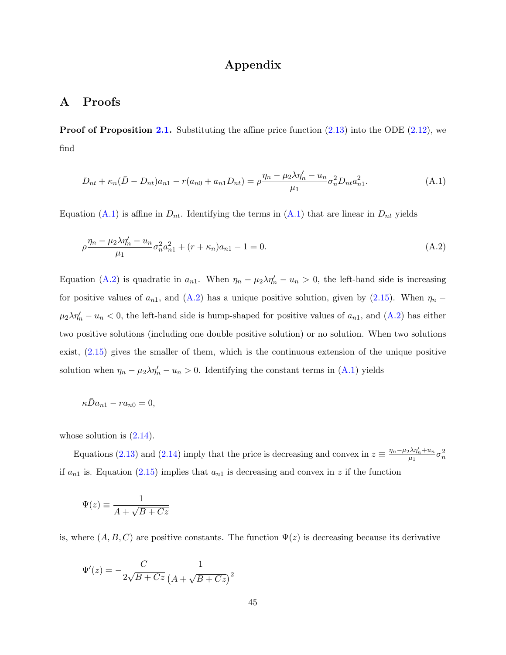# <span id="page-46-1"></span>Appendix

## A Proofs

<span id="page-46-0"></span>**Proof of Proposition [2.1.](#page-11-2)** Substituting the affine price function  $(2.13)$  into the ODE  $(2.12)$ , we find

$$
D_{nt} + \kappa_n (\bar{D} - D_{nt}) a_{n1} - r(a_{n0} + a_{n1} D_{nt}) = \rho \frac{\eta_n - \mu_2 \lambda \eta_n' - u_n}{\mu_1} \sigma_n^2 D_{nt} a_{n1}^2.
$$
 (A.1)

Equation [\(A.1\)](#page-46-0) is affine in  $D_{nt}$ . Identifying the terms in (A.1) that are linear in  $D_{nt}$  yields

$$
\rho \frac{\eta_n - \mu_2 \lambda \eta_n' - u_n}{\mu_1} \sigma_n^2 a_{n1}^2 + (r + \kappa_n) a_{n1} - 1 = 0.
$$
\n(A.2)

Equation [\(A.2\)](#page-46-1) is quadratic in  $a_{n1}$ . When  $\eta_n - \mu_2 \lambda \eta_n' - u_n > 0$ , the left-hand side is increasing for positive values of  $a_{n1}$ , and  $(A.2)$  has a unique positive solution, given by  $(2.15)$ . When  $\eta_n$  –  $\mu_2 \lambda \eta'_n - u_n < 0$ , the left-hand side is hump-shaped for positive values of  $a_{n1}$ , and  $(A.2)$  has either two positive solutions (including one double positive solution) or no solution. When two solutions exist, [\(2.15\)](#page-11-3) gives the smaller of them, which is the continuous extension of the unique positive solution when  $\eta_n - \mu_2 \lambda \eta'_n - u_n > 0$ . Identifying the constant terms in [\(A.1\)](#page-46-0) yields

$$
\kappa \bar{D} a_{n1} - r a_{n0} = 0,
$$

whose solution is  $(2.14)$ .

Equations [\(2.13\)](#page-11-1) and [\(2.14\)](#page-11-4) imply that the price is decreasing and convex in  $z \equiv \frac{\eta_n - \mu_2 \lambda \eta'_n + u_n}{\mu_1}$  $\frac{1}{\mu_1} \frac{\lambda \eta_n' + u_n}{\sigma_n^2} \sigma_n^2$ if  $a_{n1}$  is. Equation [\(2.15\)](#page-11-3) implies that  $a_{n1}$  is decreasing and convex in z if the function

$$
\Psi(z)\equiv\frac{1}{A+\sqrt{B+Cz}}
$$

is, where  $(A, B, C)$  are positive constants. The function  $\Psi(z)$  is decreasing because its derivative

$$
\Psi'(z)=-\frac{C}{2\sqrt{B+Cz}}\frac{1}{\left(A+\sqrt{B+Cz}\right)^2}
$$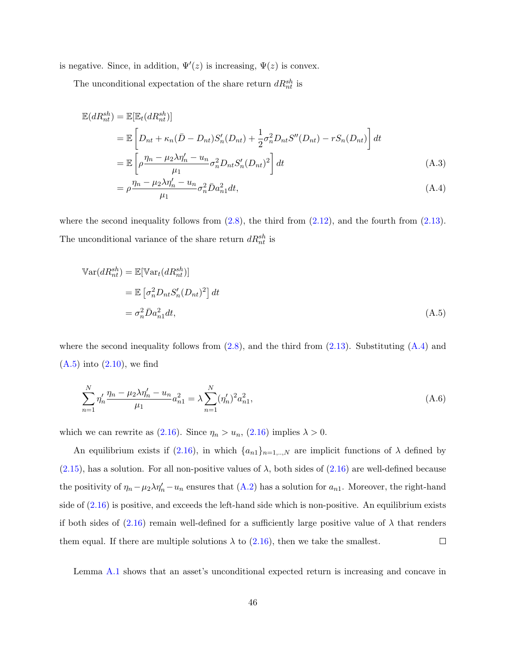is negative. Since, in addition,  $\Psi'(z)$  is increasing,  $\Psi(z)$  is convex.

The unconditional expectation of the share return  $dR_{nt}^{sh}$  is

$$
\mathbb{E}(dR_{nt}^{sh}) = \mathbb{E}[\mathbb{E}_t(dR_{nt}^{sh})]
$$
\n
$$
= \mathbb{E}\left[D_{nt} + \kappa_n(\bar{D} - D_{nt})S_n'(D_{nt}) + \frac{1}{2}\sigma_n^2 D_{nt}S''(D_{nt}) - rS_n(D_{nt})\right]dt
$$
\n
$$
= \mathbb{E}\left[\rho\frac{\eta_n - \mu_2\lambda\eta_n' - u_n}{\mu_1}\sigma_n^2 D_{nt}S_n'(D_{nt})^2\right]dt
$$
\n(A.3)

<span id="page-47-1"></span><span id="page-47-0"></span>
$$
= \rho \frac{\eta_n - \mu_2 \lambda \eta'_n - u_n}{\mu_1} \sigma_n^2 \bar{D} a_{n1}^2 dt, \tag{A.4}
$$

where the second inequality follows from  $(2.8)$ , the third from  $(2.12)$ , and the fourth from  $(2.13)$ . The unconditional variance of the share return  $dR_{nt}^{sh}$  is

$$
\begin{aligned} \mathbb{V}\text{ar}(dR_{nt}^{sh}) &= \mathbb{E}[\mathbb{V}\text{ar}_{t}(dR_{nt}^{sh})] \\ &= \mathbb{E}\left[\sigma_{n}^{2}D_{nt}S_{n}'(D_{nt})^{2}\right]dt \\ &= \sigma_{n}^{2}\bar{D}a_{n1}^{2}dt, \end{aligned} \tag{A.5}
$$

where the second inequality follows from  $(2.8)$ , and the third from  $(2.13)$ . Substituting  $(A.4)$  and  $(A.5)$  into  $(2.10)$ , we find

$$
\sum_{n=1}^{N} \eta_n' \frac{\eta_n - \mu_2 \lambda \eta_n' - u_n}{\mu_1} a_{n1}^2 = \lambda \sum_{n=1}^{N} (\eta_n')^2 a_{n1}^2,
$$
\n(A.6)

which we can rewrite as [\(2.16\)](#page-11-5). Since  $\eta_n > u_n$ , (2.16) implies  $\lambda > 0$ .

An equilibrium exists if [\(2.16\)](#page-11-5), in which  $\{a_{n1}\}_{n=1,..,N}$  are implicit functions of  $\lambda$  defined by  $(2.15)$ , has a solution. For all non-positive values of  $\lambda$ , both sides of  $(2.16)$  are well-defined because the positivity of  $\eta_n - \mu_2 \lambda \eta'_n - u_n$  ensures that  $(A.2)$  has a solution for  $a_{n_1}$ . Moreover, the right-hand side of  $(2.16)$  is positive, and exceeds the left-hand side which is non-positive. An equilibrium exists if both sides of  $(2.16)$  remain well-defined for a sufficiently large positive value of  $\lambda$  that renders  $\Box$ them equal. If there are multiple solutions  $\lambda$  to [\(2.16\)](#page-11-5), then we take the smallest.

Lemma [A.1](#page-48-0) shows that an asset's unconditional expected return is increasing and concave in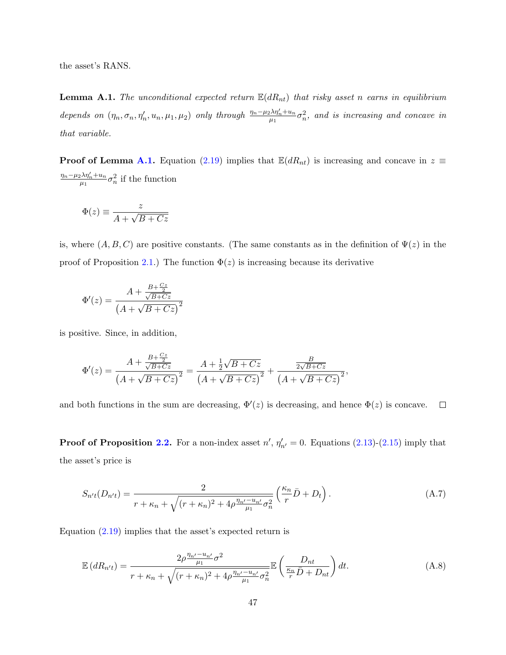the asset's RANS.

<span id="page-48-0"></span>**Lemma A.1.** The unconditional expected return  $\mathbb{E}(dR_{nt})$  that risky asset n earns in equilibrium depends on  $(\eta_n, \sigma_n, \eta'_n, u_n, \mu_1, \mu_2)$  only through  $\frac{\eta_n - \mu_2 \lambda \eta'_n + u_n}{\mu_1}$  $\frac{1}{\mu_1}\lambda\eta'_n+u_n\sigma_n^2,$  and is increasing and concave in that variable.

**Proof of Lemma [A.1.](#page-48-0)** Equation [\(2.19\)](#page-13-2) implies that  $\mathbb{E}(dR_{nt})$  is increasing and concave in  $z \equiv$  $\eta_n-\mu_2\lambda\eta_n'+u_n$  $\frac{1}{\mu_1} \frac{\lambda \eta_n' + u_n}{\mu_1} \sigma_n^2$  if the function

$$
\Phi(z) \equiv \frac{z}{A + \sqrt{B + Cz}}
$$

is, where  $(A, B, C)$  are positive constants. (The same constants as in the definition of  $\Psi(z)$  in the proof of Proposition [2.1.](#page-11-2)) The function  $\Phi(z)$  is increasing because its derivative

$$
\Phi'(z) = \frac{A + \frac{B + \frac{Cz}{2}}{\sqrt{B + Cz}}}{\left(A + \sqrt{B + Cz}\right)^2}
$$

is positive. Since, in addition,

$$
\Phi'(z) = \frac{A + \frac{B + \frac{Cz}{2}}{\sqrt{B + Cz}}}{\left(A + \sqrt{B + Cz}\right)^2} = \frac{A + \frac{1}{2}\sqrt{B + Cz}}{\left(A + \sqrt{B + Cz}\right)^2} + \frac{\frac{B}{2\sqrt{B + Cz}}}{\left(A + \sqrt{B + Cz}\right)^2},
$$

and both functions in the sum are decreasing,  $\Phi'(z)$  is decreasing, and hence  $\Phi(z)$  is concave.  $\Box$ 

**Proof of Proposition [2.2.](#page-14-1)** For a non-index asset  $n'$ ,  $\eta'_{n'} = 0$ . Equations [\(2.13\)](#page-11-1)-[\(2.15\)](#page-11-3) imply that the asset's price is

$$
S_{n't}(D_{n't}) = \frac{2}{r + \kappa_n + \sqrt{(r + \kappa_n)^2 + 4\rho \frac{\eta_{n'} - u_{n'}}{\mu_1} \sigma_n^2}} \left(\frac{\kappa_n}{r} \bar{D} + D_t\right). \tag{A.7}
$$

Equation  $(2.19)$  implies that the asset's expected return is

$$
\mathbb{E}\left(dR_{n't}\right) = \frac{2\rho \frac{\eta_{n'} - u_{n'}}{\mu_1} \sigma^2}{r + \kappa_n + \sqrt{(r + \kappa_n)^2 + 4\rho \frac{\eta_{n'} - u_{n'}}{\mu_1} \sigma_n^2}} \mathbb{E}\left(\frac{D_{nt}}{\frac{\kappa_n}{r}\bar{D} + D_{nt}}\right) dt. \tag{A.8}
$$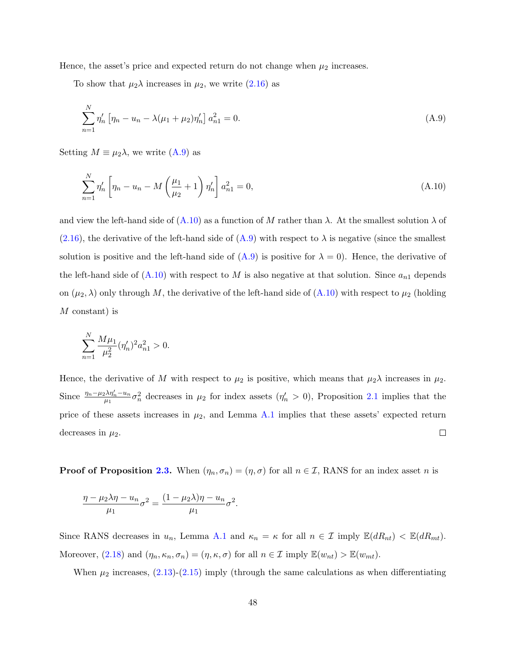Hence, the asset's price and expected return do not change when  $\mu_2$  increases.

To show that  $\mu_2 \lambda$  increases in  $\mu_2$ , we write [\(2.16\)](#page-11-5) as

<span id="page-49-0"></span>
$$
\sum_{n=1}^{N} \eta_n' \left[ \eta_n - u_n - \lambda (\mu_1 + \mu_2) \eta_n' \right] a_{n1}^2 = 0.
$$
\n(A.9)

Setting  $M \equiv \mu_2 \lambda$ , we write  $(A.9)$  as

<span id="page-49-1"></span>
$$
\sum_{n=1}^{N} \eta_n' \left[ \eta_n - u_n - M \left( \frac{\mu_1}{\mu_2} + 1 \right) \eta_n' \right] a_{n1}^2 = 0,
$$
\n(A.10)

and view the left-hand side of  $(A.10)$  as a function of M rather than  $\lambda$ . At the smallest solution  $\lambda$  of  $(2.16)$ , the derivative of the left-hand side of  $(A.9)$  with respect to  $\lambda$  is negative (since the smallest solution is positive and the left-hand side of  $(A.9)$  is positive for  $\lambda = 0$ ). Hence, the derivative of the left-hand side of  $(A.10)$  with respect to M is also negative at that solution. Since  $a_{n1}$  depends on  $(\mu_2, \lambda)$  only through M, the derivative of the left-hand side of  $(A.10)$  with respect to  $\mu_2$  (holding M constant) is

$$
\sum_{n=1}^{N} \frac{M\mu_1}{\mu_2^2} (\eta_n')^2 a_{n1}^2 > 0.
$$

Hence, the derivative of M with respect to  $\mu_2$  is positive, which means that  $\mu_2 \lambda$  increases in  $\mu_2$ . Since  $\frac{\eta_n-\mu_2\lambda\eta'_n-u_n}{\mu_1}$  $\frac{\partial \lambda \eta'_n - u_n}{\partial n} \sigma_n^2$  decreases in  $\mu_2$  for index assets  $(\eta'_n > 0)$ , Proposition [2.1](#page-11-2) implies that the price of these assets increases in  $\mu_2$ , and Lemma [A.1](#page-48-0) implies that these assets' expected return  $\Box$ decreases in  $\mu_2$ .

**Proof of Proposition [2.3.](#page-14-0)** When  $(\eta_n, \sigma_n) = (\eta, \sigma)$  for all  $n \in \mathcal{I}$ , RANS for an index asset *n* is

$$
\frac{\eta - \mu_2 \lambda \eta - u_n}{\mu_1} \sigma^2 = \frac{(1 - \mu_2 \lambda)\eta - u_n}{\mu_1} \sigma^2.
$$

Since RANS decreases in  $u_n$ , Lemma [A.1](#page-48-0) and  $\kappa_n = \kappa$  for all  $n \in \mathcal{I}$  imply  $\mathbb{E}(dR_{nt}) < \mathbb{E}(dR_{mt})$ . Moreover, [\(2.18\)](#page-13-3) and  $(\eta_n, \kappa_n, \sigma_n) = (\eta, \kappa, \sigma)$  for all  $n \in \mathcal{I}$  imply  $\mathbb{E}(w_{nt}) > \mathbb{E}(w_{mt})$ .

When  $\mu_2$  increases,  $(2.13)-(2.15)$  $(2.13)-(2.15)$  $(2.13)-(2.15)$  imply (through the same calculations as when differentiating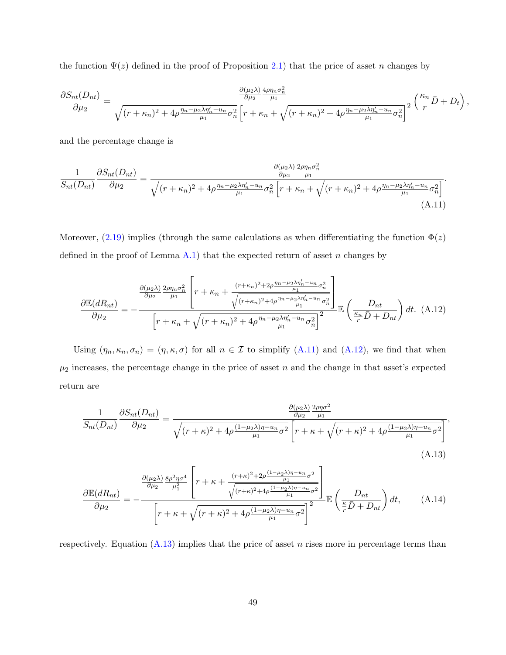the function  $\Psi(z)$  defined in the proof of Proposition [2.1\)](#page-11-2) that the price of asset n changes by

$$
\frac{\partial S_{nt}(D_{nt})}{\partial \mu_2} = \frac{\frac{\partial (\mu_2 \lambda)}{\partial \mu_2} \frac{4\rho \eta_n \sigma_n^2}{\mu_1}}{\sqrt{(r + \kappa_n)^2 + 4\rho \frac{\eta_n - \mu_2 \lambda \eta_n' - u_n}{\mu_1} \sigma_n^2} \left[r + \kappa_n + \sqrt{(r + \kappa_n)^2 + 4\rho \frac{\eta_n - \mu_2 \lambda \eta_n' - u_n}{\mu_1} \sigma_n^2}\right]^2} \left(\frac{\kappa_n}{r} \bar{D} + D_t\right),
$$

<span id="page-50-0"></span>and the percentage change is

$$
\frac{1}{S_{nt}(D_{nt})}\frac{\partial S_{nt}(D_{nt})}{\partial \mu_2} = \frac{\frac{\partial (\mu_2 \lambda)}{\partial \mu_2} \frac{2\rho \eta_n \sigma_n^2}{\mu_1}}{\sqrt{(r + \kappa_n)^2 + 4\rho \frac{\eta_n - \mu_2 \lambda \eta_n' - u_n}{\mu_1} \sigma_n^2} \left[r + \kappa_n + \sqrt{(r + \kappa_n)^2 + 4\rho \frac{\eta_n - \mu_2 \lambda \eta_n' - u_n}{\mu_1} \sigma_n^2}\right]}.
$$
\n(A.11)

Moreover,  $(2.19)$  implies (through the same calculations as when differentiating the function  $\Phi(z)$ defined in the proof of Lemma  $A.1$ ) that the expected return of asset n changes by

<span id="page-50-1"></span>
$$
\frac{\partial \mathbb{E}(dR_{nt})}{\partial \mu_2} = -\frac{\frac{\partial (\mu_2 \lambda)}{\partial \mu_2} \frac{2\rho \eta_n \sigma_n^2}{\mu_1} \left[r + \kappa_n + \frac{(r + \kappa_n)^2 + 2\rho \frac{\eta_n - \mu_2 \lambda \eta_n' - u_n}{\mu_1} \sigma_n^2}{\sqrt{(r + \kappa_n)^2 + 4\rho \frac{\eta_n - \mu_2 \lambda \eta_n' - u_n}{\mu_1} \sigma_n^2}}\right]}{\left[r + \kappa_n + \sqrt{(r + \kappa_n)^2 + 4\rho \frac{\eta_n - \mu_2 \lambda \eta_n' - u_n}{\mu_1} \sigma_n^2}\right]^2} \mathbb{E}\left(\frac{D_{nt}}{r} \bar{D} + D_{nt}\right) dt. (A.12)
$$

Using  $(\eta_n, \kappa_n, \sigma_n) = (\eta, \kappa, \sigma)$  for all  $n \in \mathcal{I}$  to simplify [\(A.11\)](#page-50-0) and [\(A.12\)](#page-50-1), we find that when  $\mu_2$  increases, the percentage change in the price of asset n and the change in that asset's expected return are

$$
\frac{1}{S_{nt}(D_{nt})}\frac{\partial S_{nt}(D_{nt})}{\partial \mu_2} = \frac{\frac{\partial (\mu_2 \lambda)}{\partial \mu_2} \frac{2\rho \eta \sigma^2}{\mu_1}}{\sqrt{(r+\kappa)^2 + 4\rho \frac{(1-\mu_2 \lambda)\eta - u_n}{\mu_1} \sigma^2} \left[r+\kappa+\sqrt{(r+\kappa)^2 + 4\rho \frac{(1-\mu_2 \lambda)\eta - u_n}{\mu_1} \sigma^2}\right]},
$$
\n(A.13)

<span id="page-50-3"></span><span id="page-50-2"></span>
$$
\frac{\partial \mathbb{E}(dR_{nt})}{\partial \mu_2} = -\frac{\frac{\partial (\mu_2 \lambda)}{\partial \mu_2} \frac{8\rho^2 \eta \sigma^4}{\mu_1^2} \left[r + \kappa + \frac{(r + \kappa)^2 + 2\rho \frac{(1 - \mu_2 \lambda)\eta - u_n}{\mu_1} \sigma^2}{\sqrt{(r + \kappa)^2 + 4\rho \frac{(1 - \mu_2 \lambda)\eta - u_n}{\mu_1} \sigma^2}}\right]}{\mathbb{E}\left(\frac{D_{nt}}{r} \bar{D} + D_{nt}\right) dt, \quad (A.14)
$$

respectively. Equation  $(A.13)$  implies that the price of asset *n* rises more in percentage terms than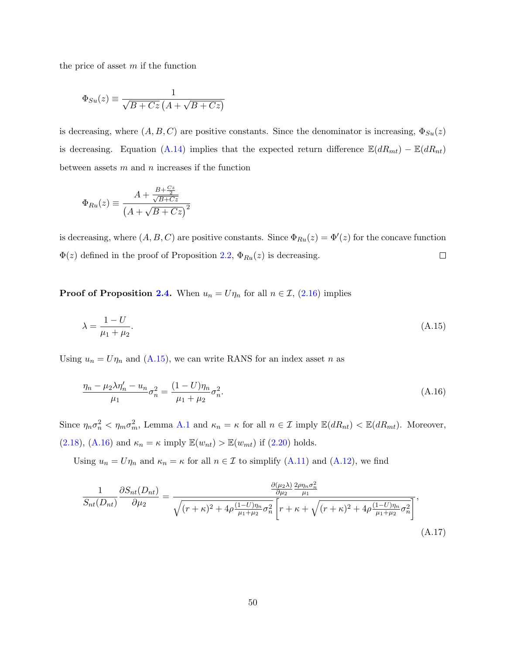the price of asset  $m$  if the function

$$
\Phi_{Su}(z) \equiv \frac{1}{\sqrt{B + Cz} \left( A + \sqrt{B + Cz} \right)}
$$

is decreasing, where  $(A, B, C)$  are positive constants. Since the denominator is increasing,  $\Phi_{Su}(z)$ is decreasing. Equation [\(A.14\)](#page-50-3) implies that the expected return difference  $\mathbb{E}(dR_{mt}) - \mathbb{E}(dR_{nt})$ between assets  $m$  and  $n$  increases if the function

$$
\Phi_{Ru}(z) \equiv \frac{A + \frac{B + \frac{C_z}{2}}{\sqrt{B + Cz}}}{\left(A + \sqrt{B + Cz}\right)^2}
$$

is decreasing, where  $(A, B, C)$  are positive constants. Since  $\Phi_{Ru}(z) = \Phi'(z)$  for the concave function  $\Phi(z)$  defined in the proof of Proposition [2.2,](#page-14-1)  $\Phi_{Ru}(z)$  is decreasing.  $\Box$ 

**Proof of Proposition [2.4.](#page-15-0)** When  $u_n = U\eta_n$  for all  $n \in \mathcal{I}$ , [\(2.16\)](#page-11-5) implies

<span id="page-51-1"></span><span id="page-51-0"></span>
$$
\lambda = \frac{1 - U}{\mu_1 + \mu_2}.\tag{A.15}
$$

Using  $u_n = U\eta_n$  and [\(A.15\)](#page-51-0), we can write RANS for an index asset n as

$$
\frac{\eta_n - \mu_2 \lambda \eta_n' - u_n}{\mu_1} \sigma_n^2 = \frac{(1 - U)\eta_n}{\mu_1 + \mu_2} \sigma_n^2.
$$
\n(A.16)

Since  $\eta_n \sigma_n^2 < \eta_m \sigma_m^2$ , Lemma [A.1](#page-48-0) and  $\kappa_n = \kappa$  for all  $n \in \mathcal{I}$  imply  $\mathbb{E}(dR_{nt}) < \mathbb{E}(dR_{mt})$ . Moreover, [\(2.18\)](#page-13-3), [\(A.16\)](#page-51-1) and  $\kappa_n = \kappa$  imply  $\mathbb{E}(w_{nt}) > \mathbb{E}(w_{mt})$  if [\(2.20\)](#page-15-1) holds.

Using  $u_n = U\eta_n$  and  $\kappa_n = \kappa$  for all  $n \in \mathcal{I}$  to simplify [\(A.11\)](#page-50-0) and [\(A.12\)](#page-50-1), we find

<span id="page-51-2"></span>
$$
\frac{1}{S_{nt}(D_{nt})}\frac{\partial S_{nt}(D_{nt})}{\partial \mu_2} = \frac{\frac{\partial (\mu_2 \lambda)}{\partial \mu_2} \frac{2\rho \eta_n \sigma_n^2}{\mu_1}}{\sqrt{(r+\kappa)^2 + 4\rho \frac{(1-U)\eta_n}{\mu_1 + \mu_2} \sigma_n^2} \left[r+\kappa+\sqrt{(r+\kappa)^2 + 4\rho \frac{(1-U)\eta_n}{\mu_1 + \mu_2} \sigma_n^2}\right]},
$$
\n(A.17)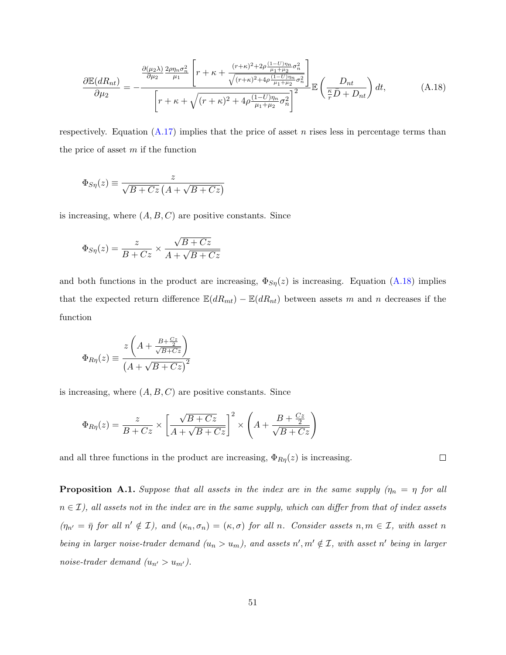<span id="page-52-0"></span>
$$
\frac{\partial \mathbb{E}(dR_{nt})}{\partial \mu_2} = -\frac{\frac{\partial (\mu_2 \lambda)}{\partial \mu_2} \frac{2\rho \eta_n \sigma_n^2}{\mu_1} \left[r + \kappa + \frac{(r + \kappa)^2 + 2\rho \frac{(1 - U)\eta_n}{\mu_1 + \mu_2} \sigma_n^2}{\sqrt{(r + \kappa)^2 + 4\rho \frac{(1 - U)\eta_n}{\mu_1 + \mu_2} \sigma_n^2}}\right]}{\left[r + \kappa + \sqrt{(r + \kappa)^2 + 4\rho \frac{(1 - U)\eta_n}{\mu_1 + \mu_2} \sigma_n^2}\right]^2} \mathbb{E}\left(\frac{D_{nt}}{\frac{\kappa}{r}\bar{D} + D_{nt}}\right) dt,
$$
\n(A.18)

respectively. Equation  $(A.17)$  implies that the price of asset n rises less in percentage terms than the price of asset  $m$  if the function

$$
\Phi_{S\eta}(z) \equiv \frac{z}{\sqrt{B + Cz} \left( A + \sqrt{B + Cz} \right)}
$$

is increasing, where  $(A, B, C)$  are positive constants. Since

$$
\Phi_{S\eta}(z) = \frac{z}{B + Cz} \times \frac{\sqrt{B + Cz}}{A + \sqrt{B + Cz}}
$$

and both functions in the product are increasing,  $\Phi_{S\eta}(z)$  is increasing. Equation [\(A.18\)](#page-52-0) implies that the expected return difference  $\mathbb{E}(dR_{mt}) - \mathbb{E}(dR_{nt})$  between assets m and n decreases if the function

$$
\Phi_{R\eta}(z) \equiv \frac{z\left(A + \frac{B + \frac{Cz}{2}}{\sqrt{B + Cz}}\right)}{\left(A + \sqrt{B + Cz}\right)^2}
$$

is increasing, where  $(A, B, C)$  are positive constants. Since

$$
\Phi_{R\eta}(z) = \frac{z}{B+Cz} \times \left[ \frac{\sqrt{B+Cz}}{A+\sqrt{B+Cz}} \right]^2 \times \left( A + \frac{B+\frac{Cz}{2}}{\sqrt{B+Cz}} \right)
$$

and all three functions in the product are increasing,  $\Phi_{R\eta}(z)$  is increasing.

 $\Box$ 

**Proposition A.1.** Suppose that all assets in the index are in the same supply  $(\eta_n = \eta)$  for all  $n \in \mathcal{I}$ , all assets not in the index are in the same supply, which can differ from that of index assets  $(\eta_{n'} = \bar{\eta} \text{ for all } n' \notin \mathcal{I})$ , and  $(\kappa_n, \sigma_n) = (\kappa, \sigma)$  for all n. Consider assets  $n, m \in \mathcal{I}$ , with asset n being in larger noise-trader demand  $(u_n > u_m)$ , and assets  $n', m' \notin \mathcal{I}$ , with asset n' being in larger noise-trader demand  $(u_{n'} > u_{m'}).$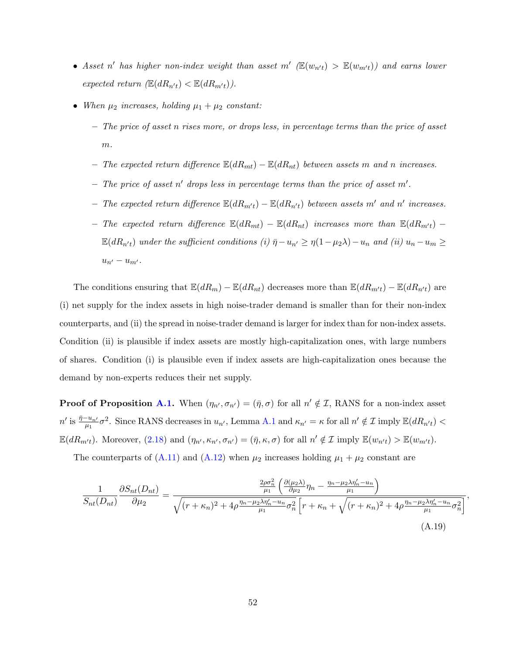- Asset n' has higher non-index weight than asset  $m'$  ( $\mathbb{E}(w_{n't}) > \mathbb{E}(w_{m't})$ ) and earns lower expected return  $(\mathbb{E}(dR_{n't}) < \mathbb{E}(dR_{m't}))$ .
- When  $\mu_2$  increases, holding  $\mu_1 + \mu_2$  constant:
	- The price of asset n rises more, or drops less, in percentage terms than the price of asset  $m$ .
	- The expected return difference  $\mathbb{E}(dR_{mt}) \mathbb{E}(dR_{nt})$  between assets m and n increases.
	- The price of asset n' drops less in percentage terms than the price of asset  $m'$ .
	- The expected return difference  $\mathbb{E}(dR_{m't}) \mathbb{E}(dR_{n't})$  between assets m' and n' increases.
	- The expected return difference  $\mathbb{E}(dR_{mt}) \mathbb{E}(dR_{nt})$  increases more than  $\mathbb{E}(dR_{m't}) \mathbb{E}(dR_{n't})$  under the sufficient conditions (i)  $\bar{\eta}-u_{n'} \geq \eta(1-\mu_2\lambda)-u_n$  and (ii)  $u_n-u_m \geq$  $u_{n'} - u_{m'}$ .

The conditions ensuring that  $\mathbb{E}(dR_m) - \mathbb{E}(dR_{nt})$  decreases more than  $\mathbb{E}(dR_{m't}) - \mathbb{E}(dR_{n't})$  are (i) net supply for the index assets in high noise-trader demand is smaller than for their non-index counterparts, and (ii) the spread in noise-trader demand is larger for index than for non-index assets. Condition (ii) is plausible if index assets are mostly high-capitalization ones, with large numbers of shares. Condition (i) is plausible even if index assets are high-capitalization ones because the demand by non-experts reduces their net supply.

**Proof of Proposition [A.1.](#page-11-2)** When  $(\eta_{n'}, \sigma_{n'}) = (\bar{\eta}, \sigma)$  for all  $n' \notin \mathcal{I}$ , RANS for a non-index asset  $n'$  is  $\frac{\bar{\eta}-u_{n'}}{\mu_1}\sigma^2$ . Since RANS decreases in  $u_{n'}$ , Lemma [A.1](#page-48-0) and  $\kappa_{n'} = \kappa$  for all  $n' \notin \mathcal{I}$  imply  $\mathbb{E}(dR_{n't}) <$  $\mathbb{E}(dR_{m't})$ . Moreover,  $(2.18)$  and  $(\eta_{n'}, \kappa_{n'}, \sigma_{n'}) = (\bar{\eta}, \kappa, \sigma)$  for all  $n' \notin \mathcal{I}$  imply  $\mathbb{E}(w_{n't}) > \mathbb{E}(w_{m't})$ .

The counterparts of [\(A.11\)](#page-50-0) and [\(A.12\)](#page-50-1) when  $\mu_2$  increases holding  $\mu_1 + \mu_2$  constant are

<span id="page-53-0"></span>
$$
\frac{1}{S_{nt}(D_{nt})}\frac{\partial S_{nt}(D_{nt})}{\partial \mu_2} = \frac{\frac{2\rho\sigma_n^2}{\mu_1} \left(\frac{\partial(\mu_2\lambda)}{\partial \mu_2}\eta_n - \frac{\eta_n - \mu_2\lambda\eta_n' - u_n}{\mu_1}\right)}{\sqrt{(r + \kappa_n)^2 + 4\rho\frac{\eta_n - \mu_2\lambda\eta_n' - u_n}{\mu_1}\sigma_n^2} \left[r + \kappa_n + \sqrt{(r + \kappa_n)^2 + 4\rho\frac{\eta_n - \mu_2\lambda\eta_n' - u_n}{\mu_1}\sigma_n^2}\right]},
$$
\n(A.19)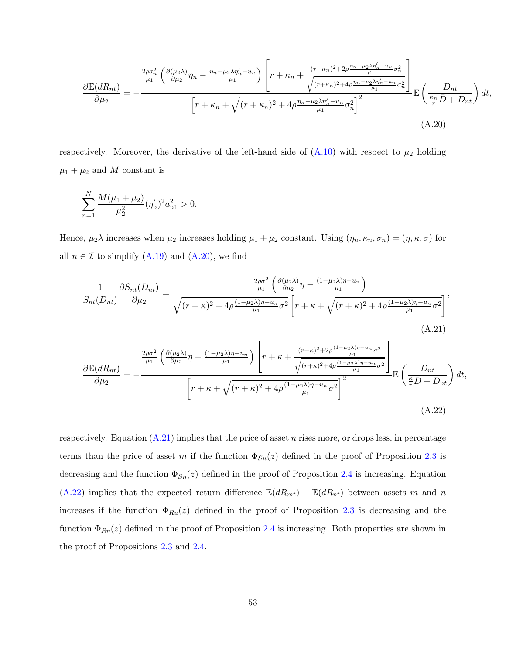<span id="page-54-0"></span>
$$
\frac{\partial \mathbb{E}(dR_{nt})}{\partial \mu_2} = -\frac{\frac{2\rho \sigma_n^2}{\mu_1} \left(\frac{\partial (\mu_2 \lambda)}{\partial \mu_2} \eta_n - \frac{\eta_n - \mu_2 \lambda \eta_n' - u_n}{\mu_1}\right) \left[r + \kappa_n + \frac{(r + \kappa_n)^2 + 2\rho \frac{\eta_n - \mu_2 \lambda \eta_n' - u_n}{\mu_1} \sigma_n^2}{\sqrt{(r + \kappa_n)^2 + 4\rho \frac{\eta_n - \mu_2 \lambda \eta_n' - u_n}{\mu_1} \sigma_n^2}}\right]}{\left[r + \kappa_n + \sqrt{(r + \kappa_n)^2 + 4\rho \frac{\eta_n - \mu_2 \lambda \eta_n' - u_n}{\mu_1} \sigma_n^2}\right]^2} \mathbb{E}\left(\frac{D_{nt}}{\frac{\kappa_n}{r} \bar{D} + D_{nt}}\right) dt,
$$
\n(A.20)

respectively. Moreover, the derivative of the left-hand side of  $(A.10)$  with respect to  $\mu_2$  holding  $\mu_1 + \mu_2$  and M constant is

$$
\sum_{n=1}^{N} \frac{M(\mu_1 + \mu_2)}{\mu_2^2} (\eta'_n)^2 a_{n1}^2 > 0.
$$

Hence,  $\mu_2 \lambda$  increases when  $\mu_2$  increases holding  $\mu_1 + \mu_2$  constant. Using  $(\eta_n, \kappa_n, \sigma_n) = (\eta, \kappa, \sigma)$  for all  $n \in \mathcal{I}$  to simplify  $(A.19)$  and  $(A.20)$ , we find

<span id="page-54-2"></span><span id="page-54-1"></span>
$$
\frac{1}{S_{nt}(D_{nt})}\frac{\partial S_{nt}(D_{nt})}{\partial \mu_2} = \frac{\frac{2\rho\sigma^2}{\mu_1} \left(\frac{\partial(\mu_2\lambda)}{\partial \mu_2}\eta - \frac{(1-\mu_2\lambda)\eta - u_n}{\mu_1}\right)}{\sqrt{(r+\kappa)^2 + 4\rho \frac{(1-\mu_2\lambda)\eta - u_n}{\mu_1}\sigma^2} \left[r+\kappa+\sqrt{(r+\kappa)^2 + 4\rho \frac{(1-\mu_2\lambda)\eta - u_n}{\mu_1}\sigma^2}\right]},
$$
\n(A.21)  
\n
$$
\frac{\partial \mathbb{E}(dR_{nt})}{\partial \mu_2} = -\frac{\frac{2\rho\sigma^2}{\mu_1} \left(\frac{\partial(\mu_2\lambda)}{\partial \mu_2}\eta - \frac{(1-\mu_2\lambda)\eta - u_n}{\mu_1}\right) \left[r+\kappa+\frac{(r+\kappa)^2 + 2\rho \frac{(1-\mu_2\lambda)\eta - u_n}{\mu_1}\sigma^2}{\sqrt{(r+\kappa)^2 + 4\rho \frac{(1-\mu_2\lambda)\eta - u_n}{\mu_1}\sigma^2}}\right]}{\mathbb{E}\left(\frac{D_{nt}}{\frac{\kappa}{\mu}D+D_{nt}}\right)dt},
$$
\n(A.22)

respectively. Equation  $(A.21)$  implies that the price of asset n rises more, or drops less, in percentage terms than the price of asset m if the function  $\Phi_{Su}(z)$  defined in the proof of Proposition [2.3](#page-14-0) is decreasing and the function  $\Phi_{S\eta}(z)$  defined in the proof of Proposition [2.4](#page-15-0) is increasing. Equation [\(A.22\)](#page-54-2) implies that the expected return difference  $\mathbb{E}(dR_{mt}) - \mathbb{E}(dR_{nt})$  between assets m and n increases if the function  $\Phi_{Ru}(z)$  defined in the proof of Proposition [2.3](#page-14-0) is decreasing and the function  $\Phi_{R\eta}(z)$  defined in the proof of Proposition [2.4](#page-15-0) is increasing. Both properties are shown in the proof of Propositions [2.3](#page-14-0) and [2.4.](#page-15-0)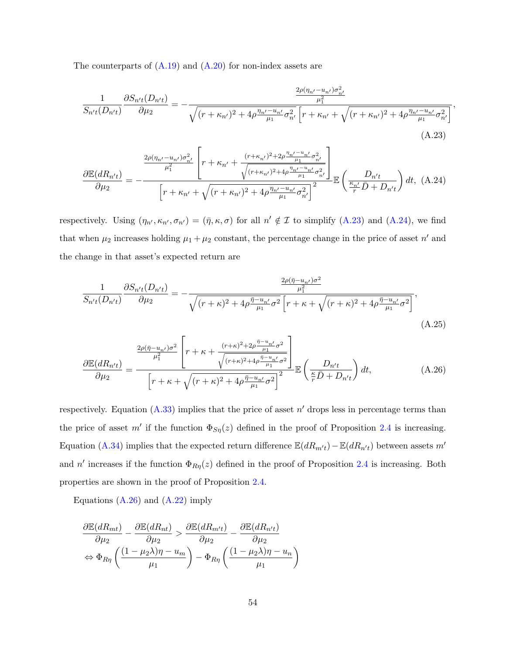The counterparts of  $(A.19)$  and  $(A.20)$  for non-index assets are

<span id="page-55-0"></span>
$$
\frac{1}{S_{n't}(D_{n't})}\frac{\partial S_{n't}(D_{n't})}{\partial \mu_2} = -\frac{\frac{2\rho(\eta_{n'} - u_{n'})\sigma_{n'}^2}{\mu_1^2}}{\sqrt{(r + \kappa_{n'})^2 + 4\rho \frac{\eta_{n'} - u_{n'}}{\mu_1} \sigma_{n'}^2} \left[r + \kappa_{n'} + \sqrt{(r + \kappa_{n'})^2 + 4\rho \frac{\eta_{n'} - u_{n'}}{\mu_1} \sigma_{n'}^2}\right]},
$$
\n(A.23)

<span id="page-55-1"></span>
$$
\frac{\partial \mathbb{E}(dR_{n't})}{\partial \mu_2} = -\frac{\frac{2\rho(\eta_{n'} - u_{n'})\sigma_{n'}^2}{\mu_1^2} \left[r + \kappa_{n'} + \frac{(r + \kappa_{n'})^2 + 2\rho \frac{\eta_{n'} - u_{n'}}{\mu_1} \sigma_{n'}^2}{\sqrt{(r + \kappa_{n'})^2 + 4\rho \frac{\eta_{n'} - u_{n'}}{\mu_1} \sigma_{n'}^2}}\right]}{\left[r + \kappa_{n'} + \sqrt{(r + \kappa_{n'})^2 + 4\rho \frac{\eta_{n'} - u_{n'}}{\mu_1} \sigma_{n'}^2}\right]^2} \mathbb{E}\left(\frac{D_{n't}}{\frac{\kappa_{n'}}{r}\bar{D} + D_{n't}}\right)dt, (A.24)
$$

respectively. Using  $(\eta_{n'}, \kappa_{n'}, \sigma_{n'}) = (\bar{\eta}, \kappa, \sigma)$  for all  $n' \notin \mathcal{I}$  to simplify [\(A.23\)](#page-55-0) and [\(A.24\)](#page-55-1), we find that when  $\mu_2$  increases holding  $\mu_1 + \mu_2$  constant, the percentage change in the price of asset n' and the change in that asset's expected return are

$$
\frac{1}{S_{n't}(D_{n't})}\frac{\partial S_{n't}(D_{n't})}{\partial \mu_2} = -\frac{\frac{2\rho(\bar{\eta} - u_{n'})\sigma^2}{\mu_1^2}}{\sqrt{(r+\kappa)^2 + 4\rho \frac{\bar{\eta} - u_{n'}}{\mu_1} \sigma^2} \left[r+\kappa+\sqrt{(r+\kappa)^2 + 4\rho \frac{\bar{\eta} - u_{n'}}{\mu_1} \sigma^2}\right]},
$$
(A.25)

<span id="page-55-2"></span>
$$
\frac{\partial \mathbb{E}(dR_{n't})}{\partial \mu_2} = \frac{\frac{2\rho(\bar{\eta} - u_{n'})\sigma^2}{\mu_1^2} \left[r + \kappa + \frac{(r + \kappa)^2 + 2\rho \frac{\bar{\eta} - u_{n'}}{\mu_1} \sigma^2}{\sqrt{(r + \kappa)^2 + 4\rho \frac{\bar{\eta} - u_{n'}}{\mu_1} \sigma^2}}\right]}{\left[r + \kappa + \sqrt{(r + \kappa)^2 + 4\rho \frac{\bar{\eta} - u_{n'}}{\mu_1} \sigma^2}\right]^2} \mathbb{E}\left(\frac{D_{n't}}{\frac{\kappa}{r}\bar{D} + D_{n't}}\right) dt,\tag{A.26}
$$

respectively. Equation  $(A.33)$  implies that the price of asset  $n'$  drops less in percentage terms than the price of asset m' if the function  $\Phi_{S\eta}(z)$  defined in the proof of Proposition [2.4](#page-15-0) is increasing. Equation [\(A.34\)](#page-58-1) implies that the expected return difference  $\mathbb{E}(dR_{m't})-\mathbb{E}(dR_{n't})$  between assets m' and n' increases if the function  $\Phi_{R\eta}(z)$  defined in the proof of Proposition [2.4](#page-15-0) is increasing. Both properties are shown in the proof of Proposition [2.4.](#page-15-0)

Equations  $(A.26)$  and  $(A.22)$  imply

$$
\frac{\partial \mathbb{E}(dR_{mt})}{\partial \mu_2} - \frac{\partial \mathbb{E}(dR_{nt})}{\partial \mu_2} > \frac{\partial \mathbb{E}(dR_{m't})}{\partial \mu_2} - \frac{\partial \mathbb{E}(dR_{n't})}{\partial \mu_2}
$$

$$
\Leftrightarrow \Phi_{R\eta} \left( \frac{(1 - \mu_2 \lambda)\eta - u_m}{\mu_1} \right) - \Phi_{R\eta} \left( \frac{(1 - \mu_2 \lambda)\eta - u_m}{\mu_1} \right)
$$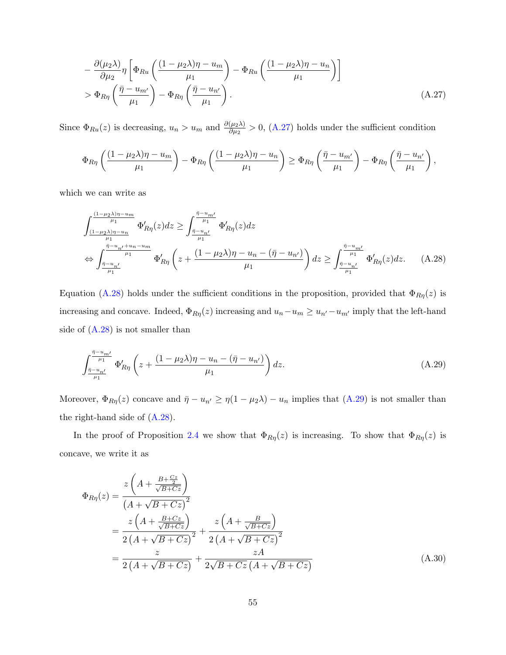<span id="page-56-0"></span>
$$
-\frac{\partial(\mu_2\lambda)}{\partial\mu_2}\eta \left[\Phi_{Ru}\left(\frac{(1-\mu_2\lambda)\eta - u_m}{\mu_1}\right) - \Phi_{Ru}\left(\frac{(1-\mu_2\lambda)\eta - u_n}{\mu_1}\right)\right]
$$
  
>  $\Phi_{R\eta}\left(\frac{\bar{\eta} - u_{m'}}{\mu_1}\right) - \Phi_{R\eta}\left(\frac{\bar{\eta} - u_{n'}}{\mu_1}\right).$  (A.27)

Since  $\Phi_{Ru}(z)$  is decreasing,  $u_n > u_m$  and  $\frac{\partial(\mu_2 \lambda)}{\partial \mu_2} > 0$ , [\(A.27\)](#page-56-0) holds under the sufficient condition

$$
\Phi_{R\eta}\left(\frac{(1-\mu_2\lambda)\eta-u_m}{\mu_1}\right)-\Phi_{R\eta}\left(\frac{(1-\mu_2\lambda)\eta-u_n}{\mu_1}\right)\geq \Phi_{R\eta}\left(\frac{\bar{\eta}-u_{m'}}{\mu_1}\right)-\Phi_{R\eta}\left(\frac{\bar{\eta}-u_{n'}}{\mu_1}\right),
$$

which we can write as

<span id="page-56-1"></span>
$$
\int_{\frac{(1-\mu_2\lambda)\eta-u_m}{\mu_1}}^{\frac{(1-\mu_2\lambda)\eta-u_m}{\mu_1}} \Phi'_{R\eta}(z)dz \ge \int_{\frac{\bar{\eta}-u_{m'}}{\mu_1}}^{\frac{\bar{\eta}-u_{m'}}{\mu_1}} \Phi'_{R\eta}(z)dz
$$
\n
$$
\Leftrightarrow \int_{\frac{\bar{\eta}-u_{n'}+u_n-u_m}{\mu_1}}^{\frac{\bar{\eta}-u_{n'}+u_n-u_m}{\mu_1}} \Phi'_{R\eta}\left(z + \frac{(1-\mu_2\lambda)\eta-u_n-(\bar{\eta}-u_{n'})}{\mu_1}\right)dz \ge \int_{\frac{\bar{\eta}-u_{n'}}{\mu_1}}^{\frac{\bar{\eta}-u_{m'}}{\mu_1}} \Phi'_{R\eta}(z)dz. \tag{A.28}
$$

Equation [\(A.28\)](#page-56-1) holds under the sufficient conditions in the proposition, provided that  $\Phi_{R\eta}(z)$  is increasing and concave. Indeed,  $\Phi_{R\eta}(z)$  increasing and  $u_n-u_m\geq u_{n'}-u_{m'}$  imply that the left-hand side of  $(A.28)$  is not smaller than

<span id="page-56-2"></span>
$$
\int_{\frac{\bar{\eta}-u_{n'}}{\mu_1}}^{\frac{\bar{\eta}-u_{m'}}{\mu_1}} \Phi'_{R\eta} \left( z + \frac{(1-\mu_2\lambda)\eta - u_n - (\bar{\eta}-u_{n'})}{\mu_1} \right) dz.
$$
\n(A.29)

Moreover,  $\Phi_{R\eta}(z)$  concave and  $\bar{\eta} - u_{n'} \ge \eta(1 - \mu_2\lambda) - u_n$  implies that [\(A.29\)](#page-56-2) is not smaller than the right-hand side of [\(A.28\)](#page-56-1).

In the proof of Proposition [2.4](#page-15-0) we show that  $\Phi_{R\eta}(z)$  is increasing. To show that  $\Phi_{R\eta}(z)$  is concave, we write it as

$$
\Phi_{R\eta}(z) = \frac{z\left(A + \frac{B + \frac{Cz}{2}}{\sqrt{B + Cz}}\right)}{\left(A + \sqrt{B + Cz}\right)^2} \n= \frac{z\left(A + \frac{B + Cz}{\sqrt{B + Cz}}\right)}{2\left(A + \sqrt{B + Cz}\right)^2} + \frac{z\left(A + \frac{B}{\sqrt{B + Cz}}\right)}{2\left(A + \sqrt{B + Cz}\right)^2} \n= \frac{z}{2\left(A + \sqrt{B + Cz}\right)} + \frac{zA}{2\sqrt{B + Cz}\left(A + \sqrt{B + Cz}\right)}
$$
\n(A.30)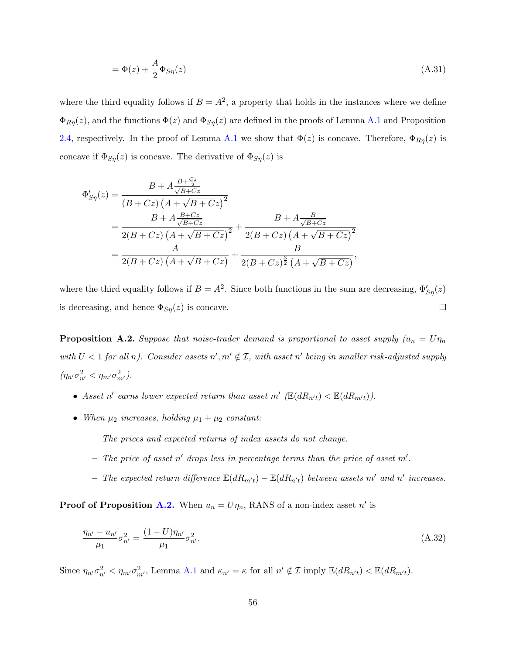$$
=\Phi(z) + \frac{A}{2}\Phi_{S\eta}(z)
$$
\n(A.31)

where the third equality follows if  $B = A^2$ , a property that holds in the instances where we define  $\Phi_{R\eta}(z)$ , and the functions  $\Phi(z)$  and  $\Phi_{S\eta}(z)$  are defined in the proofs of Lemma [A.1](#page-48-0) and Proposition [2.4,](#page-15-0) respectively. In the proof of Lemma [A.1](#page-48-0) we show that  $\Phi(z)$  is concave. Therefore,  $\Phi_{R\eta}(z)$  is concave if  $\Phi_{S\eta}(z)$  is concave. The derivative of  $\Phi_{S\eta}(z)$  is

$$
\Phi'_{S\eta}(z) = \frac{B + A \frac{B + C_{\frac{2}{2}}}{\sqrt{B + C_{\frac{2}{2}}}}}{(B + C_{\frac{2}{2}}) (A + \sqrt{B + C_{\frac{2}{2}}})^2}
$$
\n
$$
= \frac{B + A \frac{B + C_{\frac{2}{2}}}{\sqrt{B + C_{\frac{2}{2}}}}}{2(B + C_{\frac{2}{2}}) (A + \sqrt{B + C_{\frac{2}{2}}})^2} + \frac{B + A \frac{B}{\sqrt{B + C_{\frac{2}{2}}}}}{2(B + C_{\frac{2}{2}}) (A + \sqrt{B + C_{\frac{2}{2}}})^2}
$$
\n
$$
= \frac{A}{2(B + C_{\frac{2}{2}}) (A + \sqrt{B + C_{\frac{2}{2}}})} + \frac{B}{2(B + C_{\frac{2}{2}})^{\frac{3}{2}} (A + \sqrt{B + C_{\frac{2}{2}}})},
$$

where the third equality follows if  $B = A^2$ . Since both functions in the sum are decreasing,  $\Phi'_{S\eta}(z)$ is decreasing, and hence  $\Phi_{S\eta}(z)$  is concave.  $\Box$ 

**Proposition A.2.** Suppose that noise-trader demand is proportional to asset supply  $(u_n = U\eta_n)$ with  $U < 1$  for all n). Consider assets  $n', m' \notin \mathcal{I}$ , with asset n' being in smaller risk-adjusted supply  $(\eta_{n'}\sigma_{n'}^2 < \eta_{m'}\sigma_{m'}^2).$ 

- Asset n' earns lower expected return than asset m'  $(\mathbb{E}(dR_{n't}) < \mathbb{E}(dR_{m't}))$ .
- When  $\mu_2$  increases, holding  $\mu_1 + \mu_2$  constant:
	- The prices and expected returns of index assets do not change.
	- The price of asset n' drops less in percentage terms than the price of asset  $m'$ .
	- The expected return difference  $\mathbb{E}(dR_{m't}) \mathbb{E}(dR_{n't})$  between assets m' and n' increases.

**Proof of Proposition [A.2.](#page-14-1)** When  $u_n = U\eta_n$ , RANS of a non-index asset n' is

$$
\frac{\eta_{n'} - u_{n'}}{\mu_1} \sigma_{n'}^2 = \frac{(1 - U)\eta_{n'}}{\mu_1} \sigma_{n'}^2.
$$
\n(A.32)

Since  $\eta_{n'} \sigma_{n'}^2 < \eta_{m'} \sigma_{m'}^2$ , Lemma [A.1](#page-48-0) and  $\kappa_{n'} = \kappa$  for all  $n' \notin \mathcal{I}$  imply  $\mathbb{E}(dR_{n't}) < \mathbb{E}(dR_{m't})$ .